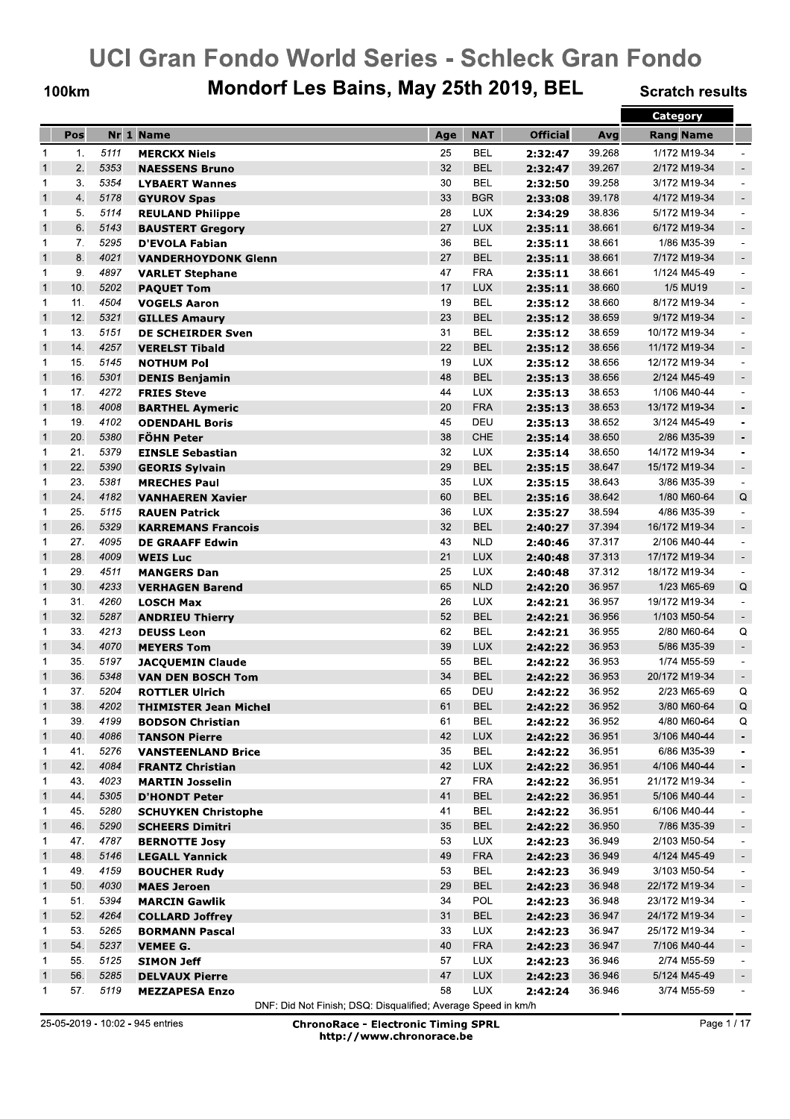**100km** 

## Mondorf Les Bains, May 25th 2019, BEL

**Scratch results** 

|              |     |      |                                                  |     |            |                 |        | Category         |                          |
|--------------|-----|------|--------------------------------------------------|-----|------------|-----------------|--------|------------------|--------------------------|
|              | Pos |      | Nr 1 Name                                        | Age | <b>NAT</b> | <b>Official</b> | Avg    | <b>Rang Name</b> |                          |
| 1            | 1.  | 5111 | <b>MERCKX Niels</b>                              | 25  | <b>BEL</b> | 2:32:47         | 39.268 | 1/172 M19-34     |                          |
| $\mathbf{1}$ | 2.  | 5353 | <b>NAESSENS Bruno</b>                            | 32  | <b>BEL</b> | 2:32:47         | 39.267 | 2/172 M19-34     | $\overline{\phantom{a}}$ |
| 1            | 3.  | 5354 | <b>LYBAERT Wannes</b>                            | 30  | <b>BEL</b> | 2:32:50         | 39.258 | 3/172 M19-34     | $\blacksquare$           |
| $\mathbf{1}$ | 4.  | 5178 | <b>GYUROV Spas</b>                               | 33  | <b>BGR</b> | 2:33:08         | 39.178 | 4/172 M19-34     | $\overline{\phantom{a}}$ |
| 1            | 5.  | 5114 | <b>REULAND Philippe</b>                          | 28  | <b>LUX</b> | 2:34:29         | 38.836 | 5/172 M19-34     | $\overline{\phantom{a}}$ |
| $\mathbf{1}$ | 6.  | 5143 | <b>BAUSTERT Gregory</b>                          | 27  | <b>LUX</b> | 2:35:11         | 38.661 | 6/172 M19-34     | $\overline{\phantom{a}}$ |
| 1            | 7.  | 5295 | <b>D'EVOLA Fabian</b>                            | 36  | <b>BEL</b> | 2:35:11         | 38.661 | 1/86 M35-39      | $\overline{\phantom{a}}$ |
| $\mathbf{1}$ | 8.  | 4021 | <b>VANDERHOYDONK Glenn</b>                       | 27  | <b>BEL</b> | 2:35:11         | 38.661 | 7/172 M19-34     | $\overline{\phantom{a}}$ |
| 1            | 9.  | 4897 | <b>VARLET Stephane</b>                           | 47  | <b>FRA</b> | 2:35:11         | 38.661 | 1/124 M45-49     | $\blacksquare$           |
| $\mathbf{1}$ | 10. | 5202 | <b>PAQUET Tom</b>                                | 17  | <b>LUX</b> | 2:35:11         | 38.660 | 1/5 MU19         | $\overline{\phantom{a}}$ |
| 1            | 11. | 4504 | <b>VOGELS Aaron</b>                              | 19  | <b>BEL</b> | 2:35:12         | 38.660 | 8/172 M19-34     | $\overline{\phantom{a}}$ |
| $\mathbf{1}$ | 12. | 5321 |                                                  | 23  | <b>BEL</b> | 2:35:12         | 38.659 | 9/172 M19-34     | $\overline{\phantom{a}}$ |
| 1            | 13. | 5151 | <b>GILLES Amaury</b><br><b>DE SCHEIRDER Sven</b> | 31  | <b>BEL</b> |                 | 38.659 | 10/172 M19-34    | $\blacksquare$           |
| $\mathbf{1}$ | 14. | 4257 |                                                  | 22  | <b>BEL</b> | 2:35:12         | 38.656 | 11/172 M19-34    | $\blacksquare$           |
|              | 15. |      | <b>VERELST Tibald</b>                            |     |            | 2:35:12         | 38.656 |                  |                          |
| 1            |     | 5145 | <b>NOTHUM Pol</b>                                | 19  | <b>LUX</b> | 2:35:12         |        | 12/172 M19-34    | $\sim$                   |
| $\mathbf{1}$ | 16. | 5301 | <b>DENIS Benjamin</b>                            | 48  | <b>BEL</b> | 2:35:13         | 38.656 | 2/124 M45-49     | $\blacksquare$           |
| 1            | 17. | 4272 | <b>FRIES Steve</b>                               | 44  | <b>LUX</b> | 2:35:13         | 38.653 | 1/106 M40-44     | $\blacksquare$           |
| $\mathbf{1}$ | 18. | 4008 | <b>BARTHEL Aymeric</b>                           | 20  | <b>FRA</b> | 2:35:13         | 38.653 | 13/172 M19-34    | $\overline{\phantom{a}}$ |
| 1            | 19. | 4102 | <b>ODENDAHL Boris</b>                            | 45  | DEU        | 2:35:13         | 38.652 | 3/124 M45-49     | $\blacksquare$           |
| $\mathbf{1}$ | 20. | 5380 | <b>FÖHN Peter</b>                                | 38  | CHE        | 2:35:14         | 38.650 | 2/86 M35-39      | $\overline{\phantom{a}}$ |
| 1            | 21. | 5379 | <b>EINSLE Sebastian</b>                          | 32  | <b>LUX</b> | 2:35:14         | 38.650 | 14/172 M19-34    | $\blacksquare$           |
| $\mathbf{1}$ | 22. | 5390 | <b>GEORIS Sylvain</b>                            | 29  | <b>BEL</b> | 2:35:15         | 38.647 | 15/172 M19-34    | $\blacksquare$           |
| 1            | 23. | 5381 | <b>MRECHES Paul</b>                              | 35  | <b>LUX</b> | 2:35:15         | 38.643 | 3/86 M35-39      | $\blacksquare$           |
| $\mathbf{1}$ | 24. | 4182 | <b>VANHAEREN Xavier</b>                          | 60  | <b>BEL</b> | 2:35:16         | 38.642 | 1/80 M60-64      | Q                        |
| 1            | 25. | 5115 | <b>RAUEN Patrick</b>                             | 36  | <b>LUX</b> | 2:35:27         | 38.594 | 4/86 M35-39      | $\blacksquare$           |
| $\mathbf{1}$ | 26. | 5329 | <b>KARREMANS Francois</b>                        | 32  | <b>BEL</b> | 2:40:27         | 37.394 | 16/172 M19-34    | $\blacksquare$           |
| 1            | 27. | 4095 | <b>DE GRAAFF Edwin</b>                           | 43  | <b>NLD</b> | 2:40:46         | 37.317 | 2/106 M40-44     | $\overline{\phantom{a}}$ |
| $\mathbf{1}$ | 28. | 4009 | <b>WEIS Luc</b>                                  | 21  | <b>LUX</b> | 2:40:48         | 37.313 | 17/172 M19-34    | $\blacksquare$           |
| 1            | 29. | 4511 | <b>MANGERS Dan</b>                               | 25  | <b>LUX</b> | 2:40:48         | 37.312 | 18/172 M19-34    | $\blacksquare$           |
| $\mathbf{1}$ | 30. | 4233 | <b>VERHAGEN Barend</b>                           | 65  | <b>NLD</b> | 2:42:20         | 36.957 | 1/23 M65-69      | $\mathsf Q$              |
| 1            | 31. | 4260 | <b>LOSCH Max</b>                                 | 26  | <b>LUX</b> | 2:42:21         | 36.957 | 19/172 M19-34    | $\sim$                   |
| $\mathbf{1}$ | 32. | 5287 | <b>ANDRIEU Thierry</b>                           | 52  | <b>BEL</b> | 2:42:21         | 36.956 | 1/103 M50-54     | $\overline{\phantom{a}}$ |
| 1            | 33. | 4213 | <b>DEUSS Leon</b>                                | 62  | BEL        | 2:42:21         | 36.955 | 2/80 M60-64      | Q                        |
| $\mathbf{1}$ | 34. | 4070 | <b>MEYERS Tom</b>                                | 39  | <b>LUX</b> | 2:42:22         | 36.953 | 5/86 M35-39      | $\overline{\phantom{a}}$ |
| 1            | 35. | 5197 | <b>JACQUEMIN Claude</b>                          | 55  | BEL        | 2:42:22         | 36.953 | 1/74 M55-59      | $\overline{\phantom{a}}$ |
| $\mathbf{1}$ | 36. | 5348 | <b>VAN DEN BOSCH Tom</b>                         | 34  | <b>BEL</b> | 2:42:22         | 36.953 | 20/172 M19-34    | $\overline{\phantom{a}}$ |
| 1            | 37. | 5204 | <b>ROTTLER Ulrich</b>                            | 65  | DEU        | 2:42:22         | 36.952 | 2/23 M65-69      | Q                        |
| $\mathbf{1}$ | 38. | 4202 | <b>THIMISTER Jean Michel</b>                     | 61  | <b>BEL</b> | 2:42:22         | 36.952 | 3/80 M60-64      | $\mathsf Q$              |
| 1            | 39. | 4199 | <b>BODSON Christian</b>                          | 61  | BEL        | 2:42:22         | 36.952 | 4/80 M60-64      | Q                        |
| $\mathbf{1}$ | 40. | 4086 | <b>TANSON Pierre</b>                             | 42  | <b>LUX</b> | 2:42:22         | 36.951 | 3/106 M40-44     | $\overline{\phantom{a}}$ |
| 1            | 41. | 5276 | <b>VANSTEENLAND Brice</b>                        | 35  | <b>BEL</b> | 2:42:22         | 36.951 | 6/86 M35-39      | $\overline{\phantom{a}}$ |
| $\mathbf{1}$ | 42. | 4084 | <b>FRANTZ Christian</b>                          | 42  | <b>LUX</b> | 2:42:22         | 36.951 | 4/106 M40-44     | ۰.                       |
| 1            | 43. | 4023 | <b>MARTIN Josselin</b>                           | 27  | <b>FRA</b> | 2:42:22         | 36.951 | 21/172 M19-34    | $\overline{\phantom{a}}$ |
| $\mathbf{1}$ | 44. | 5305 | <b>D'HONDT Peter</b>                             | 41  | <b>BEL</b> | 2:42:22         | 36.951 | 5/106 M40-44     | $\overline{\phantom{a}}$ |
| 1            | 45. | 5280 | <b>SCHUYKEN Christophe</b>                       | 41  | BEL        | 2:42:22         | 36.951 | 6/106 M40-44     | $\overline{\phantom{a}}$ |
| $\mathbf{1}$ | 46. | 5290 | <b>SCHEERS Dimitri</b>                           | 35  | <b>BEL</b> | 2:42:22         | 36.950 | 7/86 M35-39      | $\overline{\phantom{a}}$ |
| 1            | 47. | 4787 | <b>BERNOTTE Josy</b>                             | 53  | <b>LUX</b> | 2:42:23         | 36.949 | 2/103 M50-54     | $\overline{\phantom{a}}$ |
| $\mathbf{1}$ | 48. | 5146 | <b>LEGALL Yannick</b>                            | 49  | <b>FRA</b> | 2:42:23         | 36.949 | 4/124 M45-49     | $\overline{\phantom{a}}$ |
| 1            | 49. | 4159 | <b>BOUCHER Rudy</b>                              | 53  | BEL        | 2:42:23         | 36.949 | 3/103 M50-54     | $\overline{\phantom{a}}$ |
| $\mathbf{1}$ | 50. | 4030 | <b>MAES Jeroen</b>                               | 29  | <b>BEL</b> | 2:42:23         | 36.948 | 22/172 M19-34    | $\overline{\phantom{a}}$ |
| 1            | 51. | 5394 | <b>MARCIN Gawlik</b>                             | 34  | POL        | 2:42:23         | 36.948 | 23/172 M19-34    | $\overline{\phantom{a}}$ |
| $\mathbf{1}$ | 52. | 4264 | <b>COLLARD Joffrey</b>                           | 31  | <b>BEL</b> | 2:42:23         | 36.947 | 24/172 M19-34    | $\overline{\phantom{a}}$ |
| 1            | 53. | 5265 | <b>BORMANN Pascal</b>                            | 33  | <b>LUX</b> | 2:42:23         | 36.947 | 25/172 M19-34    | $\overline{\phantom{a}}$ |
| $\mathbf{1}$ | 54. | 5237 | <b>VEMEE G.</b>                                  | 40  | <b>FRA</b> | 2:42:23         | 36.947 | 7/106 M40-44     | $\overline{\phantom{a}}$ |
| 1            | 55. | 5125 | <b>SIMON Jeff</b>                                | 57  | <b>LUX</b> | 2:42:23         | 36.946 | 2/74 M55-59      | $\overline{\phantom{a}}$ |
| $\mathbf{1}$ | 56. | 5285 | <b>DELVAUX Pierre</b>                            | 47  | <b>LUX</b> | 2:42:23         | 36.946 | 5/124 M45-49     | $\overline{\phantom{a}}$ |
| 1            | 57. | 5119 | <b>MEZZAPESA Enzo</b>                            | 58  | LUX        | 2:42:24         | 36.946 | 3/74 M55-59      |                          |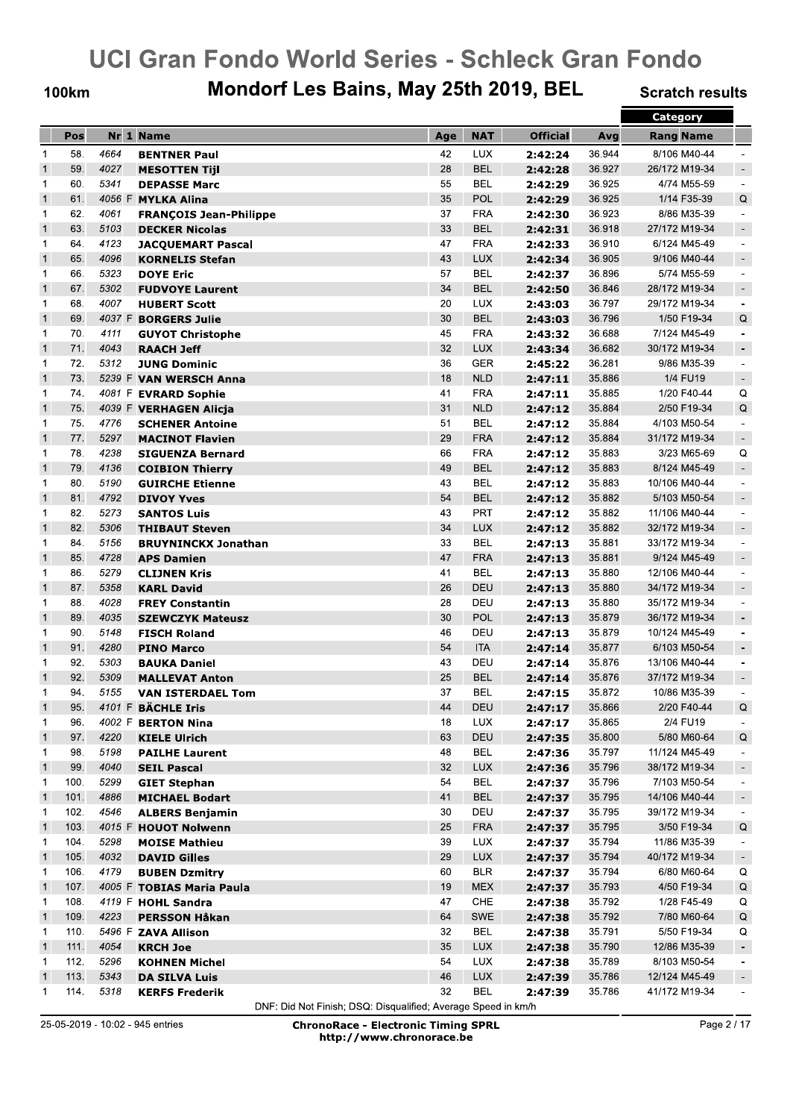**100km** 

## Mondorf Les Bains, May 25th 2019, BEL

**Scratch results** 

|                |      |      |                               |            |            |                 |        | Category         |                          |
|----------------|------|------|-------------------------------|------------|------------|-----------------|--------|------------------|--------------------------|
|                | Pos  |      | Nr 1 Name                     | Age        | <b>NAT</b> | <b>Official</b> | Avg    | <b>Rang Name</b> |                          |
| 1              | 58.  | 4664 | <b>BENTNER Paul</b>           | 42         | <b>LUX</b> | 2:42:24         | 36.944 | 8/106 M40-44     |                          |
| $\overline{1}$ | 59.  | 4027 | <b>MESOTTEN Tijl</b>          | 28         | <b>BEL</b> | 2:42:28         | 36.927 | 26/172 M19-34    | $\overline{\phantom{a}}$ |
| 1              | 60.  | 5341 | <b>DEPASSE Marc</b>           | 55         | <b>BEL</b> | 2:42:29         | 36.925 | 4/74 M55-59      | $\blacksquare$           |
| $\mathbf{1}$   | 61.  |      | 4056 F MYLKA Alina            | 35         | POL        | 2:42:29         | 36.925 | 1/14 F35-39      | Q                        |
| 1              | 62.  | 4061 | <b>FRANÇOIS Jean-Philippe</b> | 37         | <b>FRA</b> | 2:42:30         | 36.923 | 8/86 M35-39      | $\overline{\phantom{a}}$ |
| $\mathbf{1}$   | 63.  | 5103 | <b>DECKER Nicolas</b>         | 33         | <b>BEL</b> | 2:42:31         | 36.918 | 27/172 M19-34    | $\overline{\phantom{a}}$ |
| 1              | 64.  | 4123 | <b>JACQUEMART Pascal</b>      | 47         | <b>FRA</b> | 2:42:33         | 36.910 | 6/124 M45-49     | $\overline{\phantom{a}}$ |
| $\mathbf{1}$   | 65.  | 4096 | <b>KORNELIS Stefan</b>        | 43         | <b>LUX</b> | 2:42:34         | 36.905 | 9/106 M40-44     | $\blacksquare$           |
| 1              | 66.  | 5323 | <b>DOYE Eric</b>              | 57         | <b>BEL</b> | 2:42:37         | 36.896 | 5/74 M55-59      | $\blacksquare$           |
| $\mathbf{1}$   | 67.  | 5302 | <b>FUDVOYE Laurent</b>        | 34         | <b>BEL</b> | 2:42:50         | 36.846 | 28/172 M19-34    | $\overline{\phantom{a}}$ |
| 1              | 68.  | 4007 | <b>HUBERT Scott</b>           | 20         | <b>LUX</b> | 2:43:03         | 36.797 | 29/172 M19-34    | $\overline{\phantom{a}}$ |
| $\mathbf{1}$   | 69.  |      | 4037 F BORGERS Julie          | 30         | <b>BEL</b> | 2:43:03         | 36.796 | 1/50 F19-34      | Q                        |
| 1              | 70.  | 4111 | <b>GUYOT Christophe</b>       | 45         | <b>FRA</b> | 2:43:32         | 36.688 | 7/124 M45-49     | $\blacksquare$           |
| $\mathbf{1}$   | 71.  | 4043 | <b>RAACH Jeff</b>             | 32         | <b>LUX</b> | 2:43:34         | 36.682 | 30/172 M19-34    | $\overline{\phantom{a}}$ |
| 1              | 72.  | 5312 | <b>JUNG Dominic</b>           | 36         | <b>GER</b> | 2:45:22         | 36.281 | 9/86 M35-39      | $\blacksquare$           |
| $\mathbf{1}$   | 73.  |      | 5239 F VAN WERSCH Anna        | 18         | <b>NLD</b> | 2:47:11         | 35.886 | 1/4 FU19         | $\overline{\phantom{a}}$ |
| 1              | 74.  |      | 4081 F EVRARD Sophie          | 41         | <b>FRA</b> | 2:47:11         | 35.885 | 1/20 F40-44      | Q                        |
| $\mathbf{1}$   | 75.  |      | 4039 F VERHAGEN Alicja        | 31         | <b>NLD</b> | 2:47:12         | 35.884 | 2/50 F19-34      | Q                        |
| 1              | 75.  | 4776 | <b>SCHENER Antoine</b>        | 51         | <b>BEL</b> | 2:47:12         | 35.884 | 4/103 M50-54     | $\blacksquare$           |
| $\mathbf{1}$   | 77.  | 5297 | <b>MACINOT Flavien</b>        | 29         | <b>FRA</b> | 2:47:12         | 35.884 | 31/172 M19-34    | $\blacksquare$           |
| 1              | 78.  | 4238 | <b>SIGUENZA Bernard</b>       | 66         | <b>FRA</b> | 2:47:12         | 35.883 | 3/23 M65-69      | Q                        |
| $\mathbf{1}$   | 79.  | 4136 | <b>COIBION Thierry</b>        | 49         | <b>BEL</b> | 2:47:12         | 35.883 | 8/124 M45-49     | $\blacksquare$           |
| 1              | 80.  | 5190 | <b>GUIRCHE Etienne</b>        | 43         | BEL        | 2:47:12         | 35.883 | 10/106 M40-44    | $\blacksquare$           |
| $\mathbf{1}$   | 81.  | 4792 | <b>DIVOY Yves</b>             | 54         | <b>BEL</b> | 2:47:12         | 35.882 | 5/103 M50-54     | $\blacksquare$           |
| 1              | 82.  | 5273 | <b>SANTOS Luis</b>            | 43         | PRT        | 2:47:12         | 35.882 | 11/106 M40-44    | $\blacksquare$           |
| $\mathbf{1}$   | 82.  | 5306 | <b>THIBAUT Steven</b>         | 34         | <b>LUX</b> | 2:47:12         | 35.882 | 32/172 M19-34    | $\blacksquare$           |
| 1              | 84.  | 5156 | <b>BRUYNINCKX Jonathan</b>    | 33         | BEL        | 2:47:13         | 35.881 | 33/172 M19-34    | $\overline{\phantom{a}}$ |
| $\mathbf{1}$   | 85.  | 4728 | <b>APS Damien</b>             | 47         | <b>FRA</b> | 2:47:13         | 35.881 | 9/124 M45-49     | $\sim$                   |
| 1              | 86.  | 5279 | <b>CLIJNEN Kris</b>           | 41         | BEL        | 2:47:13         | 35.880 | 12/106 M40-44    | $\blacksquare$           |
| $\mathbf{1}$   | 87.  | 5358 | <b>KARL David</b>             | 26         | <b>DEU</b> | 2:47:13         | 35.880 | 34/172 M19-34    |                          |
| 1              | 88.  | 4028 | <b>FREY Constantin</b>        | 28         | DEU        | 2:47:13         | 35.880 | 35/172 M19-34    | $\blacksquare$           |
| $\mathbf{1}$   | 89.  | 4035 | <b>SZEWCZYK Mateusz</b>       | 30         | <b>POL</b> | 2:47:13         | 35.879 | 36/172 M19-34    | $\blacksquare$           |
| 1              | 90.  | 5148 | <b>FISCH Roland</b>           | 46         | DEU        | 2:47:13         | 35.879 | 10/124 M45-49    | $\overline{\phantom{a}}$ |
| $\mathbf{1}$   | 91.  | 4280 | <b>PINO Marco</b>             | 54         | <b>ITA</b> | 2:47:14         | 35.877 | 6/103 M50-54     | $\overline{\phantom{a}}$ |
| 1              | 92.  | 5303 | <b>BAUKA Daniel</b>           | 43         | DEU        | 2:47:14         | 35.876 | 13/106 M40-44    | $\overline{\phantom{a}}$ |
| $\mathbf{1}$   | 92.  | 5309 | <b>MALLEVAT Anton</b>         | 25         | <b>BEL</b> | 2:47:14         | 35.876 | 37/172 M19-34    | $\overline{\phantom{a}}$ |
| 1              | 94.  | 5155 | <b>VAN ISTERDAEL Tom</b>      | 37         | BEL        | 2:47:15         | 35.872 | 10/86 M35-39     | $\overline{\phantom{a}}$ |
| $\mathbf{1}$   | 95.  |      | 4101 F BÄCHLE Iris            | ${\bf 44}$ | <b>DEU</b> | 2:47:17         | 35.866 | 2/20 F40-44      | $\mathsf Q$              |
| 1              | 96.  |      | 4002 F BERTON Nina            | 18         | LUX        | 2:47:17         | 35.865 | 2/4 FU19         | $\sim$                   |
| $\mathbf{1}$   | 97.  | 4220 | <b>KIELE Ulrich</b>           | 63         | DEU        | 2:47:35         | 35.800 | 5/80 M60-64      | Q                        |
| 1              | 98.  | 5198 | <b>PAILHE Laurent</b>         | 48         | <b>BEL</b> | 2:47:36         | 35.797 | 11/124 M45-49    | $\overline{\phantom{a}}$ |
| $\overline{1}$ | 99.  | 4040 | <b>SEIL Pascal</b>            | 32         | <b>LUX</b> | 2:47:36         | 35.796 | 38/172 M19-34    | $\overline{\phantom{a}}$ |
| $\mathbf{1}$   | 100. | 5299 | <b>GIET Stephan</b>           | 54         | BEL        | 2:47:37         | 35.796 | 7/103 M50-54     | $\overline{\phantom{a}}$ |
| $\overline{1}$ | 101. | 4886 | <b>MICHAEL Bodart</b>         | 41         | <b>BEL</b> | 2:47:37         | 35.795 | 14/106 M40-44    | $\overline{\phantom{a}}$ |
| $\mathbf{1}$   | 102. | 4546 | <b>ALBERS Benjamin</b>        | 30         | DEU        | 2:47:37         | 35.795 | 39/172 M19-34    | $\overline{\phantom{a}}$ |
| $\mathbf{1}$   | 103. |      | 4015 F HOUOT Nolwenn          | 25         | <b>FRA</b> | 2:47:37         | 35.795 | 3/50 F19-34      | $\mathsf Q$              |
| 1              | 104. | 5298 | <b>MOISE Mathieu</b>          | 39         | <b>LUX</b> | 2:47:37         | 35.794 | 11/86 M35-39     | $\overline{\phantom{a}}$ |
| $\mathbf{1}$   | 105. | 4032 | <b>DAVID Gilles</b>           | 29         | <b>LUX</b> | 2:47:37         | 35.794 | 40/172 M19-34    | $\overline{\phantom{a}}$ |
| $\mathbf{1}$   | 106. | 4179 | <b>BUBEN Dzmitry</b>          | 60         | <b>BLR</b> | 2:47:37         | 35.794 | 6/80 M60-64      | Q                        |
| $\overline{1}$ | 107. |      | 4005 F TOBIAS Maria Paula     | 19         | <b>MEX</b> | 2:47:37         | 35.793 | 4/50 F19-34      | $\mathsf Q$              |
| $\mathbf{1}$   | 108. |      | 4119 F HOHL Sandra            | 47         | CHE        | 2:47:38         | 35.792 | 1/28 F45-49      | Q                        |
| $\mathbf{1}$   | 109. | 4223 | <b>PERSSON Håkan</b>          | 64         | SWE        | 2:47:38         | 35.792 | 7/80 M60-64      | Q                        |
| $\mathbf{1}$   | 110. |      | 5496 F ZAVA Allison           | 32         | BEL        | 2:47:38         | 35.791 | 5/50 F19-34      | Q                        |
| $\mathbf{1}$   | 111. | 4054 | <b>KRCH Joe</b>               | 35         | <b>LUX</b> | 2:47:38         | 35.790 | 12/86 M35-39     | $\overline{\phantom{a}}$ |
| $\mathbf{1}$   | 112. | 5296 | <b>KOHNEN Michel</b>          | 54         | <b>LUX</b> | 2:47:38         | 35.789 | 8/103 M50-54     | $\overline{\phantom{a}}$ |
| $\mathbf{1}$   | 113. | 5343 | <b>DA SILVA Luis</b>          | 46         | <b>LUX</b> | 2:47:39         | 35.786 | 12/124 M45-49    | $\overline{\phantom{a}}$ |
| $\overline{1}$ | 114. | 5318 | <b>KERFS Frederik</b>         | 32         | <b>BEL</b> | 2:47:39         | 35.786 | 41/172 M19-34    |                          |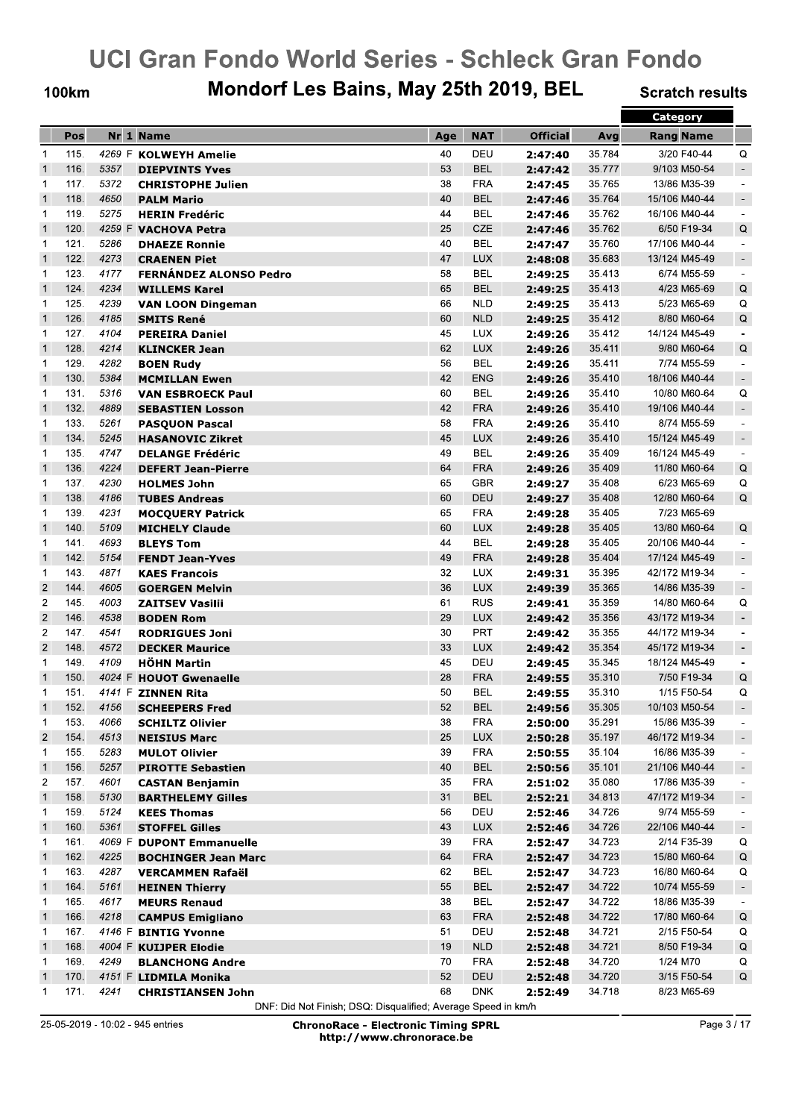**100km** 

## Mondorf Les Bains, May 25th 2019, BEL

**Scratch results** 

|                               |      |        |                                                      |     |            |                 |        | <b>Category</b>  |                          |
|-------------------------------|------|--------|------------------------------------------------------|-----|------------|-----------------|--------|------------------|--------------------------|
|                               | Pos  |        | Nr 1 Name                                            | Age | <b>NAT</b> | <b>Official</b> | Avg    | <b>Rang Name</b> |                          |
| $\mathbf 1$                   | 115. |        | 4269 F KOLWEYH Amelie                                | 40  | DEU        | 2:47:40         | 35.784 | 3/20 F40-44      | Q                        |
| $\overline{1}$                | 116. | 5357   | <b>DIEPVINTS Yves</b>                                | 53  | <b>BEL</b> | 2:47:42         | 35.777 | 9/103 M50-54     | $\sim$                   |
| $\mathbf 1$                   | 117. | 5372   | <b>CHRISTOPHE Julien</b>                             | 38  | <b>FRA</b> | 2:47:45         | 35.765 | 13/86 M35-39     | $\overline{\phantom{a}}$ |
| $\overline{1}$                | 118. | 4650   | <b>PALM Mario</b>                                    | 40  | <b>BEL</b> | 2:47:46         | 35.764 | 15/106 M40-44    | $\overline{\phantom{a}}$ |
| $\mathbf 1$                   | 119. | 5275   | <b>HERIN Fredéric</b>                                | 44  | <b>BEL</b> | 2:47:46         | 35.762 | 16/106 M40-44    | $\overline{\phantom{a}}$ |
| $\mathbf{1}$                  | 120. |        | 4259 F VACHOVA Petra                                 | 25  | <b>CZE</b> | 2:47:46         | 35.762 | 6/50 F19-34      | Q                        |
| 1                             | 121. | 5286   | <b>DHAEZE Ronnie</b>                                 | 40  | <b>BEL</b> |                 | 35.760 | 17/106 M40-44    | $\overline{\phantom{a}}$ |
| $\mathbf{1}$                  | 122. | 4273   |                                                      | 47  | <b>LUX</b> | 2:47:47         | 35.683 | 13/124 M45-49    |                          |
|                               | 123. | 4177   | <b>CRAENEN Piet</b><br><b>FERNÁNDEZ ALONSO Pedro</b> | 58  | <b>BEL</b> | 2:48:08         | 35.413 |                  | $\overline{\phantom{a}}$ |
| $\mathbf 1$<br>$\overline{1}$ | 124. | 4234   |                                                      | 65  | <b>BEL</b> | 2:49:25         |        | 6/74 M55-59      | $\blacksquare$           |
|                               | 125. |        | <b>WILLEMS Karel</b>                                 |     |            | 2:49:25         | 35.413 | 4/23 M65-69      | $\mathsf Q$              |
| $\mathbf 1$                   |      | 4239   | <b>VAN LOON Dingeman</b>                             | 66  | <b>NLD</b> | 2:49:25         | 35.413 | 5/23 M65-69      | Q                        |
| $\mathbf{1}$                  | 126. | 4185   | <b>SMITS René</b>                                    | 60  | <b>NLD</b> | 2:49:25         | 35.412 | 8/80 M60-64      | Q                        |
| $\mathbf 1$                   | 127. | 4104   | <b>PEREIRA Daniel</b>                                | 45  | <b>LUX</b> | 2:49:26         | 35.412 | 14/124 M45-49    | $\blacksquare$           |
| $\mathbf{1}$                  | 128. | 4214   | <b>KLINCKER Jean</b>                                 | 62  | <b>LUX</b> | 2:49:26         | 35.411 | 9/80 M60-64      | Q                        |
| 1                             | 129. | 4282   | <b>BOEN Rudy</b>                                     | 56  | <b>BEL</b> | 2:49:26         | 35.411 | 7/74 M55-59      | $\sim$                   |
| $\overline{1}$                | 130. | 5384   | <b>MCMILLAN Ewen</b>                                 | 42  | <b>ENG</b> | 2:49:26         | 35.410 | 18/106 M40-44    | $\overline{\phantom{a}}$ |
| $\mathbf{1}$                  | 131. | 5316   | <b>VAN ESBROECK Paul</b>                             | 60  | <b>BEL</b> | 2:49:26         | 35.410 | 10/80 M60-64     | Q                        |
| $\overline{1}$                | 132. | 4889   | <b>SEBASTIEN Losson</b>                              | 42  | <b>FRA</b> | 2:49:26         | 35.410 | 19/106 M40-44    | $\sim$                   |
| 1                             | 133. | 5261   | <b>PASQUON Pascal</b>                                | 58  | <b>FRA</b> | 2:49:26         | 35.410 | 8/74 M55-59      | $\blacksquare$           |
| $\overline{1}$                | 134. | 5245   | <b>HASANOVIC Zikret</b>                              | 45  | <b>LUX</b> | 2:49:26         | 35.410 | 15/124 M45-49    | $\overline{\phantom{a}}$ |
| $\mathbf{1}$                  | 135. | 4747   | <b>DELANGE Frédéric</b>                              | 49  | <b>BEL</b> | 2:49:26         | 35.409 | 16/124 M45-49    | $\sim$                   |
| $\mathbf{1}$                  | 136. | 4224   | <b>DEFERT Jean-Pierre</b>                            | 64  | <b>FRA</b> | 2:49:26         | 35.409 | 11/80 M60-64     | Q                        |
| 1                             | 137. | 4230   | <b>HOLMES John</b>                                   | 65  | <b>GBR</b> | 2:49:27         | 35.408 | 6/23 M65-69      | Q                        |
| $\mathbf{1}$                  | 138. | 4186   | <b>TUBES Andreas</b>                                 | 60  | <b>DEU</b> | 2:49:27         | 35.408 | 12/80 M60-64     | Q                        |
| $\mathbf{1}$                  | 139. | 4231   | <b>MOCQUERY Patrick</b>                              | 65  | <b>FRA</b> | 2:49:28         | 35.405 | 7/23 M65-69      |                          |
| $\overline{1}$                | 140. | 5109   | <b>MICHELY Claude</b>                                | 60  | <b>LUX</b> | 2:49:28         | 35.405 | 13/80 M60-64     | Q                        |
| 1                             | 141. | 4693   | <b>BLEYS Tom</b>                                     | 44  | <b>BEL</b> | 2:49:28         | 35.405 | 20/106 M40-44    | $\overline{\phantom{a}}$ |
| $\overline{1}$                | 142. | 5154   | <b>FENDT Jean-Yves</b>                               | 49  | <b>FRA</b> | 2:49:28         | 35.404 | 17/124 M45-49    | $\overline{\phantom{a}}$ |
| $\mathbf 1$                   | 143. | 4871   | <b>KAES Francois</b>                                 | 32  | <b>LUX</b> | 2:49:31         | 35.395 | 42/172 M19-34    | $\sim$                   |
| $\overline{2}$                | 144. | 4605   | <b>GOERGEN Melvin</b>                                | 36  | <b>LUX</b> | 2:49:39         | 35.365 | 14/86 M35-39     | $\blacksquare$           |
| $\overline{2}$                | 145. | 4003   | <b>ZAITSEV Vasilii</b>                               | 61  | <b>RUS</b> | 2:49:41         | 35.359 | 14/80 M60-64     | Q                        |
| $\overline{2}$                | 146. | 4538   | <b>BODEN Rom</b>                                     | 29  | <b>LUX</b> | 2:49:42         | 35.356 | 43/172 M19-34    | $\blacksquare$           |
| $\overline{c}$                | 147. | 4541   | <b>RODRIGUES Joni</b>                                | 30  | PRT        | 2:49:42         | 35.355 | 44/172 M19-34    | $\blacksquare$           |
| $\overline{2}$                | 148. | 4572   | <b>DECKER Maurice</b>                                | 33  | <b>LUX</b> | 2:49:42         | 35.354 | 45/172 M19-34    | $\overline{\phantom{a}}$ |
| 1                             | 149. | 4109   | <b>HÖHN Martin</b>                                   | 45  | DEU        | 2:49:45         | 35.345 | 18/124 M45-49    | $\blacksquare$           |
| $\overline{1}$                | 150. |        | 4024 F HOUOT Gwenaelle                               | 28  | <b>FRA</b> | 2:49:55         | 35.310 | 7/50 F19-34      | Q                        |
| $\mathbf 1$                   | 151. |        | 4141 F ZINNEN Rita                                   | 50  | BEL        | 2:49:55         | 35.310 | 1/15 F50-54      | Q                        |
| $\mathbf{1}$                  | 152. | 4156   | <b>SCHEEPERS Fred</b>                                | 52  | <b>BEL</b> | 2:49:56         | 35.305 | 10/103 M50-54    | $\sim$                   |
| 1                             | 153. | 4066   | <b>SCHILTZ Olivier</b>                               | 38  | <b>FRA</b> | 2:50:00         | 35.291 | 15/86 M35-39     | $\overline{\phantom{a}}$ |
| $\overline{c}$                | 154. | 4513   | <b>NEISIUS Marc</b>                                  | 25  | <b>LUX</b> | 2:50:28         | 35.197 | 46/172 M19-34    |                          |
| $\mathbf 1$                   | 155. | 5283   | <b>MULOT Olivier</b>                                 | 39  | <b>FRA</b> | 2:50:55         | 35.104 | 16/86 M35-39     |                          |
| $\overline{1}$                | 156. | 5257   | <b>PIROTTE Sebastien</b>                             | 40  | <b>BEL</b> | 2:50:56         | 35.101 | 21/106 M40-44    | $\overline{\phantom{a}}$ |
| 2                             | 157. | 4601   | <b>CASTAN Benjamin</b>                               | 35  | <b>FRA</b> | 2:51:02         | 35.080 | 17/86 M35-39     | $\overline{\phantom{a}}$ |
| $\overline{1}$                | 158. | 5130   | <b>BARTHELEMY Gilles</b>                             | 31  | <b>BEL</b> | 2:52:21         | 34.813 | 47/172 M19-34    | $\overline{\phantom{a}}$ |
| 1                             | 159. | 5124   | <b>KEES Thomas</b>                                   | 56  | DEU        | 2:52:46         | 34.726 | 9/74 M55-59      | $\overline{\phantom{a}}$ |
| $\overline{1}$                | 160. | 5361   | <b>STOFFEL Gilles</b>                                | 43  | <b>LUX</b> | 2:52:46         | 34.726 | 22/106 M40-44    | $\overline{\phantom{a}}$ |
| 1                             | 161. | 4069 F | <b>DUPONT Emmanuelle</b>                             | 39  | <b>FRA</b> | 2:52:47         | 34.723 | 2/14 F35-39      | Q                        |
| $\vert$                       | 162. | 4225   | <b>BOCHINGER Jean Marc</b>                           | 64  | <b>FRA</b> | 2:52:47         | 34.723 | 15/80 M60-64     | Q                        |
| $\mathbf 1$                   | 163. | 4287   | <b>VERCAMMEN Rafaël</b>                              | 62  | BEL        | 2:52:47         | 34.723 | 16/80 M60-64     | Q                        |
| $\overline{1}$                | 164. | 5161   | <b>HEINEN Thierry</b>                                | 55  | <b>BEL</b> | 2:52:47         | 34.722 | 10/74 M55-59     | $\overline{\phantom{a}}$ |
| 1                             | 165. | 4617   | <b>MEURS Renaud</b>                                  | 38  | <b>BEL</b> | 2:52:47         | 34.722 | 18/86 M35-39     | $\overline{\phantom{a}}$ |
| $\overline{1}$                | 166. | 4218   | <b>CAMPUS Emigliano</b>                              | 63  | <b>FRA</b> | 2:52:48         | 34.722 | 17/80 M60-64     | Q                        |
| 1                             | 167. |        | 4146 F BINTIG Yvonne                                 | 51  | DEU        | 2:52:48         | 34.721 | 2/15 F50-54      | Q                        |
| $\overline{1}$                | 168. |        | 4004 F KUIJPER Elodie                                | 19  | <b>NLD</b> | 2:52:48         | 34.721 | 8/50 F19-34      | $\mathsf Q$              |
| 1                             | 169. | 4249   | <b>BLANCHONG Andre</b>                               | 70  | <b>FRA</b> | 2:52:48         | 34.720 | 1/24 M70         | Q                        |
| $\vert$                       | 170. |        | 4151 F LIDMILA Monika                                | 52  | DEU        | 2:52:48         | 34.720 | 3/15 F50-54      | $\mathsf Q$              |
| $\mathbf 1$                   | 171. | 4241   | <b>CHRISTIANSEN John</b>                             | 68  | <b>DNK</b> | 2:52:49         | 34.718 | 8/23 M65-69      |                          |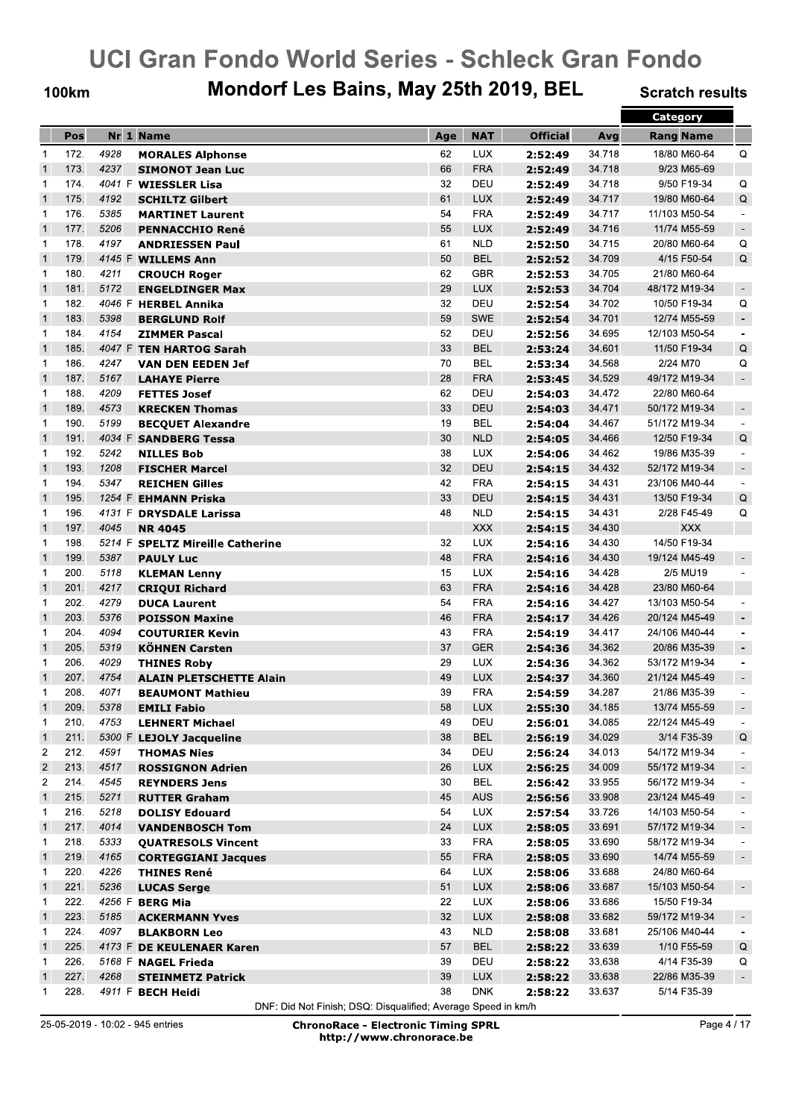#### **100km**

## Mondorf Les Bains, May 25th 2019, BEL

**Scratch results** 

|                |      |        |                                                  |     |                   |                    |        | <b>Category</b>  |                          |
|----------------|------|--------|--------------------------------------------------|-----|-------------------|--------------------|--------|------------------|--------------------------|
|                | Pos  |        | Nr 1 Name                                        | Age | <b>NAT</b>        | <b>Official</b>    | Avg    | <b>Rang Name</b> |                          |
| $\mathbf 1$    | 172. | 4928   | <b>MORALES Alphonse</b>                          | 62  | <b>LUX</b>        | 2:52:49            | 34.718 | 18/80 M60-64     | Q                        |
| $\overline{1}$ | 173. | 4237   | <b>SIMONOT Jean Luc</b>                          | 66  | <b>FRA</b>        | 2:52:49            | 34.718 | 9/23 M65-69      |                          |
| $\mathbf 1$    | 174. |        | 4041 F WIESSLER Lisa                             | 32  | DEU               | 2:52:49            | 34.718 | 9/50 F19-34      | Q                        |
| $\mathbf{1}$   | 175. | 4192   | <b>SCHILTZ Gilbert</b>                           | 61  | <b>LUX</b>        | 2:52:49            | 34.717 | 19/80 M60-64     | Q                        |
| $\mathbf 1$    | 176. | 5385   | <b>MARTINET Laurent</b>                          | 54  | <b>FRA</b>        | 2:52:49            | 34.717 | 11/103 M50-54    | $\overline{\phantom{a}}$ |
| $\overline{1}$ | 177. | 5206   | <b>PENNACCHIO René</b>                           | 55  | <b>LUX</b>        | 2:52:49            | 34.716 | 11/74 M55-59     | $\overline{\phantom{a}}$ |
| $\mathbf 1$    | 178. | 4197   | <b>ANDRIESSEN Paul</b>                           | 61  | <b>NLD</b>        | 2:52:50            | 34.715 | 20/80 M60-64     | Q                        |
| $\overline{1}$ | 179. | 4145 F | <b>WILLEMS Ann</b>                               | 50  | <b>BEL</b>        | 2:52:52            | 34.709 | 4/15 F50-54      | Q                        |
| $\mathbf{1}$   | 180. | 4211   | <b>CROUCH Roger</b>                              | 62  | <b>GBR</b>        | 2:52:53            | 34.705 | 21/80 M60-64     |                          |
| $\overline{1}$ | 181. | 5172   | <b>ENGELDINGER Max</b>                           | 29  | <b>LUX</b>        | 2:52:53            | 34.704 | 48/172 M19-34    | $\overline{\phantom{a}}$ |
| $\mathbf 1$    | 182. |        | 4046 F HERBEL Annika                             | 32  | DEU               | 2:52:54            | 34.702 | 10/50 F19-34     | Q                        |
| $\overline{1}$ | 183. | 5398   | <b>BERGLUND Rolf</b>                             | 59  | <b>SWE</b>        | 2:52:54            | 34.701 | 12/74 M55-59     | $\overline{\phantom{a}}$ |
| $\mathbf 1$    | 184. | 4154   | <b>ZIMMER Pascal</b>                             | 52  | DEU               | 2:52:56            | 34.695 | 12/103 M50-54    | $\sim$                   |
| $\mathbf{1}$   | 185. |        | 4047 F TEN HARTOG Sarah                          | 33  | <b>BEL</b>        | 2:53:24            | 34.601 | 11/50 F19-34     | $\mathsf Q$              |
| 1              | 186. | 4247   | <b>VAN DEN EEDEN Jef</b>                         | 70  | <b>BEL</b>        | 2:53:34            | 34.568 | 2/24 M70         | Q                        |
| $\overline{1}$ | 187. | 5167   | <b>LAHAYE Pierre</b>                             | 28  | <b>FRA</b>        | 2:53:45            | 34.529 | 49/172 M19-34    | $\blacksquare$           |
| $\mathbf 1$    | 188. | 4209   | <b>FETTES Josef</b>                              | 62  | DEU               | 2:54:03            | 34.472 | 22/80 M60-64     |                          |
| $\overline{1}$ | 189. | 4573   | <b>KRECKEN Thomas</b>                            | 33  | DEU               | 2:54:03            | 34.471 | 50/172 M19-34    | $\overline{\phantom{a}}$ |
| $\mathbf 1$    | 190. | 5199   | <b>BECQUET Alexandre</b>                         | 19  | <b>BEL</b>        | 2:54:04            | 34.467 | 51/172 M19-34    | $\blacksquare$           |
| $\overline{1}$ | 191. |        | 4034 F SANDBERG Tessa                            | 30  | <b>NLD</b>        | 2:54:05            | 34.466 | 12/50 F19-34     | Q                        |
| $\mathbf 1$    | 192. | 5242   | <b>NILLES Bob</b>                                | 38  | <b>LUX</b>        | 2:54:06            | 34.462 | 19/86 M35-39     | $\blacksquare$           |
| $\overline{1}$ | 193. | 1208   | <b>FISCHER Marcel</b>                            | 32  | DEU               | 2:54:15            | 34.432 | 52/172 M19-34    | $\blacksquare$           |
| 1              | 194. | 5347   | <b>REICHEN Gilles</b>                            | 42  | <b>FRA</b>        | 2:54:15            | 34.431 | 23/106 M40-44    | $\blacksquare$           |
| $\overline{1}$ | 195. | 1254 F | <b>EHMANN Priska</b>                             | 33  | DEU               | 2:54:15            | 34.431 | 13/50 F19-34     | Q                        |
| $\mathbf 1$    | 196. |        | 4131 F DRYSDALE Larissa                          | 48  | <b>NLD</b>        | 2:54:15            | 34.431 | 2/28 F45-49      | Q                        |
| $\overline{1}$ | 197. | 4045   | <b>NR 4045</b>                                   |     | <b>XXX</b>        | 2:54:15            | 34.430 | <b>XXX</b>       |                          |
| $\mathbf{1}$   | 198. |        | 5214 F SPELTZ Mireille Catherine                 | 32  | <b>LUX</b>        | 2:54:16            | 34.430 | 14/50 F19-34     |                          |
| $\overline{1}$ | 199. | 5387   | <b>PAULY Luc</b>                                 | 48  | <b>FRA</b>        | 2:54:16            | 34.430 | 19/124 M45-49    | $\overline{\phantom{a}}$ |
| $\mathbf{1}$   | 200. | 5118   | <b>KLEMAN Lenny</b>                              | 15  | <b>LUX</b>        | 2:54:16            | 34.428 | 2/5 MU19         | ۰                        |
| $\overline{1}$ | 201. | 4217   | <b>CRIQUI Richard</b>                            | 63  | <b>FRA</b>        | 2:54:16            | 34.428 | 23/80 M60-64     |                          |
| 1              | 202. | 4279   | <b>DUCA Laurent</b>                              | 54  | <b>FRA</b>        | 2:54:16            | 34.427 | 13/103 M50-54    |                          |
| $\overline{1}$ | 203. | 5376   | <b>POISSON Maxine</b>                            | 46  | <b>FRA</b>        | 2:54:17            | 34.426 | 20/124 M45-49    |                          |
| 1              | 204. | 4094   | <b>COUTURIER Kevin</b>                           | 43  | <b>FRA</b>        | 2:54:19            | 34.417 | 24/106 M40-44    |                          |
| $\vert$ 1      | 205. | 5319   | <b>KÖHNEN Carsten</b>                            | 37  | <b>GER</b>        | 2:54:36            | 34.362 | 20/86 M35-39     | $\blacksquare$           |
| 1              | 206. | 4029   | <b>THINES Roby</b>                               | 29  | <b>LUX</b>        | 2:54:36            | 34.362 | 53/172 M19-34    | $\overline{\phantom{a}}$ |
| $\overline{1}$ | 207. | 4754   | <b>ALAIN PLETSCHETTE Alain</b>                   | 49  | <b>LUX</b>        | 2:54:37            | 34.360 | 21/124 M45-49    | $\overline{\phantom{a}}$ |
| 1              | 208. | 4071   | <b>BEAUMONT Mathieu</b>                          | 39  | <b>FRA</b>        | 2:54:59            | 34.287 | 21/86 M35-39     | $\overline{\phantom{a}}$ |
| $\mathbf 1$    | 209. | 5378   | <b>EMILI Fabio</b>                               | 58  | <b>LUX</b>        | 2:55:30            | 34.185 | 13/74 M55-59     |                          |
| 1              | 210. | 4753   | <b>LEHNERT Michael</b>                           | 49  | DEU               | 2:56:01            | 34.085 | 22/124 M45-49    | $\sim$                   |
| $\vert$ 1      | 211. |        | 5300 F LEJOLY Jacqueline                         | 38  | <b>BEL</b>        | 2:56:19            | 34.029 | 3/14 F35-39      | Q                        |
| 2              | 212. | 4591   | <b>THOMAS Nies</b>                               | 34  | DEU               | 2:56:24            | 34.013 | 54/172 M19-34    | $\overline{\phantom{a}}$ |
| $\overline{2}$ | 213. | 4517   | <b>ROSSIGNON Adrien</b>                          | 26  | <b>LUX</b>        | 2:56:25            | 34.009 | 55/172 M19-34    | $\overline{\phantom{a}}$ |
| 2              | 214. | 4545   | <b>REYNDERS Jens</b>                             | 30  | <b>BEL</b>        | 2:56:42            | 33.955 | 56/172 M19-34    | $\overline{\phantom{a}}$ |
| $\mathbf{1}$   | 215. | 5271   | <b>RUTTER Graham</b>                             | 45  | <b>AUS</b>        | 2:56:56            | 33.908 | 23/124 M45-49    | $\overline{\phantom{a}}$ |
| 1              | 216. | 5218   | <b>DOLISY Edouard</b>                            | 54  | <b>LUX</b>        | 2:57:54            | 33.726 | 14/103 M50-54    | $\overline{\phantom{a}}$ |
| $\mathbf{1}$   | 217. | 4014   | <b>VANDENBOSCH Tom</b>                           | 24  | <b>LUX</b>        | 2:58:05            | 33.691 | 57/172 M19-34    | $\overline{\phantom{a}}$ |
| 1              | 218. | 5333   | <b>QUATRESOLS Vincent</b>                        | 33  | <b>FRA</b>        | 2:58:05            | 33.690 | 58/172 M19-34    | $\overline{\phantom{a}}$ |
| $\mathbf{1}$   | 219. | 4165   |                                                  | 55  | <b>FRA</b>        |                    | 33.690 | 14/74 M55-59     | $\overline{\phantom{a}}$ |
| 1              | 220. | 4226   | <b>CORTEGGIANI Jacques</b><br><b>THINES René</b> | 64  | <b>LUX</b>        | 2:58:05<br>2:58:06 | 33.688 | 24/80 M60-64     |                          |
| $\overline{1}$ | 221. | 5236   | <b>LUCAS Serge</b>                               | 51  | <b>LUX</b>        | 2:58:06            | 33.687 | 15/103 M50-54    | $\overline{\phantom{a}}$ |
| $\mathbf{1}$   | 222. |        | 4256 F BERG Mia                                  | 22  | <b>LUX</b>        | 2:58:06            | 33.686 | 15/50 F19-34     |                          |
| $\mathbf{1}$   | 223. | 5185   |                                                  | 32  | <b>LUX</b>        |                    | 33.682 | 59/172 M19-34    | $\overline{\phantom{a}}$ |
| 1              | 224. | 4097   | <b>ACKERMANN Yves</b>                            | 43  | <b>NLD</b>        | 2:58:08            | 33.681 | 25/106 M40-44    |                          |
|                |      |        | <b>BLAKBORN Leo</b>                              | 57  |                   | 2:58:08            |        |                  | $\overline{\phantom{a}}$ |
| $\mathbf{1}$   | 225. |        | 4173 F DE KEULENAER Karen                        |     | <b>BEL</b><br>DEU | 2:58:22            | 33.639 | 1/10 F55-59      | Q                        |
| 1              | 226. |        | 5168 F NAGEL Frieda                              | 39  |                   | 2:58:22            | 33.638 | 4/14 F35-39      | Q                        |
| $\vert$ 1      | 227. | 4268   | <b>STEINMETZ Patrick</b>                         | 39  | <b>LUX</b>        | 2:58:22            | 33.638 | 22/86 M35-39     | $\overline{\phantom{a}}$ |
| $\mathbf 1$    | 228. |        | 4911 F BECH Heidi                                | 38  | <b>DNK</b>        | 2:58:22            | 33.637 | 5/14 F35-39      |                          |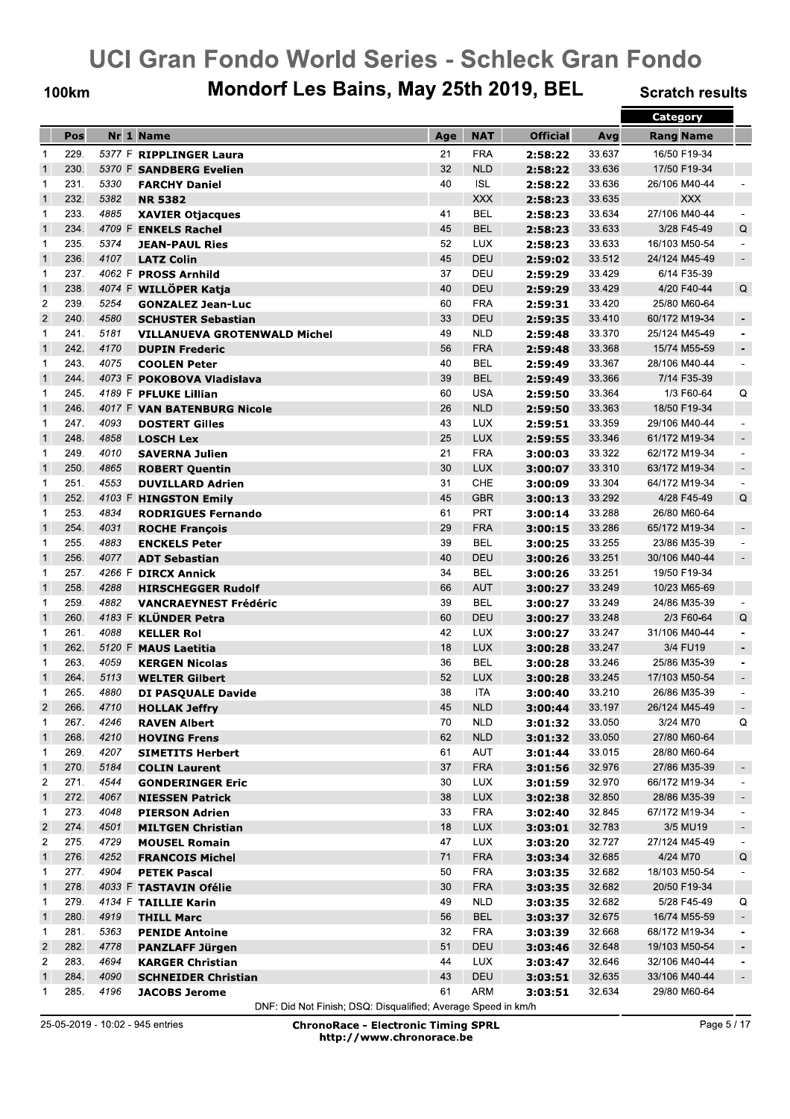**100km** 

## Mondorf Les Bains, May 25th 2019, BEL

**Scratch results** 

|                |      |      |                                     |     |            |                 |        | Category         |                          |
|----------------|------|------|-------------------------------------|-----|------------|-----------------|--------|------------------|--------------------------|
|                | Pos  |      | Nr 1 Name                           | Age | <b>NAT</b> | <b>Official</b> | Avg    | <b>Rang Name</b> |                          |
| $\mathbf{1}$   | 229. |      | 5377 F RIPPLINGER Laura             | 21  | <b>FRA</b> | 2:58:22         | 33.637 | 16/50 F19-34     |                          |
| $\overline{1}$ | 230. |      | 5370 F SANDBERG Evelien             | 32  | <b>NLD</b> | 2:58:22         | 33.636 | 17/50 F19-34     |                          |
| 1              | 231. | 5330 | <b>FARCHY Daniel</b>                | 40  | <b>ISL</b> | 2:58:22         | 33.636 | 26/106 M40-44    |                          |
| $\mathbf{1}$   | 232. | 5382 | <b>NR 5382</b>                      |     | <b>XXX</b> | 2:58:23         | 33.635 | <b>XXX</b>       |                          |
| 1              | 233. | 4885 | <b>XAVIER Otjacques</b>             | 41  | <b>BEL</b> | 2:58:23         | 33.634 | 27/106 M40-44    |                          |
| $\mathbf{1}$   | 234. |      | 4709 F ENKELS Rachel                | 45  | <b>BEL</b> | 2:58:23         | 33.633 | 3/28 F45-49      | Q                        |
| 1              | 235. | 5374 | <b>JEAN-PAUL Ries</b>               | 52  | <b>LUX</b> | 2:58:23         | 33.633 | 16/103 M50-54    | $\overline{\phantom{a}}$ |
| $\mathbf{1}$   | 236. | 4107 | <b>LATZ Colin</b>                   | 45  | <b>DEU</b> | 2:59:02         | 33.512 | 24/124 M45-49    | $\sim$                   |
| 1              | 237. |      | 4062 F PROSS Arnhild                | 37  | DEU        | 2:59:29         | 33.429 | 6/14 F35-39      |                          |
| $\mathbf{1}$   | 238. |      | 4074 F WILLÖPER Katja               | 40  | DEU        | 2:59:29         | 33.429 | 4/20 F40-44      | Q                        |
| $\overline{c}$ | 239. | 5254 | <b>GONZALEZ Jean-Luc</b>            | 60  | <b>FRA</b> | 2:59:31         | 33.420 | 25/80 M60-64     |                          |
| $\overline{2}$ | 240. | 4580 | <b>SCHUSTER Sebastian</b>           | 33  | <b>DEU</b> | 2:59:35         | 33.410 | 60/172 M19-34    | $\overline{\phantom{a}}$ |
| $\mathbf{1}$   | 241. | 5181 | <b>VILLANUEVA GROTENWALD Michel</b> | 49  | <b>NLD</b> | 2:59:48         | 33.370 | 25/124 M45-49    | $\blacksquare$           |
| $\mathbf{1}$   | 242. | 4170 | <b>DUPIN Frederic</b>               | 56  | <b>FRA</b> | 2:59:48         | 33.368 | 15/74 M55-59     | $\overline{\phantom{a}}$ |
| 1              | 243. | 4075 | <b>COOLEN Peter</b>                 | 40  | <b>BEL</b> | 2:59:49         | 33.367 | 28/106 M40-44    | $\blacksquare$           |
| $\mathbf{1}$   | 244. |      | 4073 F POKOBOVA Vladislava          | 39  | <b>BEL</b> | 2:59:49         | 33.366 | 7/14 F35-39      |                          |
| 1              | 245. |      | 4189 F PFLUKE Lillian               | 60  | <b>USA</b> | 2:59:50         | 33.364 | 1/3 F60-64       | Q                        |
| $\mathbf{1}$   | 246. |      | 4017 F VAN BATENBURG Nicole         | 26  | <b>NLD</b> | 2:59:50         | 33.363 | 18/50 F19-34     |                          |
| $\mathbf{1}$   | 247. | 4093 | <b>DOSTERT Gilles</b>               | 43  | <b>LUX</b> | 2:59:51         | 33.359 | 29/106 M40-44    | $\blacksquare$           |
| $\mathbf{1}$   | 248. | 4858 | <b>LOSCH Lex</b>                    | 25  | <b>LUX</b> | 2:59:55         | 33.346 | 61/172 M19-34    | $\overline{\phantom{a}}$ |
| 1              | 249. | 4010 | <b>SAVERNA Julien</b>               | 21  | <b>FRA</b> | 3:00:03         | 33.322 | 62/172 M19-34    | $\overline{\phantom{a}}$ |
| $\mathbf{1}$   | 250. | 4865 | <b>ROBERT Quentin</b>               | 30  | <b>LUX</b> | 3:00:07         | 33.310 | 63/172 M19-34    | $\overline{\phantom{a}}$ |
| 1              | 251. | 4553 | <b>DUVILLARD Adrien</b>             | 31  | <b>CHE</b> | 3:00:09         | 33.304 | 64/172 M19-34    | $\blacksquare$           |
| $\mathbf{1}$   | 252. |      | 4103 F HINGSTON Emily               | 45  | <b>GBR</b> | 3:00:13         | 33.292 | 4/28 F45-49      | Q                        |
| 1              | 253. | 4834 | <b>RODRIGUES Fernando</b>           | 61  | PRT        | 3:00:14         | 33.288 | 26/80 M60-64     |                          |
| $\overline{1}$ | 254. | 4031 | <b>ROCHE François</b>               | 29  | <b>FRA</b> | 3:00:15         | 33.286 | 65/172 M19-34    | $\overline{\phantom{a}}$ |
| $\mathbf{1}$   | 255. | 4883 | <b>ENCKELS Peter</b>                | 39  | <b>BEL</b> | 3:00:25         | 33.255 | 23/86 M35-39     | $\blacksquare$           |
| $\mathbf{1}$   | 256. | 4077 | <b>ADT Sebastian</b>                | 40  | DEU        | 3:00:26         | 33.251 | 30/106 M40-44    | $\blacksquare$           |
| 1              | 257. |      | 4266 F DIRCX Annick                 | 34  | BEL        | 3:00:26         | 33.251 | 19/50 F19-34     |                          |
| $\mathbf{1}$   | 258. | 4288 | <b>HIRSCHEGGER Rudolf</b>           | 66  | <b>AUT</b> | 3:00:27         | 33.249 | 10/23 M65-69     |                          |
| 1              | 259. | 4882 | <b>VANCRAEYNEST Frédéric</b>        | 39  | <b>BEL</b> | 3:00:27         | 33.249 | 24/86 M35-39     | $\overline{\phantom{a}}$ |
| $\mathbf{1}$   | 260. |      | 4183 F KLÜNDER Petra                | 60  | <b>DEU</b> | 3:00:27         | 33.248 | 2/3 F60-64       | Q                        |
| 1              | 261. | 4088 | <b>KELLER Rol</b>                   | 42  | <b>LUX</b> | 3:00:27         | 33.247 | 31/106 M40-44    |                          |
| $\overline{1}$ | 262. |      | 5120 F MAUS Laetitia                | 18  | <b>LUX</b> | 3:00:28         | 33.247 | 3/4 FU19         | $\overline{\phantom{a}}$ |
| $\mathbf{1}$   | 263. | 4059 | <b>KERGEN Nicolas</b>               | 36  | <b>BEL</b> | 3:00:28         | 33.246 | 25/86 M35-39     | $\blacksquare$           |
| $\mathbf{1}$   | 264. | 5113 | <b>WELTER Gilbert</b>               | 52  | <b>LUX</b> | 3:00:28         | 33.245 | 17/103 M50-54    | $\overline{\phantom{a}}$ |
| 1              | 265. | 4880 | <b>DI PASQUALE Davide</b>           | 38  | ITA        | 3:00:40         | 33.210 | 26/86 M35-39     |                          |
| $\overline{2}$ | 266. | 4710 | <b>HOLLAK Jeffry</b>                | 45  | <b>NLD</b> | 3:00:44         | 33.197 | 26/124 M45-49    | $\sim$                   |
| 1              | 267. | 4246 | <b>RAVEN Albert</b>                 | 70  | <b>NLD</b> | 3:01:32         | 33.050 | 3/24 M70         | Q                        |
| $\mathbf{1}$   | 268. | 4210 | <b>HOVING Frens</b>                 | 62  | <b>NLD</b> | 3:01:32         | 33.050 | 27/80 M60-64     |                          |
| $\mathbf{1}$   | 269. | 4207 | <b>SIMETITS Herbert</b>             | 61  | AUT        | 3:01:44         | 33.015 | 28/80 M60-64     |                          |
| $\overline{1}$ | 270. | 5184 | <b>COLIN Laurent</b>                | 37  | <b>FRA</b> | 3:01:56         | 32.976 | 27/86 M35-39     | ÷                        |
| 2              | 271. | 4544 | <b>GONDERINGER Eric</b>             | 30  | <b>LUX</b> | 3:01:59         | 32.970 | 66/172 M19-34    |                          |
| $\mathbf{1}$   | 272. | 4067 | <b>NIESSEN Patrick</b>              | 38  | <b>LUX</b> | 3:02:38         | 32.850 | 28/86 M35-39     | ٠                        |
| $\mathbf{1}$   | 273. | 4048 | <b>PIERSON Adrien</b>               | 33  | <b>FRA</b> | 3:02:40         | 32.845 | 67/172 M19-34    | $\overline{\phantom{a}}$ |
| $\overline{2}$ | 274. | 4501 | <b>MILTGEN Christian</b>            | 18  | <b>LUX</b> | 3:03:01         | 32.783 | 3/5 MU19         | $\overline{\phantom{a}}$ |
| 2              | 275. | 4729 | <b>MOUSEL Romain</b>                | 47  | <b>LUX</b> | 3:03:20         | 32.727 | 27/124 M45-49    | $\overline{\phantom{a}}$ |
| $\mathbf{1}$   | 276. | 4252 | <b>FRANCOIS Michel</b>              | 71  | <b>FRA</b> | 3:03:34         | 32.685 | 4/24 M70         | Q                        |
| 1              | 277. | 4904 | <b>PETEK Pascal</b>                 | 50  | <b>FRA</b> | 3:03:35         | 32.682 | 18/103 M50-54    | $\overline{\phantom{0}}$ |
| $\mathbf{1}$   | 278. |      | 4033 F TASTAVIN Ofélie              | 30  | <b>FRA</b> | 3:03:35         | 32.682 | 20/50 F19-34     |                          |
| $\mathbf{1}$   | 279. |      | 4134 F TAILLIE Karin                | 49  | <b>NLD</b> | 3:03:35         | 32.682 | 5/28 F45-49      | Q                        |
| $\mathbf{1}$   | 280. | 4919 | <b>THILL Marc</b>                   | 56  | <b>BEL</b> | 3:03:37         | 32.675 | 16/74 M55-59     | $\blacksquare$           |
| $\mathbf{1}$   | 281. | 5363 | <b>PENIDE Antoine</b>               | 32  | <b>FRA</b> | 3:03:39         | 32.668 | 68/172 M19-34    | $\overline{\phantom{0}}$ |
| $\overline{2}$ | 282. | 4778 | <b>PANZLAFF Jürgen</b>              | 51  | DEU        | 3:03:46         | 32.648 | 19/103 M50-54    | $\blacksquare$           |
| 2              | 283. | 4694 | <b>KARGER Christian</b>             | 44  | <b>LUX</b> | 3:03:47         | 32.646 | 32/106 M40-44    | $\overline{\phantom{a}}$ |
| $\overline{1}$ | 284. | 4090 | <b>SCHNEIDER Christian</b>          | 43  | DEU        | 3:03:51         | 32.635 | 33/106 M40-44    | $\sim$                   |
| -1             | 285. | 4196 | <b>JACOBS Jerome</b>                | 61  | ARM        | 3:03:51         | 32.634 | 29/80 M60-64     |                          |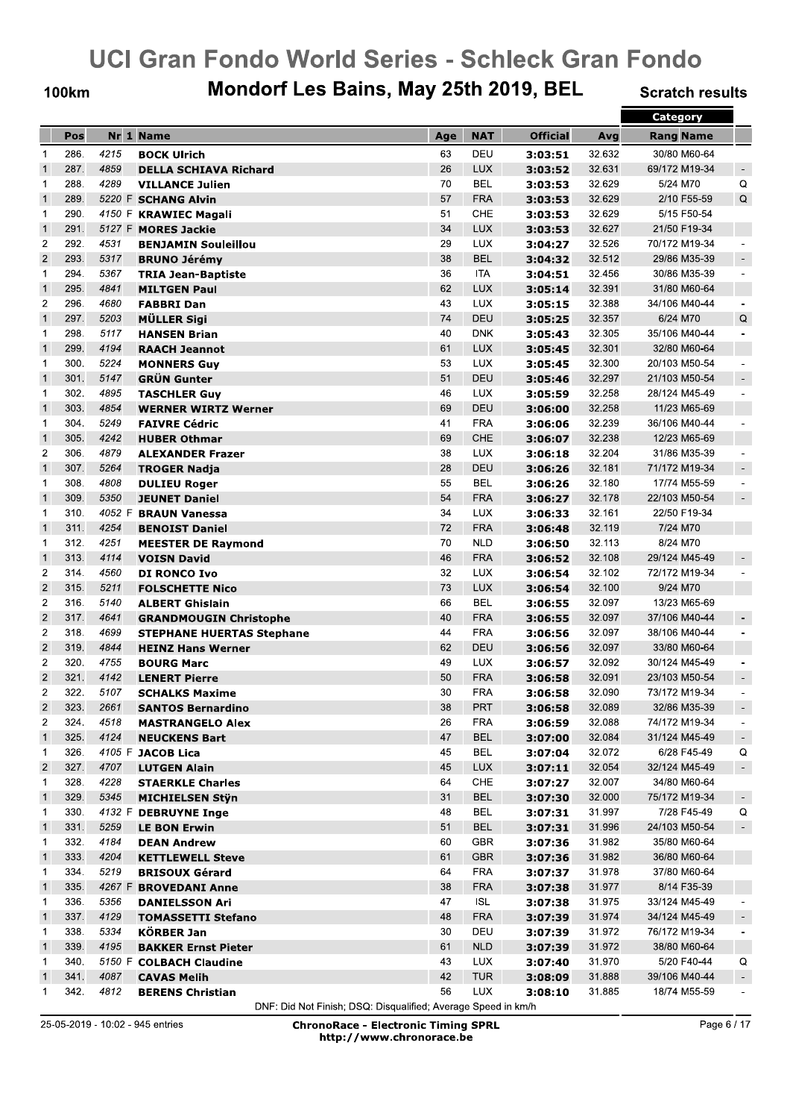**100km** 

## Mondorf Les Bains, May 25th 2019, BEL

**Scratch results** 

|                         |      |        |                                  |     |            |                 |        | <b>Category</b>  |                          |
|-------------------------|------|--------|----------------------------------|-----|------------|-----------------|--------|------------------|--------------------------|
|                         | Pos  |        | Nr 1 Name                        | Age | <b>NAT</b> | <b>Official</b> | Avg    | <b>Rang Name</b> |                          |
| 1                       | 286. | 4215   | <b>BOCK Ulrich</b>               | 63  | DEU        | 3:03:51         | 32.632 | 30/80 M60-64     |                          |
| $\overline{1}$          | 287. | 4859   | <b>DELLA SCHIAVA Richard</b>     | 26  | <b>LUX</b> | 3:03:52         | 32.631 | 69/172 M19-34    | $\overline{\phantom{a}}$ |
| 1                       | 288. | 4289   | <b>VILLANCE Julien</b>           | 70  | <b>BEL</b> | 3:03:53         | 32.629 | 5/24 M70         | Q                        |
| $\mathbf{1}$            | 289. |        | 5220 F SCHANG Alvin              | 57  | <b>FRA</b> | 3:03:53         | 32.629 | 2/10 F55-59      | Q                        |
| 1                       | 290. |        | 4150 F KRAWIEC Magali            | 51  | <b>CHE</b> | 3:03:53         | 32.629 | 5/15 F50-54      |                          |
| $\mathbf{1}$            | 291. |        | 5127 F MORES Jackie              | 34  | <b>LUX</b> | 3:03:53         | 32.627 | 21/50 F19-34     |                          |
| $\overline{2}$          | 292. | 4531   | <b>BENJAMIN Souleillou</b>       | 29  | <b>LUX</b> | 3:04:27         | 32.526 | 70/172 M19-34    |                          |
| $\overline{2}$          | 293. | 5317   | <b>BRUNO Jérémy</b>              | 38  | <b>BEL</b> | 3:04:32         | 32.512 | 29/86 M35-39     | $\overline{\phantom{a}}$ |
| 1                       | 294. | 5367   | <b>TRIA Jean-Baptiste</b>        | 36  | <b>ITA</b> | 3:04:51         | 32.456 | 30/86 M35-39     | $\overline{\phantom{a}}$ |
| $\mathbf{1}$            | 295. | 4841   | <b>MILTGEN Paul</b>              | 62  | <b>LUX</b> | 3:05:14         | 32.391 | 31/80 M60-64     |                          |
| $\overline{\mathbf{c}}$ | 296. | 4680   | <b>FABBRI Dan</b>                | 43  | <b>LUX</b> | 3:05:15         | 32.388 | 34/106 M40-44    |                          |
| $\mathbf{1}$            | 297. | 5203   | MÜLLER Sigi                      | 74  | DEU        | 3:05:25         | 32.357 | 6/24 M70         | Q                        |
| 1                       | 298. | 5117   |                                  | 40  | <b>DNK</b> |                 | 32.305 | 35/106 M40-44    |                          |
| $\mathbf{1}$            | 299. | 4194   | <b>HANSEN Brian</b>              | 61  | <b>LUX</b> | 3:05:43         | 32.301 | 32/80 M60-64     |                          |
| 1                       | 300. | 5224   | <b>RAACH Jeannot</b>             | 53  | <b>LUX</b> | 3:05:45         | 32.300 | 20/103 M50-54    |                          |
| $\mathbf{1}$            | 301. | 5147   | <b>MONNERS Guy</b>               | 51  | DEU        | 3:05:45         | 32.297 | 21/103 M50-54    |                          |
|                         |      |        | <b>GRÜN Gunter</b>               |     |            | 3:05:46         |        |                  |                          |
| 1                       | 302. | 4895   | <b>TASCHLER Guy</b>              | 46  | <b>LUX</b> | 3:05:59         | 32.258 | 28/124 M45-49    |                          |
| $\mathbf{1}$            | 303. | 4854   | <b>WERNER WIRTZ Werner</b>       | 69  | DEU        | 3:06:00         | 32.258 | 11/23 M65-69     |                          |
| 1                       | 304. | 5249   | <b>FAIVRE Cédric</b>             | 41  | <b>FRA</b> | 3:06:06         | 32.239 | 36/106 M40-44    |                          |
| $\mathbf{1}$            | 305. | 4242   | <b>HUBER Othmar</b>              | 69  | <b>CHE</b> | 3:06:07         | 32.238 | 12/23 M65-69     |                          |
| $\overline{c}$          | 306. | 4879   | <b>ALEXANDER Frazer</b>          | 38  | <b>LUX</b> | 3:06:18         | 32.204 | 31/86 M35-39     |                          |
| $\mathbf{1}$            | 307. | 5264   | <b>TROGER Nadja</b>              | 28  | DEU        | 3:06:26         | 32.181 | 71/172 M19-34    | $\overline{\phantom{a}}$ |
| 1                       | 308. | 4808   | <b>DULIEU Roger</b>              | 55  | <b>BEL</b> | 3:06:26         | 32.180 | 17/74 M55-59     |                          |
| $\mathbf{1}$            | 309. | 5350   | <b>JEUNET Daniel</b>             | 54  | <b>FRA</b> | 3:06:27         | 32.178 | 22/103 M50-54    | $\overline{\phantom{a}}$ |
| 1                       | 310. | 4052 F | <b>BRAUN Vanessa</b>             | 34  | LUX        | 3:06:33         | 32.161 | 22/50 F19-34     |                          |
| $\mathbf{1}$            | 311. | 4254   | <b>BENOIST Daniel</b>            | 72  | <b>FRA</b> | 3:06:48         | 32.119 | 7/24 M70         |                          |
| 1                       | 312. | 4251   | <b>MEESTER DE Raymond</b>        | 70  | <b>NLD</b> | 3:06:50         | 32.113 | 8/24 M70         |                          |
| $\mathbf{1}$            | 313. | 4114   | <b>VOISN David</b>               | 46  | <b>FRA</b> | 3:06:52         | 32.108 | 29/124 M45-49    |                          |
| $\overline{c}$          | 314. | 4560   | DI RONCO Ivo                     | 32  | <b>LUX</b> | 3:06:54         | 32.102 | 72/172 M19-34    |                          |
| $\overline{\mathbf{c}}$ | 315. | 5211   | <b>FOLSCHETTE Nico</b>           | 73  | <b>LUX</b> | 3:06:54         | 32.100 | 9/24 M70         |                          |
| $\overline{c}$          | 316. | 5140   | <b>ALBERT Ghislain</b>           | 66  | <b>BEL</b> | 3:06:55         | 32.097 | 13/23 M65-69     |                          |
| $\overline{2}$          | 317. | 4641   | <b>GRANDMOUGIN Christophe</b>    | 40  | <b>FRA</b> | 3:06:55         | 32.097 | 37/106 M40-44    |                          |
| $\overline{c}$          | 318. | 4699   | <b>STEPHANE HUERTAS Stephane</b> | 44  | <b>FRA</b> | 3:06:56         | 32.097 | 38/106 M40-44    |                          |
| $\overline{c}$          | 319. | 4844   | <b>HEINZ Hans Werner</b>         | 62  | DEU        | 3:06:56         | 32.097 | 33/80 M60-64     |                          |
| $\overline{c}$          | 320. | 4755   | <b>BOURG Marc</b>                | 49  | <b>LUX</b> | 3:06:57         | 32.092 | 30/124 M45-49    |                          |
| $\overline{c}$          | 321. | 4142   | <b>LENERT Pierre</b>             | 50  | <b>FRA</b> | 3:06:58         | 32.091 | 23/103 M50-54    | $\overline{\phantom{a}}$ |
| $\overline{2}$          | 322. | 5107   | <b>SCHALKS Maxime</b>            | 30  | <b>FRA</b> | 3:06:58         | 32.090 | 73/172 M19-34    |                          |
| $\overline{\mathbf{c}}$ | 323. | 2661   | <b>SANTOS Bernardino</b>         | 38  | <b>PRT</b> | 3:06:58         | 32.089 | 32/86 M35-39     |                          |
| $\overline{2}$          | 324. | 4518   | <b>MASTRANGELO Alex</b>          | 26  | <b>FRA</b> | 3:06:59         | 32.088 | 74/172 M19-34    | $\overline{\phantom{a}}$ |
| $\mathbf{1}$            | 325. | 4124   | <b>NEUCKENS Bart</b>             | 47  | <b>BEL</b> | 3:07:00         | 32.084 | 31/124 M45-49    | ۰                        |
| $\mathbf{1}$            | 326. |        | 4105 F JACOB Lica                | 45  | <b>BEL</b> | 3:07:04         | 32.072 | 6/28 F45-49      | Q                        |
| $\overline{2}$          | 327. | 4707   | <b>LUTGEN Alain</b>              | 45  | <b>LUX</b> | 3:07:11         | 32.054 | 32/124 M45-49    | $\sim$                   |
| 1                       | 328. | 4228   | <b>STAERKLE Charles</b>          | 64  | CHE        | 3:07:27         | 32.007 | 34/80 M60-64     |                          |
| $\mathbf{1}$            | 329. | 5345   | <b>MICHIELSEN Styn</b>           | 31  | <b>BEL</b> | 3:07:30         | 32.000 | 75/172 M19-34    | $\blacksquare$           |
| 1                       | 330. |        | 4132 F DEBRUYNE Inge             | 48  | <b>BEL</b> | 3:07:31         | 31.997 | 7/28 F45-49      | Q                        |
| $\mathbf{1}$            | 331. | 5259   | <b>LE BON Erwin</b>              | 51  | <b>BEL</b> | 3:07:31         | 31.996 | 24/103 M50-54    | $\sim$                   |
| 1                       | 332. | 4184   | <b>DEAN Andrew</b>               | 60  | <b>GBR</b> | 3:07:36         | 31.982 | 35/80 M60-64     |                          |
| $\mathbf{1}$            | 333. | 4204   | <b>KETTLEWELL Steve</b>          | 61  | <b>GBR</b> | 3:07:36         | 31.982 | 36/80 M60-64     |                          |
| $\mathbf{1}$            | 334. | 5219   | <b>BRISOUX Gérard</b>            | 64  | <b>FRA</b> | 3:07:37         | 31.978 | 37/80 M60-64     |                          |
| $\mathbf{1}$            | 335. |        | 4267 F BROVEDANI Anne            | 38  | <b>FRA</b> | 3:07:38         | 31.977 | 8/14 F35-39      |                          |
| $\mathbf{1}$            | 336. | 5356   | <b>DANIELSSON Ari</b>            | 47  | <b>ISL</b> | 3:07:38         | 31.975 | 33/124 M45-49    |                          |
| $\mathbf{1}$            | 337. | 4129   | <b>TOMASSETTI Stefano</b>        | 48  | <b>FRA</b> | 3:07:39         | 31.974 | 34/124 M45-49    |                          |
| 1                       | 338. | 5334   | <b>KÖRBER Jan</b>                | 30  | DEU        | 3:07:39         | 31.972 | 76/172 M19-34    |                          |
| $\mathbf{1}$            | 339. | 4195   | <b>BAKKER Ernst Pieter</b>       | 61  | <b>NLD</b> | 3:07:39         | 31.972 | 38/80 M60-64     |                          |
| 1                       | 340. |        | 5150 F COLBACH Claudine          | 43  | <b>LUX</b> | 3:07:40         | 31.970 | 5/20 F40-44      | Q                        |
| $\mathbf{1}$            | 341. | 4087   | <b>CAVAS Melih</b>               | 42  | <b>TUR</b> | 3:08:09         | 31.888 | 39/106 M40-44    | $\overline{\phantom{a}}$ |
| $\mathbf{1}$            | 342. | 4812   | <b>BERENS Christian</b>          | 56  | LUX        | 3:08:10         | 31.885 | 18/74 M55-59     |                          |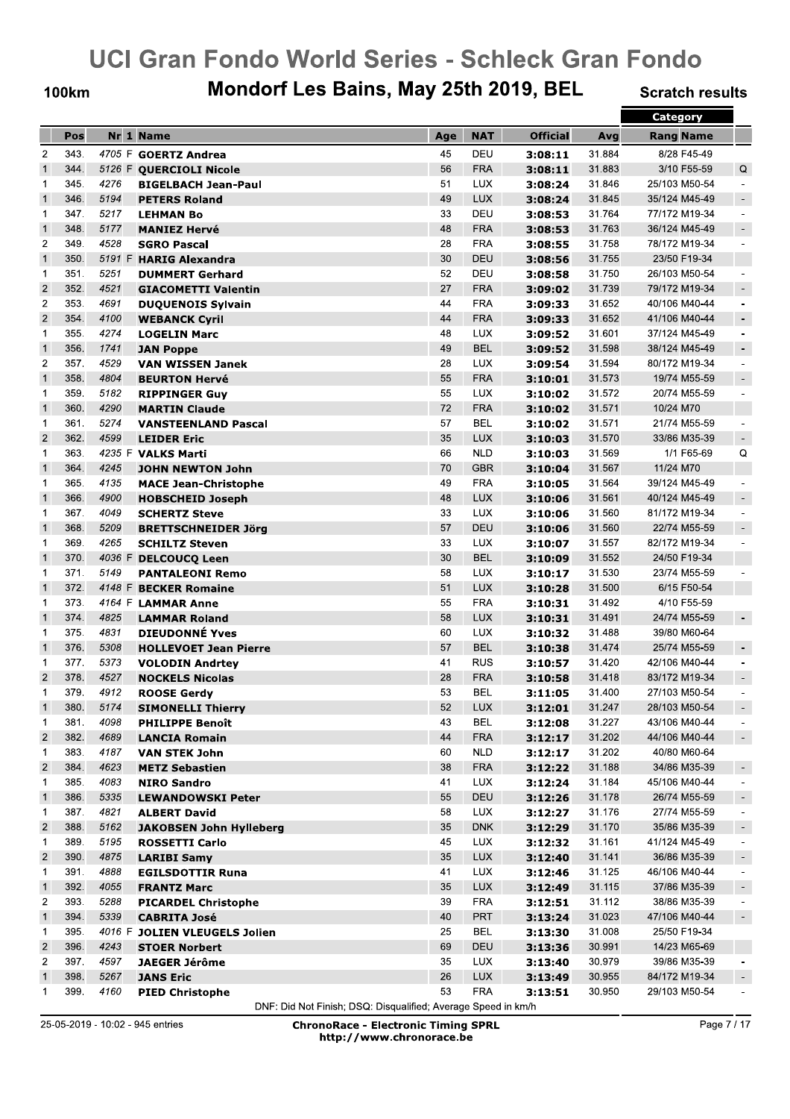**100km** 

## Mondorf Les Bains, May 25th 2019, BEL

**Scratch results** 

|                         |              |              |                                |        |            |                 |        | <b>Category</b>  |                          |
|-------------------------|--------------|--------------|--------------------------------|--------|------------|-----------------|--------|------------------|--------------------------|
|                         | Pos          |              | Nr 1 Name                      | Age    | <b>NAT</b> | <b>Official</b> | Avg    | <b>Rang Name</b> |                          |
| $\overline{c}$          | 343.         |              | 4705 F GOERTZ Andrea           | 45     | DEU        | 3:08:11         | 31.884 | 8/28 F45-49      |                          |
| $\overline{1}$          | 344.         |              | 5126 F QUERCIOLI Nicole        | 56     | <b>FRA</b> | 3:08:11         | 31.883 | 3/10 F55-59      | Q                        |
| 1                       | 345.         | 4276         | <b>BIGELBACH Jean-Paul</b>     | 51     | <b>LUX</b> | 3:08:24         | 31.846 | 25/103 M50-54    | $\overline{a}$           |
| $\mathbf{1}$            | 346.         | 5194         | <b>PETERS Roland</b>           | 49     | <b>LUX</b> | 3:08:24         | 31.845 | 35/124 M45-49    | $\sim$                   |
| 1                       | 347.         | 5217         | <b>LEHMAN Bo</b>               | 33     | DEU        | 3:08:53         | 31.764 | 77/172 M19-34    | $\overline{\phantom{a}}$ |
| $\overline{1}$          | 348.         | 5177         | <b>MANIEZ Hervé</b>            | 48     | <b>FRA</b> | 3:08:53         | 31.763 | 36/124 M45-49    | $\overline{\phantom{a}}$ |
| $\overline{2}$          | 349.         | 4528         | <b>SGRO Pascal</b>             | 28     | <b>FRA</b> | 3:08:55         | 31.758 | 78/172 M19-34    | $\overline{a}$           |
| $\overline{1}$          | 350.         | 5191 F       | <b>HARIG Alexandra</b>         | 30     | DEU        | 3:08:56         | 31.755 | 23/50 F19-34     |                          |
| $\mathbf{1}$            | 351.         | 5251         | <b>DUMMERT Gerhard</b>         | 52     | DEU        | 3:08:58         | 31.750 | 26/103 M50-54    |                          |
| $\overline{c}$          | 352.         | 4521         | <b>GIACOMETTI Valentin</b>     | 27     | <b>FRA</b> | 3:09:02         | 31.739 | 79/172 M19-34    | $\overline{\phantom{a}}$ |
| $\overline{2}$          | 353.         | 4691         | <b>DUQUENOIS Sylvain</b>       | 44     | <b>FRA</b> | 3:09:33         | 31.652 | 40/106 M40-44    |                          |
| $\overline{2}$          | 354.         | 4100         | <b>WEBANCK Cyril</b>           | 44     | <b>FRA</b> | 3:09:33         | 31.652 | 41/106 M40-44    | $\overline{\phantom{a}}$ |
| 1                       | 355.         | 4274         |                                | 48     | <b>LUX</b> |                 | 31.601 | 37/124 M45-49    | $\overline{\phantom{a}}$ |
| $\overline{1}$          | 356.         | 1741         | <b>LOGELIN Marc</b>            | 49     | <b>BEL</b> | 3:09:52         | 31.598 | 38/124 M45-49    | $\overline{\phantom{a}}$ |
|                         | 357.         | 4529         | <b>JAN Poppe</b>               | 28     |            | 3:09:52         | 31.594 |                  |                          |
| 2                       |              |              | <b>VAN WISSEN Janek</b>        |        | <b>LUX</b> | 3:09:54         |        | 80/172 M19-34    | $\ddot{\phantom{1}}$     |
| $\mathbf{1}$            | 358.         | 4804         | <b>BEURTON Hervé</b>           | 55     | <b>FRA</b> | 3:10:01         | 31.573 | 19/74 M55-59     | $\overline{\phantom{a}}$ |
| 1                       | 359.         | 5182         | <b>RIPPINGER Guy</b>           | 55     | <b>LUX</b> | 3:10:02         | 31.572 | 20/74 M55-59     | $\blacksquare$           |
| $\mathbf{1}$            | 360.         | 4290         | <b>MARTIN Claude</b>           | 72     | <b>FRA</b> | 3:10:02         | 31.571 | 10/24 M70        |                          |
| 1                       | 361.         | 5274         | <b>VANSTEENLAND Pascal</b>     | 57     | <b>BEL</b> | 3:10:02         | 31.571 | 21/74 M55-59     |                          |
| $\overline{2}$          | 362.         | 4599         | <b>LEIDER Eric</b>             | 35     | <b>LUX</b> | 3:10:03         | 31.570 | 33/86 M35-39     | $\blacksquare$           |
| 1                       | 363.         | 4235 F       | <b>VALKS Marti</b>             | 66     | <b>NLD</b> | 3:10:03         | 31.569 | 1/1 F65-69       | Q                        |
| $\mathbf{1}$            | 364.         | 4245         | <b>JOHN NEWTON John</b>        | 70     | <b>GBR</b> | 3:10:04         | 31.567 | 11/24 M70        |                          |
| 1                       | 365.         | 4135         | <b>MACE Jean-Christophe</b>    | 49     | <b>FRA</b> | 3:10:05         | 31.564 | 39/124 M45-49    | $\overline{a}$           |
| $\mathbf{1}$            | 366.         | 4900         | <b>HOBSCHEID Joseph</b>        | 48     | <b>LUX</b> | 3:10:06         | 31.561 | 40/124 M45-49    | $\overline{\phantom{a}}$ |
| 1                       | 367.         | 4049         | <b>SCHERTZ Steve</b>           | 33     | <b>LUX</b> | 3:10:06         | 31.560 | 81/172 M19-34    | $\overline{\phantom{a}}$ |
| $\mathbf{1}$            | 368.         | 5209         | <b>BRETTSCHNEIDER Jörg</b>     | 57     | DEU        | 3:10:06         | 31.560 | 22/74 M55-59     | $\overline{\phantom{a}}$ |
| 1                       | 369.         | 4265         | <b>SCHILTZ Steven</b>          | 33     | <b>LUX</b> | 3:10:07         | 31.557 | 82/172 M19-34    | $\overline{\phantom{a}}$ |
| $\mathbf{1}$            | 370.         | 4036 F       | <b>DELCOUCQ Leen</b>           | 30     | BEL        | 3:10:09         | 31.552 | 24/50 F19-34     |                          |
| 1                       | 371.         | 5149         | <b>PANTALEONI Remo</b>         | 58     | <b>LUX</b> | 3:10:17         | 31.530 | 23/74 M55-59     |                          |
| $\mathbf{1}$            | 372.         |              | 4148 F BECKER Romaine          | 51     | <b>LUX</b> | 3:10:28         | 31.500 | 6/15 F50-54      |                          |
| 1                       | 373.         |              | 4164 F LAMMAR Anne             | 55     | <b>FRA</b> | 3:10:31         | 31.492 | 4/10 F55-59      |                          |
| $\overline{1}$          | 374.         | 4825         | <b>LAMMAR Roland</b>           | 58     | <b>LUX</b> | 3:10:31         | 31.491 | 24/74 M55-59     | $\overline{\phantom{a}}$ |
| 1                       | 375.         | 4831         | <b>DIEUDONNÉ Yves</b>          | 60     | <b>LUX</b> | 3:10:32         | 31.488 | 39/80 M60-64     |                          |
| $\overline{1}$          | 376.         | 5308         | <b>HOLLEVOET Jean Pierre</b>   | 57     | <b>BEL</b> | 3:10:38         | 31.474 | 25/74 M55-59     | $\overline{\phantom{a}}$ |
| 1                       | 377.         | 5373         | <b>VOLODIN Andrtey</b>         | 41     | <b>RUS</b> | 3:10:57         | 31.420 | 42/106 M40-44    |                          |
| $\overline{2}$          | 378.         | 4527         | <b>NOCKELS Nicolas</b>         | 28     | <b>FRA</b> | 3:10:58         | 31.418 | 83/172 M19-34    | $\sim$                   |
| 1                       | 379.         | 4912         | <b>ROOSE Gerdy</b>             | 53     | BEL        | 3:11:05         | 31.400 | 27/103 M50-54    | $\overline{\phantom{a}}$ |
| $\mathbf{1}$            | 380.         | 5174         | <b>SIMONELLI Thierry</b>       | 52     | <b>LUX</b> | 3:12:01         | 31.247 | 28/103 M50-54    | $\sim$                   |
| 1                       | 381.         | 4098         | <b>PHILIPPE Benoît</b>         | 43     | <b>BEL</b> | 3:12:08         | 31.227 | 43/106 M40-44    |                          |
| $\overline{c}$          | 382.         | 4689         | <b>LANCIA Romain</b>           | 44     | <b>FRA</b> | 3:12:17         | 31.202 | 44/106 M40-44    | $\overline{\phantom{a}}$ |
| 1                       | 383.         | 4187         | <b>VAN STEK John</b>           | 60     | <b>NLD</b> | 3:12:17         | 31.202 | 40/80 M60-64     |                          |
| $\overline{c}$          | 384.         | 4623         | <b>METZ Sebastien</b>          | 38     | <b>FRA</b> | 3:12:22         | 31.188 | 34/86 M35-39     | $\overline{\phantom{a}}$ |
| 1                       | 385.         | 4083         |                                | 41     | <b>LUX</b> | 3:12:24         | 31.184 | 45/106 M40-44    | $\overline{a}$           |
| $\mathbf{1}$            |              |              | <b>NIRO Sandro</b>             | 55     | DEU        |                 |        |                  |                          |
|                         | 386.<br>387. | 5335<br>4821 | <b>LEWANDOWSKI Peter</b>       |        | <b>LUX</b> | 3:12:26         | 31.178 | 26/74 M55-59     | $\overline{\phantom{a}}$ |
| 1                       |              |              | <b>ALBERT David</b>            | 58     |            | 3:12:27         | 31.176 | 27/74 M55-59     | $\overline{\phantom{a}}$ |
| $\overline{c}$          | 388.         | 5162         | <b>JAKOBSEN John Hylleberg</b> | $35\,$ | <b>DNK</b> | 3:12:29         | 31.170 | 35/86 M35-39     | $\overline{\phantom{a}}$ |
| 1                       | 389.         | 5195         | <b>ROSSETTI Carlo</b>          | 45     | <b>LUX</b> | 3:12:32         | 31.161 | 41/124 M45-49    | $\overline{\phantom{a}}$ |
| $\overline{\mathbf{c}}$ | 390.         | 4875         | <b>LARIBI Samy</b>             | 35     | <b>LUX</b> | 3:12:40         | 31.141 | 36/86 M35-39     | $\overline{\phantom{a}}$ |
| 1                       | 391.         | 4888         | <b>EGILSDOTTIR Runa</b>        | 41     | <b>LUX</b> | 3:12:46         | 31.125 | 46/106 M40-44    | $\overline{\phantom{a}}$ |
| $\mathbf{1}$            | 392.         | 4055         | <b>FRANTZ Marc</b>             | 35     | <b>LUX</b> | 3:12:49         | 31.115 | 37/86 M35-39     | $\overline{\phantom{a}}$ |
| 2                       | 393.         | 5288         | <b>PICARDEL Christophe</b>     | 39     | <b>FRA</b> | 3:12:51         | 31.112 | 38/86 M35-39     | $\overline{\phantom{a}}$ |
| $\mathbf{1}$            | 394.         | 5339         | <b>CABRITA José</b>            | 40     | <b>PRT</b> | 3:13:24         | 31.023 | 47/106 M40-44    | $\overline{\phantom{a}}$ |
| 1                       | 395.         |              | 4016 F JOLIEN VLEUGELS Jolien  | 25     | <b>BEL</b> | 3:13:30         | 31.008 | 25/50 F19-34     |                          |
| $\sqrt{2}$              | 396.         | 4243         | <b>STOER Norbert</b>           | 69     | DEU        | 3:13:36         | 30.991 | 14/23 M65-69     |                          |
| 2                       | 397.         | 4597         | <b>JAEGER Jérôme</b>           | 35     | <b>LUX</b> | 3:13:40         | 30.979 | 39/86 M35-39     |                          |
| $\mathbf{1}$            | 398.         | 5267         | <b>JANS Eric</b>               | 26     | <b>LUX</b> | 3:13:49         | 30.955 | 84/172 M19-34    |                          |
| $\mathbf{1}$            | 399.         | 4160         | <b>PIED Christophe</b>         | 53     | <b>FRA</b> | 3:13:51         | 30.950 | 29/103 M50-54    |                          |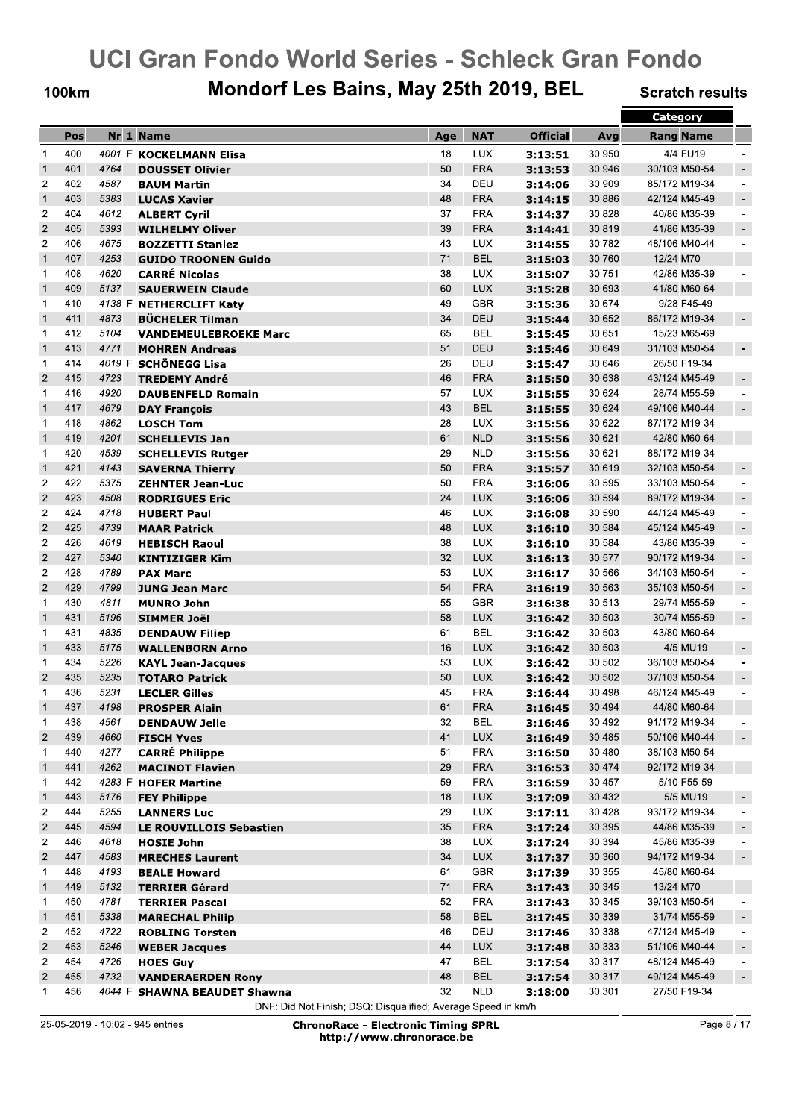**100km** 

## Mondorf Les Bains, May 25th 2019, BEL

**Scratch results** 

|                             |              |              |                              |          |                          |                 |                  | Category                       |                          |
|-----------------------------|--------------|--------------|------------------------------|----------|--------------------------|-----------------|------------------|--------------------------------|--------------------------|
|                             | Pos          |              | Nr 1 Name                    | Age      | <b>NAT</b>               | <b>Official</b> | Avg              | <b>Rang Name</b>               |                          |
| $\mathbf{1}$                | 400.         |              | 4001 F KOCKELMANN Elisa      | 18       | LUX                      | 3:13:51         | 30.950           | 4/4 FU19                       |                          |
| $\mathbf{1}$                | 401.         | 4764         | <b>DOUSSET Olivier</b>       | 50       | <b>FRA</b>               | 3:13:53         | 30.946           | 30/103 M50-54                  |                          |
| $\overline{2}$              | 402.         | 4587         | <b>BAUM Martin</b>           | 34       | DEU                      | 3:14:06         | 30.909           | 85/172 M19-34                  | $\overline{\phantom{a}}$ |
| $\mathbf{1}$                | 403.         | 5383         | <b>LUCAS Xavier</b>          | 48       | <b>FRA</b>               | 3:14:15         | 30.886           | 42/124 M45-49                  | $\overline{\phantom{a}}$ |
| $\overline{2}$              | 404.         | 4612         | <b>ALBERT Cyril</b>          | 37       | <b>FRA</b>               | 3:14:37         | 30.828           | 40/86 M35-39                   | $\overline{\phantom{a}}$ |
| $\overline{2}$              | 405.         | 5393         | <b>WILHELMY Oliver</b>       | 39       | <b>FRA</b>               | 3:14:41         | 30.819           | 41/86 M35-39                   | $\overline{\phantom{a}}$ |
| $\overline{2}$              | 406.         | 4675         | <b>BOZZETTI Stanlez</b>      | 43       | <b>LUX</b>               | 3:14:55         | 30.782           | 48/106 M40-44                  |                          |
| $\mathbf{1}$                | 407.         | 4253         | <b>GUIDO TROONEN Guido</b>   | 71       | <b>BEL</b>               | 3:15:03         | 30.760           | 12/24 M70                      |                          |
| $\mathbf 1$                 | 408.         | 4620         | <b>CARRÉ Nicolas</b>         | 38       | <b>LUX</b>               | 3:15:07         | 30.751           | 42/86 M35-39                   |                          |
| $\mathbf{1}$                | 409.         | 5137         | <b>SAUERWEIN Claude</b>      | 60       | <b>LUX</b>               | 3:15:28         | 30.693           | 41/80 M60-64                   |                          |
| 1                           | 410.         |              | 4138 F NETHERCLIFT Katy      | 49       | <b>GBR</b>               | 3:15:36         | 30.674           | 9/28 F45-49                    |                          |
| $\mathbf{1}$                | 411.         | 4873         | <b>BÜCHELER Tilman</b>       | 34       | DEU                      | 3:15:44         | 30.652           | 86/172 M19-34                  |                          |
| 1                           | 412.         | 5104         | <b>VANDEMEULEBROEKE Marc</b> | 65       | BEL                      | 3:15:45         | 30.651           | 15/23 M65-69                   |                          |
| $\mathbf{1}$                | 413.         | 4771         | <b>MOHREN Andreas</b>        | 51       | DEU                      | 3:15:46         | 30.649           | 31/103 M50-54                  | $\overline{\phantom{a}}$ |
| $\mathbf 1$                 | 414.         |              | 4019 F SCHÖNEGG Lisa         | 26       | DEU                      | 3:15:47         | 30.646           | 26/50 F19-34                   |                          |
| $\overline{2}$              | 415.         | 4723         | <b>TREDEMY André</b>         | 46       | <b>FRA</b>               | 3:15:50         | 30.638           | 43/124 M45-49                  | $\overline{\phantom{a}}$ |
| $\mathbf 1$                 | 416.         | 4920         | <b>DAUBENFELD Romain</b>     | 57       | LUX                      | 3:15:55         | 30.624           | 28/74 M55-59                   | $\blacksquare$           |
| $\mathbf{1}$                | 417.         | 4679         | <b>DAY Francois</b>          | 43       | <b>BEL</b>               | 3:15:55         | 30.624           | 49/106 M40-44                  | $\blacksquare$           |
| $\mathbf 1$                 | 418.         | 4862         | <b>LOSCH Tom</b>             | 28       | <b>LUX</b>               | 3:15:56         | 30.622           | 87/172 M19-34                  | $\ddot{\phantom{1}}$     |
| $\mathbf{1}$                | 419.         | 4201         | <b>SCHELLEVIS Jan</b>        | 61       | <b>NLD</b>               | 3:15:56         | 30.621           | 42/80 M60-64                   |                          |
| 1                           | 420.         | 4539         | <b>SCHELLEVIS Rutger</b>     | 29       | <b>NLD</b>               | 3:15:56         | 30.621           | 88/172 M19-34                  | $\blacksquare$           |
| $\mathbf{1}$                | 421.         | 4143         | <b>SAVERNA Thierry</b>       | 50       | <b>FRA</b>               | 3:15:57         | 30.619           | 32/103 M50-54                  | $\overline{\phantom{a}}$ |
| $\overline{2}$              | 422.         | 5375         | <b>ZEHNTER Jean-Luc</b>      | 50       | <b>FRA</b>               | 3:16:06         | 30.595           | 33/103 M50-54                  | $\blacksquare$           |
| $\overline{2}$              | 423.         | 4508         | <b>RODRIGUES Eric</b>        | 24       | <b>LUX</b>               | 3:16:06         | 30.594           | 89/172 M19-34                  | $\overline{\phantom{a}}$ |
| $\overline{c}$              | 424.         | 4718         |                              | 46       | <b>LUX</b>               | 3:16:08         | 30.590           | 44/124 M45-49                  | $\overline{\phantom{a}}$ |
| $\overline{2}$              | 425.         | 4739         | <b>HUBERT Paul</b>           | 48       | <b>LUX</b>               |                 | 30.584           | 45/124 M45-49                  | $\overline{\phantom{a}}$ |
| $\overline{2}$              | 426.         | 4619         | <b>MAAR Patrick</b>          | 38       | <b>LUX</b>               | 3:16:10         | 30.584           |                                |                          |
| $\overline{2}$              | 427.         | 5340         | <b>HEBISCH Raoul</b>         | 32       |                          | 3:16:10         |                  | 43/86 M35-39                   | $\blacksquare$           |
| $\overline{2}$              | 428.         | 4789         | <b>KINTIZIGER Kim</b>        |          | <b>LUX</b>               | 3:16:13         | 30.577           | 90/172 M19-34                  | $\overline{\phantom{a}}$ |
| $\overline{2}$              | 429.         | 4799         | <b>PAX Marc</b>              | 53<br>54 | <b>LUX</b>               | 3:16:17         | 30.566           | 34/103 M50-54<br>35/103 M50-54 | $\blacksquare$           |
|                             | 430.         |              | <b>JUNG Jean Marc</b>        |          | <b>FRA</b>               | 3:16:19         | 30.563           |                                | $\overline{\phantom{a}}$ |
| $\mathbf 1$<br>$\mathbf{1}$ | 431.         | 4811         | <b>MUNRO John</b>            | 55       | GBR                      | 3:16:38         | 30.513           | 29/74 M55-59                   | $\overline{a}$           |
|                             |              | 5196         | <b>SIMMER Joël</b>           | 58       | <b>LUX</b>               | 3:16:42         | 30.503           | 30/74 M55-59                   | $\overline{\phantom{a}}$ |
| 1                           | 431.<br>433. | 4835         | <b>DENDAUW Filiep</b>        | 61<br>16 | BEL                      | 3:16:42         | 30.503<br>30.503 | 43/80 M60-64<br>4/5 MU19       |                          |
| $\mathbf{1}$                |              | 5175         | <b>WALLENBORN Arno</b>       |          | <b>LUX</b>               | 3:16:42         |                  |                                | $\overline{\phantom{a}}$ |
| 1<br>$\overline{2}$         | 434.<br>435. | 5226<br>5235 | <b>KAYL Jean-Jacques</b>     | 53<br>50 | <b>LUX</b><br><b>LUX</b> | 3:16:42         | 30.502<br>30.502 | 36/103 M50-54<br>37/103 M50-54 | $\overline{a}$           |
|                             | 436.         |              | <b>TOTARO Patrick</b>        |          |                          | 3:16:42         |                  | 46/124 M45-49                  |                          |
| 1                           |              | 5231         | <b>LECLER Gilles</b>         | 45       | <b>FRA</b>               | 3:16:44         | 30.498           |                                | $\overline{\phantom{a}}$ |
| $\mathbf{1}$                | 437.         | 4198         | <b>PROSPER Alain</b>         | 61       | <b>FRA</b>               | 3:16:45         | 30.494           | 44/80 M60-64                   |                          |
| $\mathbf{1}$                | 438.         | 4561         | <b>DENDAUW Jelle</b>         | 32       | <b>BEL</b>               | 3:16:46         | 30.492           | 91/172 M19-34                  |                          |
| $\overline{2}$              | 439.         | 4660         | <b>FISCH Yves</b>            | 41       | LUX                      | 3:16:49         | 30.485           | 50/106 M40-44                  | $\overline{\phantom{a}}$ |
| 1                           | 440.         | 4277         | <b>CARRÉ Philippe</b>        | 51       | <b>FRA</b>               | 3:16:50         | 30.480           | 38/103 M50-54                  | $\overline{\phantom{a}}$ |
| $\mathbf{1}$                | 441.         | 4262         | <b>MACINOT Flavien</b>       | 29       | <b>FRA</b>               | 3:16:53         | 30.474           | 92/172 M19-34                  | $\overline{\phantom{a}}$ |
| 1                           | 442.         |              | 4283 F HOFER Martine         | 59       | <b>FRA</b>               | 3:16:59         | 30.457           | 5/10 F55-59                    |                          |
| $\mathbf{1}$                | 443.         | 5176         | <b>FEY Philippe</b>          | 18       | <b>LUX</b>               | 3:17:09         | 30.432           | 5/5 MU19                       | $\overline{\phantom{a}}$ |
| 2                           | 444.         | 5255         | <b>LANNERS Luc</b>           | 29       | <b>LUX</b>               | 3:17:11         | 30.428           | 93/172 M19-34                  | $\overline{\phantom{a}}$ |
| $\overline{\mathbf{c}}$     | 445.         | 4594         | LE ROUVILLOIS Sebastien      | 35       | <b>FRA</b>               | 3:17:24         | 30.395           | 44/86 M35-39                   | $\overline{\phantom{a}}$ |
| $\overline{c}$              | 446.         | 4618         | <b>HOSIE John</b>            | 38       | <b>LUX</b>               | 3:17:24         | 30.394           | 45/86 M35-39                   | $\overline{\phantom{a}}$ |
| $\sqrt{2}$                  | 447.         | 4583         | <b>MRECHES Laurent</b>       | 34       | <b>LUX</b>               | 3:17:37         | 30.360           | 94/172 M19-34                  | $\overline{\phantom{a}}$ |
| 1                           | 448.         | 4193         | <b>BEALE Howard</b>          | 61       | GBR                      | 3:17:39         | 30.355           | 45/80 M60-64                   |                          |
| $\mathbf{1}$                | 449.         | 5132         | <b>TERRIER Gérard</b>        | 71       | <b>FRA</b>               | 3:17:43         | 30.345           | 13/24 M70                      |                          |
| 1                           | 450.         | 4781         | <b>TERRIER Pascal</b>        | 52       | <b>FRA</b>               | 3:17:43         | 30.345           | 39/103 M50-54                  |                          |
| $\mathbf{1}$                | 451.         | 5338         | <b>MARECHAL Philip</b>       | 58       | <b>BEL</b>               | 3:17:45         | 30.339           | 31/74 M55-59                   | $\overline{\phantom{a}}$ |
| $\overline{\mathbf{c}}$     | 452.         | 4722         | <b>ROBLING Torsten</b>       | 46       | DEU                      | 3:17:46         | 30.338           | 47/124 M45-49                  | $\overline{\phantom{a}}$ |
| $\overline{\mathbf{c}}$     | 453.         | 5246         | <b>WEBER Jacques</b>         | 44       | <b>LUX</b>               | 3:17:48         | 30.333           | 51/106 M40-44                  | $\blacksquare$           |
| 2                           | 454.         | 4726         | <b>HOES Guy</b>              | 47       | BEL                      | 3:17:54         | 30.317           | 48/124 M45-49                  |                          |
| $\overline{2}$              | 455.         | 4732         | <b>VANDERAERDEN Rony</b>     | 48       | <b>BEL</b>               | 3:17:54         | 30.317           | 49/124 M45-49                  | $\overline{\phantom{a}}$ |
| $\mathbf{1}$                | 456.         |              | 4044 F SHAWNA BEAUDET Shawna | 32       | <b>NLD</b>               | 3:18:00         | 30.301           | 27/50 F19-34                   |                          |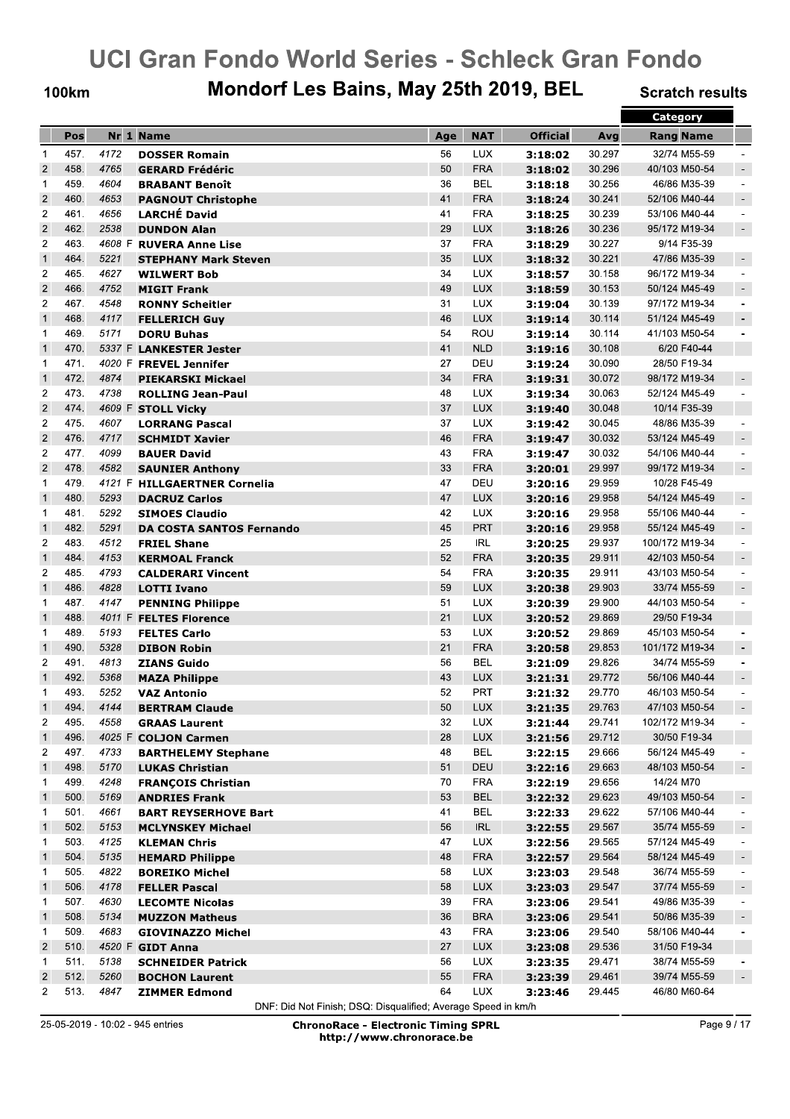**100km** 

## Mondorf Les Bains, May 25th 2019, BEL

**Scratch results** 

|                         |              |              |                                                      |          |                          |                    |                  | <b>Category</b>  |                                                      |
|-------------------------|--------------|--------------|------------------------------------------------------|----------|--------------------------|--------------------|------------------|------------------|------------------------------------------------------|
|                         | Pos          |              | Nr 1 Name                                            | Age      | <b>NAT</b>               | <b>Official</b>    | Avg              | <b>Rang Name</b> |                                                      |
| $\mathbf{1}$            | 457.         | 4172         | <b>DOSSER Romain</b>                                 | 56       | LUX                      | 3:18:02            | 30.297           | 32/74 M55-59     |                                                      |
| $\overline{2}$          | 458.         | 4765         | <b>GERARD Frédéric</b>                               | 50       | <b>FRA</b>               | 3:18:02            | 30.296           | 40/103 M50-54    | $\overline{\phantom{a}}$                             |
| $\mathbf{1}$            | 459.         | 4604         | <b>BRABANT Benoît</b>                                | 36       | <b>BEL</b>               | 3:18:18            | 30.256           | 46/86 M35-39     | $\overline{a}$                                       |
| $\overline{2}$          | 460.         | 4653         | <b>PAGNOUT Christophe</b>                            | 41       | <b>FRA</b>               | 3:18:24            | 30.241           | 52/106 M40-44    | $\overline{\phantom{a}}$                             |
| $\overline{2}$          | 461.         | 4656         | <b>LARCHÉ David</b>                                  | 41       | <b>FRA</b>               | 3:18:25            | 30.239           | 53/106 M40-44    | $\overline{\phantom{a}}$                             |
| $\overline{c}$          | 462.         | 2538         | <b>DUNDON Alan</b>                                   | 29       | <b>LUX</b>               | 3:18:26            | 30.236           | 95/172 M19-34    | $\sim$                                               |
| $\overline{c}$          | 463.         |              | 4608 F RUVERA Anne Lise                              | 37       | <b>FRA</b>               | 3:18:29            | 30.227           | 9/14 F35-39      |                                                      |
| $\mathbf{1}$            | 464.         | 5221         | <b>STEPHANY Mark Steven</b>                          | 35       | <b>LUX</b>               | 3:18:32            | 30.221           | 47/86 M35-39     | $\overline{\phantom{a}}$                             |
| $\overline{2}$          | 465.         | 4627         | <b>WILWERT Bob</b>                                   | 34       | LUX                      | 3:18:57            | 30.158           | 96/172 M19-34    | $\overline{\phantom{a}}$                             |
| $\mathbf 2$             | 466.         | 4752         | <b>MIGIT Frank</b>                                   | 49       | <b>LUX</b>               | 3:18:59            | 30.153           | 50/124 M45-49    | $\overline{\phantom{a}}$                             |
| $\overline{c}$          | 467.         | 4548         | <b>RONNY Scheitler</b>                               | 31       | <b>LUX</b>               | 3:19:04            | 30.139           | 97/172 M19-34    | $\overline{\phantom{a}}$                             |
| $\mathbf{1}$            | 468.         | 4117         | <b>FELLERICH Guy</b>                                 | 46       | <b>LUX</b>               | 3:19:14            | 30.114           | 51/124 M45-49    | $\overline{\phantom{a}}$                             |
| 1                       | 469.         | 5171         | <b>DORU Buhas</b>                                    | 54       | ROU                      | 3:19:14            | 30.114           | 41/103 M50-54    | $\blacksquare$                                       |
| $\mathbf{1}$            | 470.         |              | 5337 F LANKESTER Jester                              | 41       | <b>NLD</b>               | 3:19:16            | 30.108           | 6/20 F40-44      |                                                      |
| 1                       | 471.         |              | 4020 F FREVEL Jennifer                               | 27       | DEU                      | 3:19:24            | 30.090           | 28/50 F19-34     |                                                      |
| $\mathbf{1}$            | 472.         | 4874         | <b>PIEKARSKI Mickael</b>                             | 34       | <b>FRA</b>               | 3:19:31            | 30.072           | 98/172 M19-34    | $\overline{\phantom{a}}$                             |
| $\overline{2}$          | 473.         | 4738         | <b>ROLLING Jean-Paul</b>                             | 48       | LUX                      | 3:19:34            | 30.063           | 52/124 M45-49    |                                                      |
| $\overline{c}$          | 474.         |              | 4609 F STOLL Vicky                                   | 37       | <b>LUX</b>               | 3:19:40            | 30.048           | 10/14 F35-39     |                                                      |
| $\overline{c}$          | 475.         | 4607         | <b>LORRANG Pascal</b>                                | 37       | LUX                      | 3:19:42            | 30.045           | 48/86 M35-39     | $\overline{\phantom{a}}$                             |
| $\overline{2}$          | 476.         | 4717         | <b>SCHMIDT Xavier</b>                                | 46       | <b>FRA</b>               | 3:19:47            | 30.032           | 53/124 M45-49    | $\blacksquare$                                       |
| $\overline{c}$          | 477.         | 4099         | <b>BAUER David</b>                                   | 43       | <b>FRA</b>               | 3:19:47            | 30.032           | 54/106 M40-44    | $\blacksquare$                                       |
| $\overline{2}$          | 478.         | 4582         | <b>SAUNIER Anthony</b>                               | 33       | <b>FRA</b>               | 3:20:01            | 29.997           | 99/172 M19-34    | $\sim$                                               |
| 1                       | 479.         |              | 4121 F HILLGAERTNER Cornelia                         | 47       | DEU                      | 3:20:16            | 29.959           | 10/28 F45-49     |                                                      |
| $\mathbf{1}$            | 480.         | 5293         | <b>DACRUZ Carlos</b>                                 | 47       | <b>LUX</b>               | 3:20:16            | 29.958           | 54/124 M45-49    | $\overline{\phantom{a}}$                             |
| $\mathbf 1$             | 481.         | 5292         | <b>SIMOES Claudio</b>                                | 42       | LUX                      | 3:20:16            | 29.958           | 55/106 M40-44    | $\overline{a}$                                       |
| $\mathbf{1}$            | 482.         | 5291         | <b>DA COSTA SANTOS Fernando</b>                      | 45       | <b>PRT</b>               | 3:20:16            | 29.958           | 55/124 M45-49    | $\sim$                                               |
| $\overline{2}$          | 483.         | 4512         | <b>FRIEL Shane</b>                                   | 25       | <b>IRL</b>               | 3:20:25            | 29.937           | 100/172 M19-34   | $\overline{\phantom{a}}$                             |
| $\mathbf{1}$            | 484.         | 4153         | <b>KERMOAL Franck</b>                                | 52       | <b>FRA</b>               |                    | 29.911           | 42/103 M50-54    | $\overline{\phantom{a}}$                             |
| $\overline{2}$          | 485.         | 4793         | <b>CALDERARI Vincent</b>                             | 54       | <b>FRA</b>               | 3:20:35<br>3:20:35 | 29.911           | 43/103 M50-54    | $\blacksquare$                                       |
| $\mathbf{1}$            | 486.         | 4828         |                                                      | 59       | <b>LUX</b>               |                    | 29.903           | 33/74 M55-59     | $\overline{\phantom{a}}$                             |
| 1                       | 487.         | 4147         | <b>LOTTI Ivano</b>                                   | 51       | <b>LUX</b>               | 3:20:38            | 29.900           | 44/103 M50-54    | $\overline{\phantom{a}}$                             |
| $\mathbf{1}$            | 488.         |              | <b>PENNING Philippe</b><br>4011 F FELTES Florence    | 21       | <b>LUX</b>               | 3:20:39            | 29.869           | 29/50 F19-34     |                                                      |
| $\mathbf 1$             | 489.         | 5193         | <b>FELTES Carlo</b>                                  | 53       | LUX                      | 3:20:52            | 29.869           | 45/103 M50-54    |                                                      |
| $\mathbf{1}$            | 490.         | 5328         |                                                      | 21       | <b>FRA</b>               | 3:20:52<br>3:20:58 | 29.853           | 101/172 M19-34   | $\overline{\phantom{a}}$                             |
| $\overline{2}$          | 491.         | 4813         | <b>DIBON Robin</b><br><b>ZIANS Guido</b>             | 56       | BEL                      | 3:21:09            | 29.826           | 34/74 M55-59     | $\blacksquare$                                       |
| $\mathbf{1}$            | 492.         | 5368         | <b>MAZA Philippe</b>                                 | 43       | <b>LUX</b>               |                    | 29.772           | 56/106 M40-44    | $\overline{\phantom{a}}$                             |
| 1                       | 493.         | 5252         | <b>VAZ Antonio</b>                                   | 52       | <b>PRT</b>               | 3:21:31            | 29.770           | 46/103 M50-54    | $\overline{\phantom{a}}$                             |
|                         | 494.         | 4144         | <b>BERTRAM Claude</b>                                | 50       | <b>LUX</b>               | 3:21:32            | 29.763           | 47/103 M50-54    |                                                      |
| $\mathbf{1}$<br>2       | 495.         | 4558         | <b>GRAAS Laurent</b>                                 | 32       | <b>LUX</b>               | 3:21:35            | 29.741           | 102/172 M19-34   |                                                      |
| $\mathbf{1}$            | 496.         |              |                                                      | 28       | <b>LUX</b>               | 3:21:44            | 29.712           | 30/50 F19-34     | $\overline{\phantom{a}}$                             |
| $\overline{c}$          | 497.         | 4733         | 4025 F COLJON Carmen                                 | 48       | <b>BEL</b>               | 3:21:56<br>3:22:15 | 29.666           | 56/124 M45-49    |                                                      |
| $\mathbf{1}$            | 498.         | 5170         | <b>BARTHELEMY Stephane</b><br><b>LUKAS Christian</b> | 51       | DEU                      | 3:22:16            | 29.663           | 48/103 M50-54    |                                                      |
|                         | 499.         | 4248         |                                                      |          | <b>FRA</b>               |                    |                  | 14/24 M70        | $\overline{\phantom{a}}$                             |
| 1<br>$\mathbf{1}$       | 500.         | 5169         | <b>FRANÇOIS Christian</b><br><b>ANDRIES Frank</b>    | 70<br>53 | <b>BEL</b>               | 3:22:19<br>3:22:32 | 29.656<br>29.623 | 49/103 M50-54    |                                                      |
| 1                       | 501.         | 4661         |                                                      | 41       | <b>BEL</b>               |                    | 29.622           | 57/106 M40-44    | $\overline{\phantom{a}}$<br>$\overline{\phantom{a}}$ |
| $\mathbf{1}$            | 502.         | 5153         | <b>BART REYSERHOVE Bart</b>                          | 56       | <b>IRL</b>               | 3:22:33            | 29.567           | 35/74 M55-59     |                                                      |
| 1                       | 503.         | 4125         | <b>MCLYNSKEY Michael</b>                             |          | <b>LUX</b>               | 3:22:55            | 29.565           | 57/124 M45-49    | $\overline{\phantom{a}}$                             |
|                         |              |              | <b>KLEMAN Chris</b>                                  | 47       |                          | 3:22:56            |                  |                  | $\overline{\phantom{a}}$                             |
| $\mathbf{1}$            | 504.<br>505. | 5135         | <b>HEMARD Philippe</b>                               | 48       | <b>FRA</b><br><b>LUX</b> | 3:22:57            | 29.564           | 58/124 M45-49    | $\overline{\phantom{a}}$                             |
| $\mathbf{1}$            | 506.         | 4822<br>4178 | <b>BOREIKO Michel</b>                                | 58<br>58 |                          | 3:23:03            | 29.548           | 36/74 M55-59     | $\overline{\phantom{a}}$                             |
| $\mathbf{1}$            | 507.         | 4630         | <b>FELLER Pascal</b>                                 |          | <b>LUX</b>               | 3:23:03            | 29.547           | 37/74 M55-59     | $\sim$                                               |
| $\mathbf{1}$            |              |              | <b>LECOMTE Nicolas</b>                               | 39       | <b>FRA</b>               | 3:23:06            | 29.541           | 49/86 M35-39     | $\overline{\phantom{a}}$                             |
| $\mathbf{1}$            | 508.         | 5134         | <b>MUZZON Matheus</b>                                | 36       | <b>BRA</b>               | 3:23:06            | 29.541           | 50/86 M35-39     | $\overline{\phantom{a}}$                             |
| 1                       | 509.         | 4683         | <b>GIOVINAZZO Michel</b>                             | 43       | <b>FRA</b>               | 3:23:06            | 29.540           | 58/106 M40-44    | $\overline{\phantom{a}}$                             |
| $\overline{2}$          | 510.         |              | 4520 F GIDT Anna                                     | 27       | <b>LUX</b>               | 3:23:08            | 29.536           | 31/50 F19-34     |                                                      |
| 1                       | 511.         | 5138         | <b>SCHNEIDER Patrick</b>                             | 56       | <b>LUX</b>               | 3:23:35            | 29.471           | 38/74 M55-59     |                                                      |
| $\overline{\mathbf{c}}$ | 512.         | 5260         | <b>BOCHON Laurent</b>                                | 55       | <b>FRA</b>               | 3:23:39            | 29.461           | 39/74 M55-59     |                                                      |
| $\overline{2}$          | 513.         | 4847         | <b>ZIMMER Edmond</b>                                 | 64       | <b>LUX</b>               | 3:23:46            | 29.445           | 46/80 M60-64     |                                                      |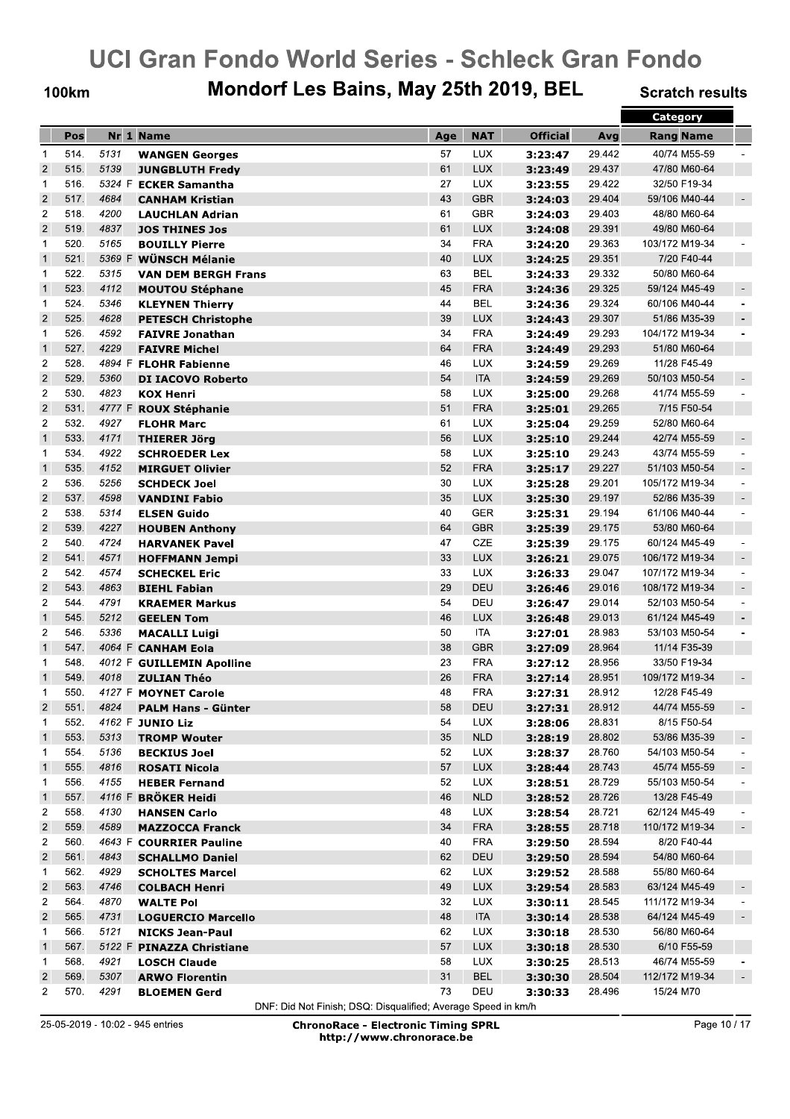**100km** 

## Mondorf Les Bains, May 25th 2019, BEL

**Scratch results** 

|                |      |      |                                               |     |            |                 |        | <b>Category</b>  |                          |
|----------------|------|------|-----------------------------------------------|-----|------------|-----------------|--------|------------------|--------------------------|
|                | Pos  |      | Nr 1 Name                                     | Age | <b>NAT</b> | <b>Official</b> | Avg    | <b>Rang Name</b> |                          |
| $\mathbf{1}$   | 514. | 5131 | <b>WANGEN Georges</b>                         | 57  | <b>LUX</b> | 3:23:47         | 29.442 | 40/74 M55-59     |                          |
| $\overline{2}$ | 515. | 5139 | <b>JUNGBLUTH Fredy</b>                        | 61  | <b>LUX</b> | 3:23:49         | 29.437 | 47/80 M60-64     |                          |
| $\mathbf{1}$   | 516. |      | 5324 F ECKER Samantha                         | 27  | <b>LUX</b> | 3:23:55         | 29.422 | 32/50 F19-34     |                          |
| $\overline{2}$ | 517. | 4684 | <b>CANHAM Kristian</b>                        | 43  | <b>GBR</b> | 3:24:03         | 29.404 | 59/106 M40-44    | $\overline{\phantom{a}}$ |
| $\overline{2}$ | 518. | 4200 | <b>LAUCHLAN Adrian</b>                        | 61  | <b>GBR</b> | 3:24:03         | 29.403 | 48/80 M60-64     |                          |
| $\overline{c}$ | 519. | 4837 | <b>JOS THINES Jos</b>                         | 61  | <b>LUX</b> | 3:24:08         | 29.391 | 49/80 M60-64     |                          |
| 1              | 520. | 5165 | <b>BOUILLY Pierre</b>                         | 34  | <b>FRA</b> | 3:24:20         | 29.363 | 103/172 M19-34   |                          |
| $\mathbf{1}$   | 521. |      | 5369 F WÜNSCH Mélanie                         | 40  | <b>LUX</b> | 3:24:25         | 29.351 | 7/20 F40-44      |                          |
| $\mathbf 1$    | 522. | 5315 | <b>VAN DEM BERGH Frans</b>                    | 63  | <b>BEL</b> | 3:24:33         | 29.332 | 50/80 M60-64     |                          |
| $\mathbf{1}$   | 523. | 4112 | <b>MOUTOU Stéphane</b>                        | 45  | <b>FRA</b> | 3:24:36         | 29.325 | 59/124 M45-49    | $\overline{\phantom{a}}$ |
| $\mathbf{1}$   | 524. | 5346 |                                               | 44  | <b>BEL</b> |                 | 29.324 | 60/106 M40-44    |                          |
| $\overline{2}$ | 525. | 4628 | <b>KLEYNEN Thierry</b>                        | 39  | <b>LUX</b> | 3:24:36         | 29.307 | 51/86 M35-39     | $\overline{\phantom{a}}$ |
| 1              | 526. | 4592 | <b>PETESCH Christophe</b>                     | 34  | <b>FRA</b> | 3:24:43         | 29.293 | 104/172 M19-34   | $\blacksquare$           |
| $\mathbf{1}$   | 527. | 4229 | <b>FAIVRE Jonathan</b>                        | 64  | <b>FRA</b> | 3:24:49         | 29.293 | 51/80 M60-64     |                          |
| $\overline{2}$ | 528. |      | <b>FAIVRE Michel</b><br>4894 F FLOHR Fabienne | 46  | <b>LUX</b> | 3:24:49         | 29.269 | 11/28 F45-49     |                          |
| $\overline{2}$ | 529. |      |                                               | 54  |            | 3:24:59         | 29.269 |                  |                          |
|                |      | 5360 | <b>DI IACOVO Roberto</b>                      |     | <b>ITA</b> | 3:24:59         |        | 50/103 M50-54    |                          |
| $\overline{2}$ | 530. | 4823 | <b>KOX Henri</b>                              | 58  | LUX        | 3:25:00         | 29.268 | 41/74 M55-59     |                          |
| $\overline{c}$ | 531. |      | 4777 F ROUX Stéphanie                         | 51  | <b>FRA</b> | 3:25:01         | 29.265 | 7/15 F50-54      |                          |
| $\overline{c}$ | 532. | 4927 | <b>FLOHR Marc</b>                             | 61  | LUX        | 3:25:04         | 29.259 | 52/80 M60-64     |                          |
| $\mathbf{1}$   | 533. | 4171 | <b>THIERER Jörg</b>                           | 56  | <b>LUX</b> | 3:25:10         | 29.244 | 42/74 M55-59     | $\overline{\phantom{a}}$ |
| 1              | 534. | 4922 | <b>SCHROEDER Lex</b>                          | 58  | LUX        | 3:25:10         | 29.243 | 43/74 M55-59     | $\ddot{\phantom{1}}$     |
| $\mathbf{1}$   | 535. | 4152 | <b>MIRGUET Olivier</b>                        | 52  | <b>FRA</b> | 3:25:17         | 29.227 | 51/103 M50-54    | $\sim$                   |
| $\overline{2}$ | 536. | 5256 | <b>SCHDECK Joel</b>                           | 30  | <b>LUX</b> | 3:25:28         | 29.201 | 105/172 M19-34   | $\blacksquare$           |
| $\overline{c}$ | 537. | 4598 | <b>VANDINI Fabio</b>                          | 35  | <b>LUX</b> | 3:25:30         | 29.197 | 52/86 M35-39     | $\sim$                   |
| $\overline{2}$ | 538. | 5314 | <b>ELSEN Guido</b>                            | 40  | <b>GER</b> | 3:25:31         | 29.194 | 61/106 M40-44    | $\ddot{\phantom{1}}$     |
| $\overline{c}$ | 539. | 4227 | <b>HOUBEN Anthony</b>                         | 64  | GBR        | 3:25:39         | 29.175 | 53/80 M60-64     |                          |
| $\overline{c}$ | 540. | 4724 | <b>HARVANEK Pavel</b>                         | 47  | CZE        | 3:25:39         | 29.175 | 60/124 M45-49    | $\overline{\phantom{a}}$ |
| $\overline{c}$ | 541. | 4571 | <b>HOFFMANN Jempi</b>                         | 33  | <b>LUX</b> | 3:26:21         | 29.075 | 106/172 M19-34   | $\overline{\phantom{a}}$ |
| $\overline{2}$ | 542. | 4574 | <b>SCHECKEL Eric</b>                          | 33  | LUX        | 3:26:33         | 29.047 | 107/172 M19-34   | $\blacksquare$           |
| $\overline{c}$ | 543. | 4863 | <b>BIEHL Fabian</b>                           | 29  | DEU        | 3:26:46         | 29.016 | 108/172 M19-34   | $\sim$                   |
| $\overline{2}$ | 544. | 4791 | <b>KRAEMER Markus</b>                         | 54  | DEU        | 3:26:47         | 29.014 | 52/103 M50-54    | $\blacksquare$           |
| $\mathbf{1}$   | 545. | 5212 | <b>GEELEN Tom</b>                             | 46  | <b>LUX</b> | 3:26:48         | 29.013 | 61/124 M45-49    | $\blacksquare$           |
| $\overline{2}$ | 546. | 5336 | <b>MACALLI Luigi</b>                          | 50  | <b>ITA</b> | 3:27:01         | 28.983 | 53/103 M50-54    |                          |
| $\mathbf{1}$   | 547. |      | 4064 F CANHAM Eola                            | 38  | <b>GBR</b> | 3:27:09         | 28.964 | 11/14 F35-39     |                          |
| $\mathbf 1$    | 548. |      | 4012 F GUILLEMIN Apolline                     | 23  | <b>FRA</b> | 3:27:12         | 28.956 | 33/50 F19-34     |                          |
| $\mathbf{1}$   | 549. | 4018 | <b>ZULIAN Théo</b>                            | 26  | <b>FRA</b> | 3:27:14         | 28.951 | 109/172 M19-34   | $\blacksquare$           |
| 1              | 550. |      | 4127 F MOYNET Carole                          | 48  | <b>FRA</b> | 3:27:31         | 28.912 | 12/28 F45-49     |                          |
| $\overline{2}$ | 551. | 4824 | <b>PALM Hans - Günter</b>                     | 58  | <b>DEU</b> | 3:27:31         | 28.912 | 44/74 M55-59     |                          |
| 1              | 552. |      | 4162 F JUNIO Liz                              | 54  | <b>LUX</b> | 3:28:06         | 28.831 | 8/15 F50-54      |                          |
| $\mathbf{1}$   | 553. | 5313 | <b>TROMP Wouter</b>                           | 35  | <b>NLD</b> | 3:28:19         | 28.802 | 53/86 M35-39     |                          |
| $\mathbf{1}$   | 554. | 5136 | <b>BECKIUS Joel</b>                           | 52  | <b>LUX</b> | 3:28:37         | 28.760 | 54/103 M50-54    |                          |
| $\mathbf{1}$   | 555. | 4816 | <b>ROSATI Nicola</b>                          | 57  | <b>LUX</b> | 3:28:44         | 28.743 | 45/74 M55-59     |                          |
| 1              | 556. | 4155 | <b>HEBER Fernand</b>                          | 52  | <b>LUX</b> | 3:28:51         | 28.729 | 55/103 M50-54    |                          |
| $\mathbf{1}$   | 557. |      | 4116 F BRÖKER Heidi                           | 46  | <b>NLD</b> | 3:28:52         | 28.726 | 13/28 F45-49     |                          |
| 2              | 558. | 4130 | <b>HANSEN Carlo</b>                           | 48  | <b>LUX</b> | 3:28:54         | 28.721 | 62/124 M45-49    |                          |
| $\overline{c}$ | 559. | 4589 | <b>MAZZOCCA Franck</b>                        | 34  | <b>FRA</b> | 3:28:55         | 28.718 | 110/172 M19-34   |                          |
| 2              | 560. |      | 4643 F COURRIER Pauline                       | 40  | <b>FRA</b> | 3:29:50         | 28.594 | 8/20 F40-44      |                          |
| $\overline{c}$ | 561. | 4843 | <b>SCHALLMO Daniel</b>                        | 62  | DEU        | 3:29:50         | 28.594 | 54/80 M60-64     |                          |
| 1              | 562. | 4929 | <b>SCHOLTES Marcel</b>                        | 62  | <b>LUX</b> | 3:29:52         | 28.588 | 55/80 M60-64     |                          |
| $\overline{c}$ | 563. | 4746 | <b>COLBACH Henri</b>                          | 49  | <b>LUX</b> | 3:29:54         | 28.583 | 63/124 M45-49    |                          |
| $\overline{c}$ | 564. | 4870 | <b>WALTE Pol</b>                              | 32  | <b>LUX</b> | 3:30:11         | 28.545 | 111/172 M19-34   |                          |
| $\overline{c}$ | 565. | 4731 | <b>LOGUERCIO Marcello</b>                     | 48  | <b>ITA</b> | 3:30:14         | 28.538 | 64/124 M45-49    |                          |
| 1              | 566. | 5121 | <b>NICKS Jean-Paul</b>                        | 62  | <b>LUX</b> | 3:30:18         | 28.530 | 56/80 M60-64     |                          |
| $\mathbf{1}$   | 567. |      | 5122 F PINAZZA Christiane                     | 57  | <b>LUX</b> | 3:30:18         | 28.530 | 6/10 F55-59      |                          |
| 1              | 568. | 4921 | <b>LOSCH Claude</b>                           | 58  | <b>LUX</b> | 3:30:25         | 28.513 | 46/74 M55-59     |                          |
| $\overline{c}$ | 569. | 5307 | <b>ARWO Florentin</b>                         | 31  | BEL        | 3:30:30         | 28.504 | 112/172 M19-34   |                          |
| $\overline{2}$ | 570. | 4291 | <b>BLOEMEN Gerd</b>                           | 73  | DEU        | 3:30:33         | 28.496 | 15/24 M70        |                          |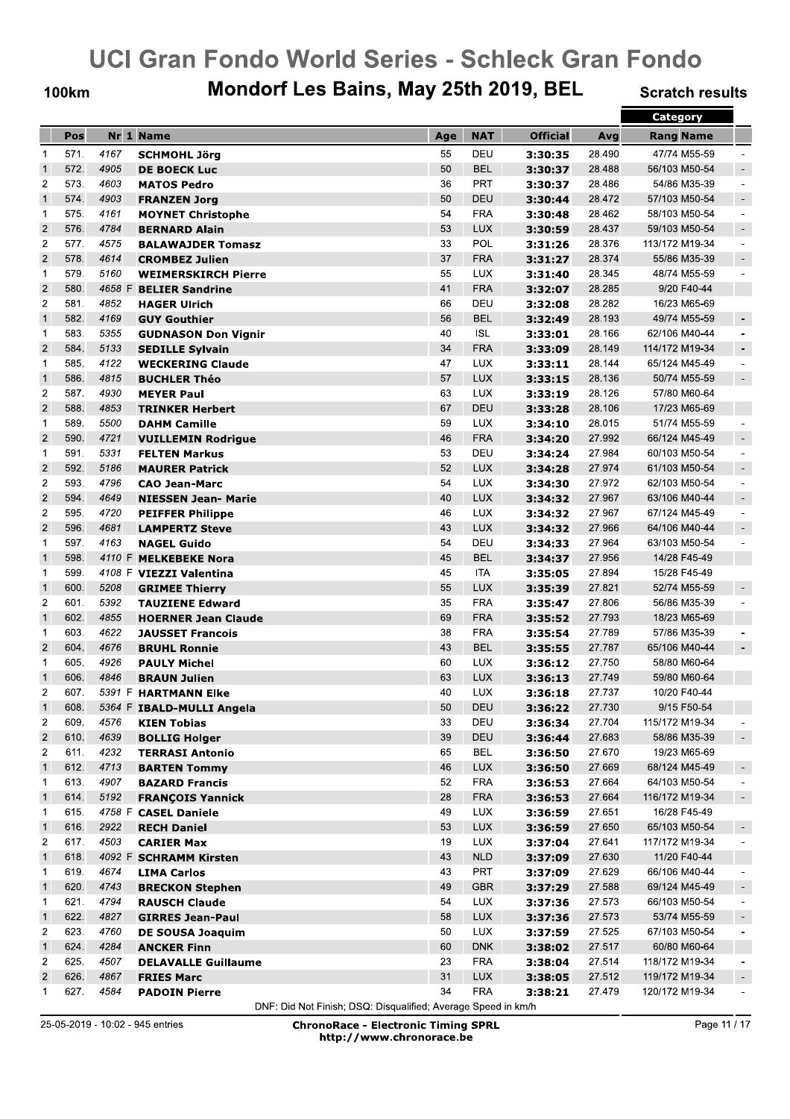#### **100km**

## Mondorf Les Bains, May 25th 2019, BEL

**Scratch results** 

|                         |      |        |                                             |     |            |                    |        | Category         |                          |
|-------------------------|------|--------|---------------------------------------------|-----|------------|--------------------|--------|------------------|--------------------------|
|                         | Pos  |        | Nr 1 Name                                   | Age | <b>NAT</b> | <b>Official</b>    | Avg    | <b>Rang Name</b> |                          |
| 1                       | 571. | 4167   | <b>SCHMOHL Jörg</b>                         | 55  | DEU        | 3:30:35            | 28.490 | 47/74 M55-59     |                          |
| $\mathbf{1}$            | 572. | 4905   | <b>DE BOECK Luc</b>                         | 50  | <b>BEL</b> | 3:30:37            | 28.488 | 56/103 M50-54    |                          |
| $\overline{2}$          | 573. | 4603   | <b>MATOS Pedro</b>                          | 36  | <b>PRT</b> | 3:30:37            | 28.486 | 54/86 M35-39     | $\overline{\phantom{a}}$ |
| $\mathbf{1}$            | 574. | 4903   | <b>FRANZEN Jorg</b>                         | 50  | DEU        | 3:30:44            | 28.472 | 57/103 M50-54    | $\overline{\phantom{a}}$ |
| 1                       | 575. | 4161   | <b>MOYNET Christophe</b>                    | 54  | <b>FRA</b> | 3:30:48            | 28.462 | 58/103 M50-54    | $\overline{\phantom{a}}$ |
| $\overline{2}$          | 576. | 4784   | <b>BERNARD Alain</b>                        | 53  | <b>LUX</b> | 3:30:59            | 28.437 | 59/103 M50-54    | $\sim$                   |
| $\overline{2}$          | 577. | 4575   | <b>BALAWAJDER Tomasz</b>                    | 33  | POL        | 3:31:26            | 28.376 | 113/172 M19-34   | $\overline{\phantom{a}}$ |
| $\overline{2}$          | 578. | 4614   | <b>CROMBEZ Julien</b>                       | 37  | <b>FRA</b> | 3:31:27            | 28.374 | 55/86 M35-39     | $\overline{\phantom{a}}$ |
| $\mathbf 1$             | 579. | 5160   | <b>WEIMERSKIRCH Pierre</b>                  | 55  | <b>LUX</b> | 3:31:40            | 28.345 | 48/74 M55-59     | $\overline{\phantom{a}}$ |
| $\overline{2}$          | 580. | 4658 F | <b>BELIER Sandrine</b>                      | 41  | <b>FRA</b> | 3:32:07            | 28.285 | 9/20 F40-44      |                          |
| $\overline{c}$          | 581. | 4852   | <b>HAGER Ulrich</b>                         | 66  | DEU        | 3:32:08            | 28.282 | 16/23 M65-69     |                          |
| $\mathbf{1}$            | 582. | 4169   | <b>GUY Gouthier</b>                         | 56  | <b>BEL</b> | 3:32:49            | 28.193 | 49/74 M55-59     | $\overline{\phantom{a}}$ |
| $\mathbf 1$             | 583. | 5355   | <b>GUDNASON Don Vignir</b>                  | 40  | <b>ISL</b> | 3:33:01            | 28.166 | 62/106 M40-44    | $\blacksquare$           |
| $\overline{2}$          | 584. | 5133   | <b>SEDILLE Sylvain</b>                      | 34  | <b>FRA</b> | 3:33:09            | 28.149 | 114/172 M19-34   | $\overline{\phantom{a}}$ |
| $\mathbf 1$             | 585. | 4122   | <b>WECKERING Claude</b>                     | 47  | <b>LUX</b> | 3:33:11            | 28.144 | 65/124 M45-49    | $\ddot{\phantom{1}}$     |
| $\mathbf{1}$            | 586. | 4815   | <b>BUCHLER Théo</b>                         | 57  | <b>LUX</b> | 3:33:15            | 28.136 | 50/74 M55-59     | $\blacksquare$           |
| $\overline{2}$          | 587. | 4930   | <b>MEYER Paul</b>                           | 63  | <b>LUX</b> | 3:33:19            | 28.126 | 57/80 M60-64     |                          |
| $\overline{2}$          | 588. | 4853   | <b>TRINKER Herbert</b>                      | 67  | DEU        | 3:33:28            | 28.106 | 17/23 M65-69     |                          |
| $\mathbf 1$             | 589. | 5500   | <b>DAHM Camille</b>                         | 59  | <b>LUX</b> | 3:34:10            | 28.015 | 51/74 M55-59     |                          |
| $\overline{2}$          | 590. | 4721   | <b>VUILLEMIN Rodrigue</b>                   | 46  | <b>FRA</b> | 3:34:20            | 27.992 | 66/124 M45-49    | $\sim$                   |
| $\mathbf 1$             | 591. | 5331   | <b>FELTEN Markus</b>                        | 53  | DEU        | 3:34:24            | 27.984 | 60/103 M50-54    | $\blacksquare$           |
| $\overline{\mathbf{c}}$ | 592. | 5186   | <b>MAURER Patrick</b>                       | 52  | LUX        | 3:34:28            | 27.974 | 61/103 M50-54    | $\overline{\phantom{a}}$ |
| $\overline{c}$          | 593. | 4796   | <b>CAO Jean-Marc</b>                        | 54  | <b>LUX</b> | 3:34:30            | 27.972 | 62/103 M50-54    | $\blacksquare$           |
| $\overline{2}$          | 594. | 4649   | <b>NIESSEN Jean- Marie</b>                  | 40  | <b>LUX</b> | 3:34:32            | 27.967 | 63/106 M40-44    | $\overline{\phantom{a}}$ |
| $\overline{2}$          | 595. | 4720   | <b>PEIFFER Philippe</b>                     | 46  | <b>LUX</b> | 3:34:32            | 27.967 | 67/124 M45-49    | $\overline{\phantom{a}}$ |
| $\overline{c}$          | 596. | 4681   | <b>LAMPERTZ Steve</b>                       | 43  | <b>LUX</b> | 3:34:32            | 27.966 | 64/106 M40-44    | $\sim$                   |
| $\mathbf{1}$            | 597. | 4163   | <b>NAGEL Guido</b>                          | 54  | DEU        | 3:34:33            | 27.964 | 63/103 M50-54    | $\overline{\phantom{a}}$ |
| $\mathbf{1}$            | 598. | 4110 F | <b>MELKEBEKE Nora</b>                       | 45  | <b>BEL</b> | 3:34:37            | 27.956 | 14/28 F45-49     |                          |
| 1                       | 599. |        | 4108 F VIEZZI Valentina                     | 45  | <b>ITA</b> | 3:35:05            | 27.894 | 15/28 F45-49     |                          |
| $\mathbf{1}$            | 600. | 5208   | <b>GRIMEE Thierry</b>                       | 55  | <b>LUX</b> | 3:35:39            | 27.821 | 52/74 M55-59     |                          |
| $\overline{2}$          | 601. | 5392   | <b>TAUZIENE Edward</b>                      | 35  | <b>FRA</b> | 3:35:47            | 27.806 | 56/86 M35-39     |                          |
| $\mathbf{1}$            | 602. | 4855   | <b>HOERNER Jean Claude</b>                  | 69  | <b>FRA</b> | 3:35:52            | 27.793 | 18/23 M65-69     |                          |
| $\mathbf{1}$            | 603. | 4622   | <b>JAUSSET Francois</b>                     | 38  | <b>FRA</b> | 3:35:54            | 27.789 | 57/86 M35-39     |                          |
| $\overline{\mathbf{c}}$ | 604. | 4676   | <b>BRUHL Ronnie</b>                         | 43  | <b>BEL</b> | 3:35:55            | 27.787 | 65/106 M40-44    | $\overline{\phantom{a}}$ |
| $\mathbf 1$             | 605. | 4926   | <b>PAULY Michel</b>                         | 60  | <b>LUX</b> | 3:36:12            | 27.750 | 58/80 M60-64     |                          |
| $\mathbf{1}$            | 606. | 4846   | <b>BRAUN Julien</b>                         | 63  | <b>LUX</b> | 3:36:13            | 27.749 | 59/80 M60-64     |                          |
| $\overline{c}$          | 607. |        | 5391 F HARTMANN Elke                        | 40  | <b>LUX</b> | 3:36:18            | 27.737 | 10/20 F40-44     |                          |
| $\mathbf 1$             | 608. |        | 5364 F IBALD-MULLI Angela                   | 50  | DEU        | 3:36:22            | 27.730 | 9/15 F50-54      |                          |
| $\overline{c}$          | 609. | 4576   | <b>KIEN Tobias</b>                          | 33  | DEU        | 3:36:34            | 27.704 | 115/172 M19-34   |                          |
| $\overline{\mathbf{c}}$ | 610. | 4639   | <b>BOLLIG Holger</b>                        | 39  | DEU        | 3:36:44            | 27.683 | 58/86 M35-39     | $\overline{\phantom{a}}$ |
| 2                       | 611. | 4232   | <b>TERRASI Antonio</b>                      | 65  | <b>BEL</b> | 3:36:50            | 27.670 | 19/23 M65-69     |                          |
| $\mathbf{1}$            | 612. | 4713   | <b>BARTEN Tommy</b>                         | 46  | <b>LUX</b> | 3:36:50            | 27.669 | 68/124 M45-49    | $\overline{\phantom{a}}$ |
| 1                       | 613. | 4907   | <b>BAZARD Francis</b>                       | 52  | <b>FRA</b> | 3:36:53            | 27.664 | 64/103 M50-54    |                          |
| $\mathbf{1}$            | 614. | 5192   | <b>FRANÇOIS Yannick</b>                     | 28  | <b>FRA</b> | 3:36:53            | 27.664 | 116/172 M19-34   | $\overline{\phantom{a}}$ |
| 1                       | 615. | 4758 F | <b>CASEL Daniele</b>                        | 49  | <b>LUX</b> | 3:36:59            | 27.651 | 16/28 F45-49     |                          |
| $\mathbf{1}$            | 616. | 2922   | <b>RECH Daniel</b>                          | 53  | <b>LUX</b> | 3:36:59            | 27.650 | 65/103 M50-54    | $\overline{\phantom{a}}$ |
| $\overline{c}$          | 617. | 4503   |                                             | 19  | <b>LUX</b> |                    | 27.641 | 117/172 M19-34   |                          |
| $\mathbf{1}$            | 618. |        | <b>CARIER Max</b><br>4092 F SCHRAMM Kirsten | 43  | <b>NLD</b> | 3:37:04<br>3:37:09 | 27.630 | 11/20 F40-44     |                          |
| $\mathbf{1}$            | 619. | 4674   |                                             | 43  | PRT        |                    | 27.629 | 66/106 M40-44    |                          |
| $\mathbf{1}$            | 620. | 4743   | <b>LIMA Carlos</b>                          | 49  | <b>GBR</b> | 3:37:09            | 27.588 | 69/124 M45-49    |                          |
|                         | 621. | 4794   | <b>BRECKON Stephen</b>                      |     |            | 3:37:29            |        |                  | $\overline{\phantom{a}}$ |
| $\mathbf{1}$            |      |        | <b>RAUSCH Claude</b>                        | 54  | <b>LUX</b> | 3:37:36            | 27.573 | 66/103 M50-54    |                          |
| $\mathbf{1}$            | 622. | 4827   | <b>GIRRES Jean-Paul</b>                     | 58  | <b>LUX</b> | 3:37:36            | 27.573 | 53/74 M55-59     | $\overline{\phantom{a}}$ |
| $\overline{\mathbf{c}}$ | 623. | 4760   | <b>DE SOUSA Joaquim</b>                     | 50  | <b>LUX</b> | 3:37:59            | 27.525 | 67/103 M50-54    |                          |
| $\mathbf{1}$            | 624. | 4284   | <b>ANCKER Finn</b>                          | 60  | <b>DNK</b> | 3:38:02            | 27.517 | 60/80 M60-64     |                          |
| $\overline{c}$          | 625. | 4507   | <b>DELAVALLE Guillaume</b>                  | 23  | <b>FRA</b> | 3:38:04            | 27.514 | 118/172 M19-34   |                          |
| $\overline{\mathbf{c}}$ | 626. | 4867   | <b>FRIES Marc</b>                           | 31  | <b>LUX</b> | 3:38:05            | 27.512 | 119/172 M19-34   |                          |
| $\mathbf 1$             | 627. | 4584   | <b>PADOIN Pierre</b>                        | 34  | <b>FRA</b> | 3:38:21            | 27.479 | 120/172 M19-34   |                          |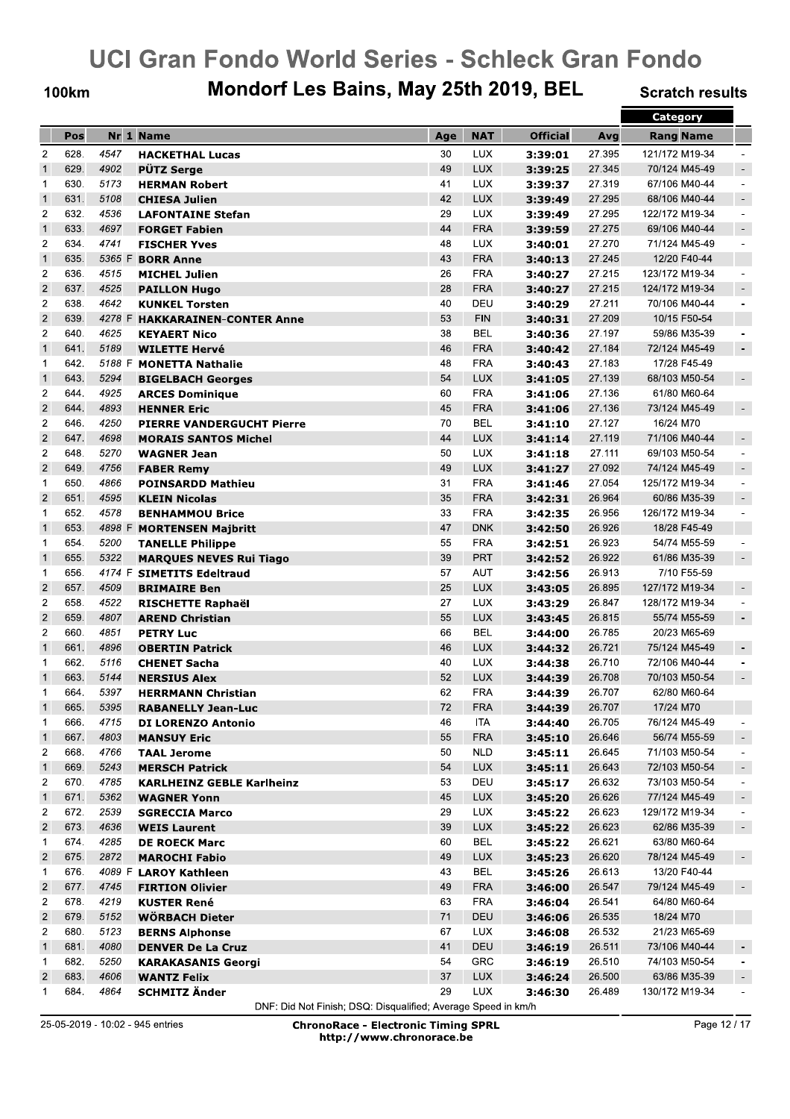**100km** 

## Mondorf Les Bains, May 25th 2019, BEL

**Scratch results** 

|                         |      |      |                                            |     |            |                    |        | <b>Category</b>  |                          |
|-------------------------|------|------|--------------------------------------------|-----|------------|--------------------|--------|------------------|--------------------------|
|                         | Pos  |      | Nr 1 Name                                  | Age | <b>NAT</b> | <b>Official</b>    | Avg    | <b>Rang Name</b> |                          |
| $\overline{2}$          | 628. | 4547 | <b>HACKETHAL Lucas</b>                     | 30  | <b>LUX</b> | 3:39:01            | 27.395 | 121/172 M19-34   |                          |
| $\mathbf{1}$            | 629. | 4902 | <b>PÜTZ Serge</b>                          | 49  | LUX        | 3:39:25            | 27.345 | 70/124 M45-49    | $\overline{\phantom{a}}$ |
| 1                       | 630. | 5173 | <b>HERMAN Robert</b>                       | 41  | <b>LUX</b> | 3:39:37            | 27.319 | 67/106 M40-44    | ÷                        |
| $\mathbf{1}$            | 631. | 5108 | <b>CHIESA Julien</b>                       | 42  | <b>LUX</b> | 3:39:49            | 27.295 | 68/106 M40-44    | $\overline{\phantom{a}}$ |
| $\overline{2}$          | 632. | 4536 | <b>LAFONTAINE Stefan</b>                   | 29  | <b>LUX</b> | 3:39:49            | 27.295 | 122/172 M19-34   | $\overline{\phantom{a}}$ |
| $\mathbf{1}$            | 633. | 4697 | <b>FORGET Fabien</b>                       | 44  | <b>FRA</b> | 3:39:59            | 27.275 | 69/106 M40-44    | $\overline{\phantom{a}}$ |
| $\overline{2}$          | 634. | 4741 | <b>FISCHER Yves</b>                        | 48  | <b>LUX</b> | 3:40:01            | 27.270 | 71/124 M45-49    | $\overline{\phantom{a}}$ |
| $\mathbf{1}$            | 635. |      | 5365 F <b>BORR Anne</b>                    | 43  | <b>FRA</b> | 3:40:13            | 27.245 | 12/20 F40-44     |                          |
| $\overline{2}$          | 636. | 4515 | <b>MICHEL Julien</b>                       | 26  | <b>FRA</b> |                    | 27.215 | 123/172 M19-34   |                          |
| $\mathbf 2$             | 637. | 4525 | <b>PAILLON Hugo</b>                        | 28  | <b>FRA</b> | 3:40:27            | 27.215 | 124/172 M19-34   | $\overline{\phantom{a}}$ |
|                         | 638. | 4642 | <b>KUNKEL Torsten</b>                      | 40  | DEU        | 3:40:27            | 27.211 | 70/106 M40-44    | $\overline{\phantom{a}}$ |
| $\boldsymbol{2}$        |      |      |                                            |     |            | 3:40:29            |        |                  |                          |
| $\mathbf 2$             | 639. |      | 4278 F HAKKARAINEN-CONTER Anne             | 53  | <b>FIN</b> | 3:40:31            | 27.209 | 10/15 F50-54     |                          |
| $\overline{2}$          | 640. | 4625 | <b>KEYAERT Nico</b>                        | 38  | <b>BEL</b> | 3:40:36            | 27.197 | 59/86 M35-39     |                          |
| $\mathbf{1}$            | 641. | 5189 | <b>WILETTE Hervé</b>                       | 46  | <b>FRA</b> | 3:40:42            | 27.184 | 72/124 M45-49    | $\overline{\phantom{a}}$ |
| $\mathbf 1$             | 642. |      | 5188 F MONETTA Nathalie                    | 48  | <b>FRA</b> | 3:40:43            | 27.183 | 17/28 F45-49     |                          |
| $\mathbf{1}$            | 643. | 5294 | <b>BIGELBACH Georges</b>                   | 54  | <b>LUX</b> | 3:41:05            | 27.139 | 68/103 M50-54    | $\overline{\phantom{a}}$ |
| $\overline{2}$          | 644. | 4925 | <b>ARCES Dominique</b>                     | 60  | <b>FRA</b> | 3:41:06            | 27.136 | 61/80 M60-64     |                          |
| $\overline{c}$          | 644. | 4893 | <b>HENNER Eric</b>                         | 45  | <b>FRA</b> | 3:41:06            | 27.136 | 73/124 M45-49    | $\blacksquare$           |
| $\overline{c}$          | 646. | 4250 | <b>PIERRE VANDERGUCHT Pierre</b>           | 70  | <b>BEL</b> | 3:41:10            | 27.127 | 16/24 M70        |                          |
| $\overline{2}$          | 647. | 4698 | <b>MORAIS SANTOS Michel</b>                | 44  | LUX        | 3:41:14            | 27.119 | 71/106 M40-44    | $\sim$                   |
| $\overline{2}$          | 648. | 5270 | <b>WAGNER Jean</b>                         | 50  | <b>LUX</b> | 3:41:18            | 27.111 | 69/103 M50-54    | $\ddot{\phantom{1}}$     |
| $\overline{c}$          | 649. | 4756 | <b>FABER Remy</b>                          | 49  | <b>LUX</b> | 3:41:27            | 27.092 | 74/124 M45-49    | $\blacksquare$           |
| $\mathbf 1$             | 650. | 4866 | <b>POINSARDD Mathieu</b>                   | 31  | <b>FRA</b> | 3:41:46            | 27.054 | 125/172 M19-34   | $\blacksquare$           |
| $\overline{2}$          | 651. | 4595 | <b>KLEIN Nicolas</b>                       | 35  | <b>FRA</b> | 3:42:31            | 26.964 | 60/86 M35-39     | $\overline{\phantom{a}}$ |
| $\mathbf{1}$            | 652. | 4578 | <b>BENHAMMOU Brice</b>                     | 33  | <b>FRA</b> | 3:42:35            | 26.956 | 126/172 M19-34   | $\overline{a}$           |
| $\mathbf{1}$            | 653. |      | 4898 F MORTENSEN Majbritt                  | 47  | <b>DNK</b> | 3:42:50            | 26.926 | 18/28 F45-49     |                          |
| 1                       | 654. | 5200 | <b>TANELLE Philippe</b>                    | 55  | <b>FRA</b> | 3:42:51            | 26.923 | 54/74 M55-59     |                          |
| $\mathbf{1}$            | 655. | 5322 | <b>MARQUES NEVES Rui Tiago</b>             | 39  | <b>PRT</b> | 3:42:52            | 26.922 | 61/86 M35-39     | $\overline{\phantom{a}}$ |
| 1                       | 656. |      | 4174 F SIMETITS Edeltraud                  | 57  | <b>AUT</b> | 3:42:56            | 26.913 | 7/10 F55-59      |                          |
| $\overline{2}$          | 657. | 4509 | <b>BRIMAIRE Ben</b>                        | 25  | <b>LUX</b> | 3:43:05            | 26.895 | 127/172 M19-34   | $\blacksquare$           |
| $\overline{\mathbf{c}}$ | 658. | 4522 | <b>RISCHETTE Raphaël</b>                   | 27  | <b>LUX</b> | 3:43:29            | 26.847 | 128/172 M19-34   | $\overline{a}$           |
| $\overline{2}$          | 659. | 4807 | <b>AREND Christian</b>                     | 55  | <b>LUX</b> | 3:43:45            | 26.815 | 55/74 M55-59     | $\blacksquare$           |
| $\overline{\mathbf{c}}$ | 660. | 4851 | <b>PETRY Luc</b>                           | 66  | <b>BEL</b> | 3:44:00            | 26.785 | 20/23 M65-69     |                          |
| $\mathbf{1}$            | 661. | 4896 | <b>OBERTIN Patrick</b>                     | 46  | <b>LUX</b> | 3:44:32            | 26.721 | 75/124 M45-49    | $\overline{\phantom{a}}$ |
| 1                       | 662. | 5116 | <b>CHENET Sacha</b>                        | 40  | <b>LUX</b> | 3:44:38            | 26.710 | 72/106 M40-44    |                          |
| $\mathbf{1}$            | 663. | 5144 | <b>NERSIUS Alex</b>                        | 52  | <b>LUX</b> | 3:44:39            | 26.708 | 70/103 M50-54    | $\overline{\phantom{a}}$ |
| 1                       | 664. | 5397 | <b>HERRMANN Christian</b>                  | 62  | <b>FRA</b> | 3:44:39            | 26.707 | 62/80 M60-64     |                          |
| $\mathbf{1}$            | 665. | 5395 | <b>RABANELLY Jean-Luc</b>                  | 72  | <b>FRA</b> | 3:44:39            | 26.707 | 17/24 M70        |                          |
| 1                       | 666. | 4715 | <b>DI LORENZO Antonio</b>                  | 46  | ITA        | 3:44:40            | 26.705 | 76/124 M45-49    |                          |
| $\mathbf{1}$            | 667. | 4803 | <b>MANSUY Eric</b>                         | 55  | <b>FRA</b> | 3:45:10            | 26.646 | 56/74 M55-59     |                          |
| $\overline{c}$          | 668. | 4766 | <b>TAAL Jerome</b>                         | 50  | <b>NLD</b> | 3:45:11            | 26.645 | 71/103 M50-54    |                          |
| $\mathbf{1}$            | 669. | 5243 | <b>MERSCH Patrick</b>                      | 54  | <b>LUX</b> | 3:45:11            | 26.643 | 72/103 M50-54    | $\overline{\phantom{a}}$ |
| 2                       | 670. | 4785 | <b>KARLHEINZ GEBLE Karlheinz</b>           | 53  | DEU        | 3:45:17            | 26.632 | 73/103 M50-54    | $\overline{\phantom{a}}$ |
| $\mathbf{1}$            | 671. | 5362 | <b>WAGNER Yonn</b>                         | 45  | <b>LUX</b> | 3:45:20            | 26.626 | 77/124 M45-49    | $\blacksquare$           |
| $\overline{\mathbf{c}}$ | 672. | 2539 | <b>SGRECCIA Marco</b>                      | 29  | <b>LUX</b> | 3:45:22            | 26.623 | 129/172 M19-34   | $\overline{\phantom{a}}$ |
| $\overline{\mathbf{c}}$ | 673. | 4636 | <b>WEIS Laurent</b>                        | 39  | <b>LUX</b> | 3:45:22            | 26.623 | 62/86 M35-39     | $\overline{\phantom{a}}$ |
| 1                       | 674. | 4285 | <b>DE ROECK Marc</b>                       | 60  | <b>BEL</b> | 3:45:22            | 26.621 | 63/80 M60-64     |                          |
| $\overline{\mathbf{c}}$ | 675. | 2872 | <b>MAROCHI Fabio</b>                       | 49  | <b>LUX</b> | 3:45:23            | 26.620 | 78/124 M45-49    | $\overline{\phantom{a}}$ |
| $\mathbf{1}$            | 676. |      | 4089 F LAROY Kathleen                      | 43  | <b>BEL</b> | 3:45:26            | 26.613 | 13/20 F40-44     |                          |
| $\overline{\mathbf{c}}$ | 677. | 4745 | <b>FIRTION Olivier</b>                     | 49  | <b>FRA</b> | 3:46:00            | 26.547 | 79/124 M45-49    | $\overline{\phantom{a}}$ |
| 2                       | 678. | 4219 | <b>KUSTER René</b>                         | 63  | <b>FRA</b> | 3:46:04            | 26.541 | 64/80 M60-64     |                          |
| $\overline{\mathbf{c}}$ | 679. | 5152 | <b>WÖRBACH Dieter</b>                      | 71  | DEU        | 3:46:06            | 26.535 | 18/24 M70        |                          |
| $\overline{c}$          | 680. | 5123 | <b>BERNS Alphonse</b>                      | 67  | <b>LUX</b> |                    | 26.532 | 21/23 M65-69     |                          |
| $\mathbf{1}$            | 681. | 4080 | <b>DENVER De La Cruz</b>                   | 41  | DEU        | 3:46:08<br>3:46:19 | 26.511 | 73/106 M40-44    |                          |
| 1                       | 682. | 5250 | <b>KARAKASANIS Georgi</b>                  | 54  | <b>GRC</b> | 3:46:19            | 26.510 | 74/103 M50-54    | $\overline{\phantom{a}}$ |
| $\overline{\mathbf{c}}$ | 683. | 4606 |                                            | 37  | <b>LUX</b> |                    | 26.500 | 63/86 M35-39     |                          |
|                         | 684. | 4864 | <b>WANTZ Felix</b><br><b>SCHMITZ Änder</b> | 29  | LUX        | 3:46:24            | 26.489 | 130/172 M19-34   | $\overline{\phantom{a}}$ |
| $\mathbf{1}$            |      |      |                                            |     |            | 3:46:30            |        |                  |                          |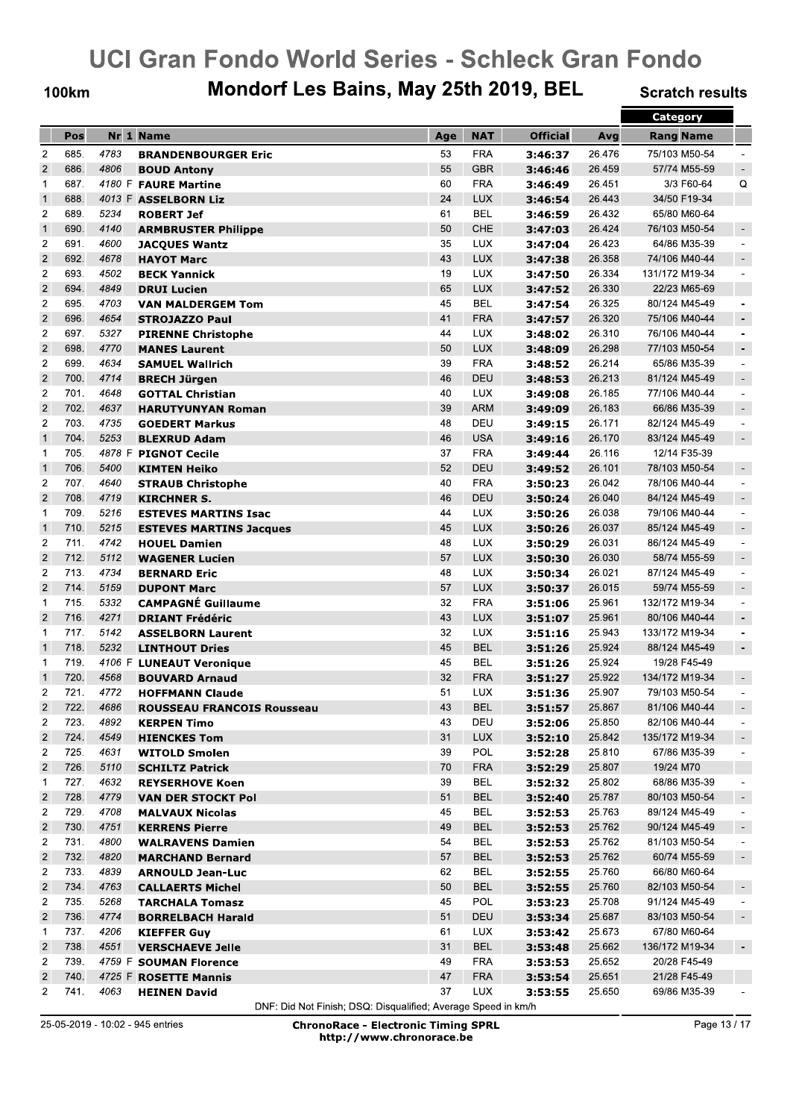**100km** 

## Mondorf Les Bains, May 25th 2019, BEL

**Scratch results** 

|                         |      |        |                                   |     |            |                 |        | <b>Category</b>  |                          |
|-------------------------|------|--------|-----------------------------------|-----|------------|-----------------|--------|------------------|--------------------------|
|                         | Pos  |        | Nr 1 Name                         | Age | <b>NAT</b> | <b>Official</b> | Avg    | <b>Rang Name</b> |                          |
| $\overline{2}$          | 685. | 4783   | <b>BRANDENBOURGER Eric</b>        | 53  | <b>FRA</b> | 3:46:37         | 26.476 | 75/103 M50-54    |                          |
| $\mathbf 2$             | 686. | 4806   | <b>BOUD Antony</b>                | 55  | <b>GBR</b> | 3:46:46         | 26.459 | 57/74 M55-59     | $\overline{\phantom{a}}$ |
| $\mathbf{1}$            | 687. |        | 4180 F FAURE Martine              | 60  | <b>FRA</b> | 3:46:49         | 26.451 | 3/3 F60-64       | Q                        |
| $\mathbf{1}$            | 688. |        | 4013 F ASSELBORN Liz              | 24  | <b>LUX</b> | 3:46:54         | 26.443 | 34/50 F19-34     |                          |
| $\overline{2}$          | 689. | 5234   | <b>ROBERT Jef</b>                 | 61  | <b>BEL</b> | 3:46:59         | 26.432 | 65/80 M60-64     |                          |
| $\mathbf{1}$            | 690. | 4140   | <b>ARMBRUSTER Philippe</b>        | 50  | CHE        | 3:47:03         | 26.424 | 76/103 M50-54    |                          |
| $\overline{c}$          | 691. | 4600   | <b>JACQUES Wantz</b>              | 35  | <b>LUX</b> | 3:47:04         | 26.423 | 64/86 M35-39     |                          |
| $\mathbf 2$             | 692. | 4678   | <b>HAYOT Marc</b>                 | 43  | <b>LUX</b> | 3:47:38         | 26.358 | 74/106 M40-44    | $\overline{\phantom{a}}$ |
| $\overline{2}$          | 693. | 4502   | <b>BECK Yannick</b>               | 19  | <b>LUX</b> | 3:47:50         | 26.334 | 131/172 M19-34   |                          |
| $\mathbf 2$             | 694. | 4849   | <b>DRUI Lucien</b>                | 65  | <b>LUX</b> | 3:47:52         | 26.330 | 22/23 M65-69     |                          |
| $\overline{\mathbf{c}}$ | 695. | 4703   | <b>VAN MALDERGEM Tom</b>          | 45  | <b>BEL</b> | 3:47:54         | 26.325 | 80/124 M45-49    |                          |
| $\mathbf 2$             | 696. | 4654   | <b>STROJAZZO Paul</b>             | 41  | <b>FRA</b> | 3:47:57         | 26.320 | 75/106 M40-44    | $\overline{\phantom{a}}$ |
| $\overline{c}$          | 697. | 5327   | <b>PIRENNE Christophe</b>         | 44  | <b>LUX</b> | 3:48:02         | 26.310 | 76/106 M40-44    | $\overline{\phantom{a}}$ |
| $\overline{c}$          | 698. | 4770   | <b>MANES Laurent</b>              | 50  | <b>LUX</b> | 3:48:09         | 26.298 | 77/103 M50-54    | $\overline{\phantom{a}}$ |
| $\overline{2}$          | 699. | 4634   | <b>SAMUEL Wallrich</b>            | 39  | <b>FRA</b> | 3:48:52         | 26.214 | 65/86 M35-39     | $\overline{\phantom{a}}$ |
| $\overline{c}$          | 700. | 4714   | <b>BRECH Jürgen</b>               | 46  | DEU        | 3:48:53         | 26.213 | 81/124 M45-49    | $\overline{\phantom{a}}$ |
| $\overline{2}$          | 701. | 4648   | <b>GOTTAL Christian</b>           | 40  | <b>LUX</b> | 3:49:08         | 26.185 | 77/106 M40-44    | $\blacksquare$           |
| $\overline{c}$          | 702. | 4637   | <b>HARUTYUNYAN Roman</b>          | 39  | <b>ARM</b> | 3:49:09         | 26.183 | 66/86 M35-39     | $\overline{\phantom{a}}$ |
| $\overline{c}$          | 703. | 4735   | <b>GOEDERT Markus</b>             | 48  | DEU        | 3:49:15         | 26.171 | 82/124 M45-49    | $\ddot{\phantom{1}}$     |
| $\mathbf{1}$            | 704. | 5253   | <b>BLEXRUD Adam</b>               | 46  | <b>USA</b> | 3:49:16         | 26.170 | 83/124 M45-49    | $\overline{\phantom{a}}$ |
| $\mathbf 1$             | 705. | 4878 F | <b>PIGNOT Cecile</b>              | 37  | <b>FRA</b> | 3:49:44         | 26.116 | 12/14 F35-39     |                          |
| $\mathbf{1}$            | 706. | 5400   | <b>KIMTEN Heiko</b>               | 52  | DEU        | 3:49:52         | 26.101 | 78/103 M50-54    | $\overline{\phantom{a}}$ |
| $\overline{2}$          | 707. | 4640   | <b>STRAUB Christophe</b>          | 40  | <b>FRA</b> | 3:50:23         | 26.042 | 78/106 M40-44    | $\blacksquare$           |
| $\overline{2}$          | 708. | 4719   | <b>KIRCHNER S.</b>                | 46  | DEU        | 3:50:24         | 26.040 | 84/124 M45-49    | $\overline{\phantom{a}}$ |
| $\mathbf{1}$            | 709. | 5216   | <b>ESTEVES MARTINS Isac</b>       | 44  | LUX        | 3:50:26         | 26.038 | 79/106 M40-44    |                          |
| $\mathbf{1}$            | 710. | 5215   | <b>ESTEVES MARTINS Jacques</b>    | 45  | <b>LUX</b> | 3:50:26         | 26.037 | 85/124 M45-49    | $\overline{\phantom{a}}$ |
| $\overline{\mathbf{c}}$ | 711. | 4742   | <b>HOUEL Damien</b>               | 48  | <b>LUX</b> | 3:50:29         | 26.031 | 86/124 M45-49    | $\overline{a}$           |
| $\overline{2}$          | 712. | 5112   | <b>WAGENER Lucien</b>             | 57  | <b>LUX</b> | 3:50:30         | 26.030 | 58/74 M55-59     | $\overline{\phantom{a}}$ |
| $\overline{2}$          | 713. | 4734   | <b>BERNARD Eric</b>               | 48  | <b>LUX</b> | 3:50:34         | 26.021 | 87/124 M45-49    | $\blacksquare$           |
| $\overline{c}$          | 714. | 5159   | <b>DUPONT Marc</b>                | 57  | <b>LUX</b> | 3:50:37         | 26.015 | 59/74 M55-59     | $\overline{\phantom{a}}$ |
| $\mathbf 1$             | 715. | 5332   | <b>CAMPAGNÉ Guillaume</b>         | 32  | <b>FRA</b> | 3:51:06         | 25.961 | 132/172 M19-34   | $\overline{\phantom{a}}$ |
| $\overline{2}$          | 716. | 4271   | <b>DRIANT Frédéric</b>            | 43  | <b>LUX</b> | 3:51:07         | 25.961 | 80/106 M40-44    | $\overline{\phantom{a}}$ |
| $\mathbf{1}$            | 717. | 5142   | <b>ASSELBORN Laurent</b>          | 32  | <b>LUX</b> | 3:51:16         | 25.943 | 133/172 M19-34   |                          |
| $\mathbf{1}$            | 718. | 5232   | <b>LINTHOUT Dries</b>             | 45  | <b>BEL</b> | 3:51:26         | 25.924 | 88/124 M45-49    | $\overline{\phantom{a}}$ |
| 1                       | 719. |        | 4106 F LUNEAUT Veronique          | 45  | <b>BEL</b> | 3:51:26         | 25.924 | 19/28 F45-49     |                          |
| $\mathbf{1}$            | 720. | 4568   | <b>BOUVARD Arnaud</b>             | 32  | <b>FRA</b> | 3:51:27         | 25.922 | 134/172 M19-34   | $\overline{\phantom{a}}$ |
| $\overline{2}$          | 721. | 4772   | <b>HOFFMANN Claude</b>            | 51  | <b>LUX</b> | 3:51:36         | 25.907 | 79/103 M50-54    | $\overline{\phantom{a}}$ |
| $\overline{\mathbf{c}}$ | 722  | 4686   | <b>ROUSSEAU FRANCOIS Rousseau</b> | 43  | <b>BEL</b> | 3:51:57         | 25.867 | 81/106 M40-44    |                          |
| $\overline{c}$          | 723. | 4892   | <b>KERPEN Timo</b>                | 43  | DEU        | 3:52:06         | 25.850 | 82/106 M40-44    |                          |
| $\overline{\mathbf{c}}$ | 724. | 4549   | <b>HIENCKES Tom</b>               | 31  | <b>LUX</b> | 3:52:10         | 25.842 | 135/172 M19-34   |                          |
| $\overline{c}$          | 725. | 4631   | <b>WITOLD Smolen</b>              | 39  | POL        | 3:52:28         | 25.810 | 67/86 M35-39     |                          |
| $\overline{2}$          | 726. | 5110   | <b>SCHILTZ Patrick</b>            | 70  | <b>FRA</b> | 3:52:29         | 25.807 | 19/24 M70        |                          |
| $\mathbf{1}$            | 727. | 4632   | <b>REYSERHOVE Koen</b>            | 39  | <b>BEL</b> | 3:52:32         | 25.802 | 68/86 M35-39     | $\overline{\phantom{a}}$ |
| $\overline{\mathbf{c}}$ | 728. | 4779   | <b>VAN DER STOCKT Pol</b>         | 51  | <b>BEL</b> | 3:52:40         | 25.787 | 80/103 M50-54    | ٠                        |
| $\overline{\mathbf{c}}$ | 729. | 4708   | <b>MALVAUX Nicolas</b>            | 45  | <b>BEL</b> | 3:52:53         | 25.763 | 89/124 M45-49    | $\overline{\phantom{a}}$ |
| $\overline{\mathbf{c}}$ | 730. | 4751   | <b>KERRENS Pierre</b>             | 49  | <b>BEL</b> | 3:52:53         | 25.762 | 90/124 M45-49    | $\blacksquare$           |
| $\overline{\mathbf{c}}$ | 731. | 4800   | <b>WALRAVENS Damien</b>           | 54  | <b>BEL</b> | 3:52:53         | 25.762 | 81/103 M50-54    | $\overline{\phantom{a}}$ |
| $\overline{\mathbf{c}}$ | 732. | 4820   | <b>MARCHAND Bernard</b>           | 57  | <b>BEL</b> | 3:52:53         | 25.762 | 60/74 M55-59     | $\blacksquare$           |
| $\overline{\mathbf{c}}$ | 733. | 4839   | <b>ARNOULD Jean-Luc</b>           | 62  | <b>BEL</b> | 3:52:55         | 25.760 | 66/80 M60-64     |                          |
| $\overline{\mathbf{c}}$ | 734. | 4763   | <b>CALLAERTS Michel</b>           | 50  | <b>BEL</b> | 3:52:55         | 25.760 | 82/103 M50-54    | $\overline{\phantom{a}}$ |
| $\overline{2}$          | 735. | 5268   | <b>TARCHALA Tomasz</b>            | 45  | POL        | 3:53:23         | 25.708 | 91/124 M45-49    | $\overline{\phantom{a}}$ |
| $\overline{\mathbf{c}}$ | 736. | 4774   | <b>BORRELBACH Harald</b>          | 51  | DEU        | 3:53:34         | 25.687 | 83/103 M50-54    | $\blacksquare$           |
| $\mathbf{1}$            | 737. | 4206   | <b>KIEFFER Guy</b>                | 61  | <b>LUX</b> | 3:53:42         | 25.673 | 67/80 M60-64     |                          |
| $\overline{\mathbf{c}}$ | 738. | 4551   | <b>VERSCHAEVE Jelle</b>           | 31  | BEL        | 3:53:48         | 25.662 | 136/172 M19-34   | $\overline{\phantom{a}}$ |
| $\overline{\mathbf{c}}$ | 739. |        | 4759 F SOUMAN Florence            | 49  | <b>FRA</b> | 3:53:53         | 25.652 | 20/28 F45-49     |                          |
| $\overline{\mathbf{c}}$ | 740. |        | 4725 F ROSETTE Mannis             | 47  | <b>FRA</b> | 3:53:54         | 25.651 | 21/28 F45-49     |                          |
| $\overline{2}$          | 741. | 4063   | <b>HEINEN David</b>               | 37  | <b>LUX</b> | 3:53:55         | 25.650 | 69/86 M35-39     |                          |

DNF: Did Not Finish; DSQ: Disqualified; Average Speed in km/h

Page 13/17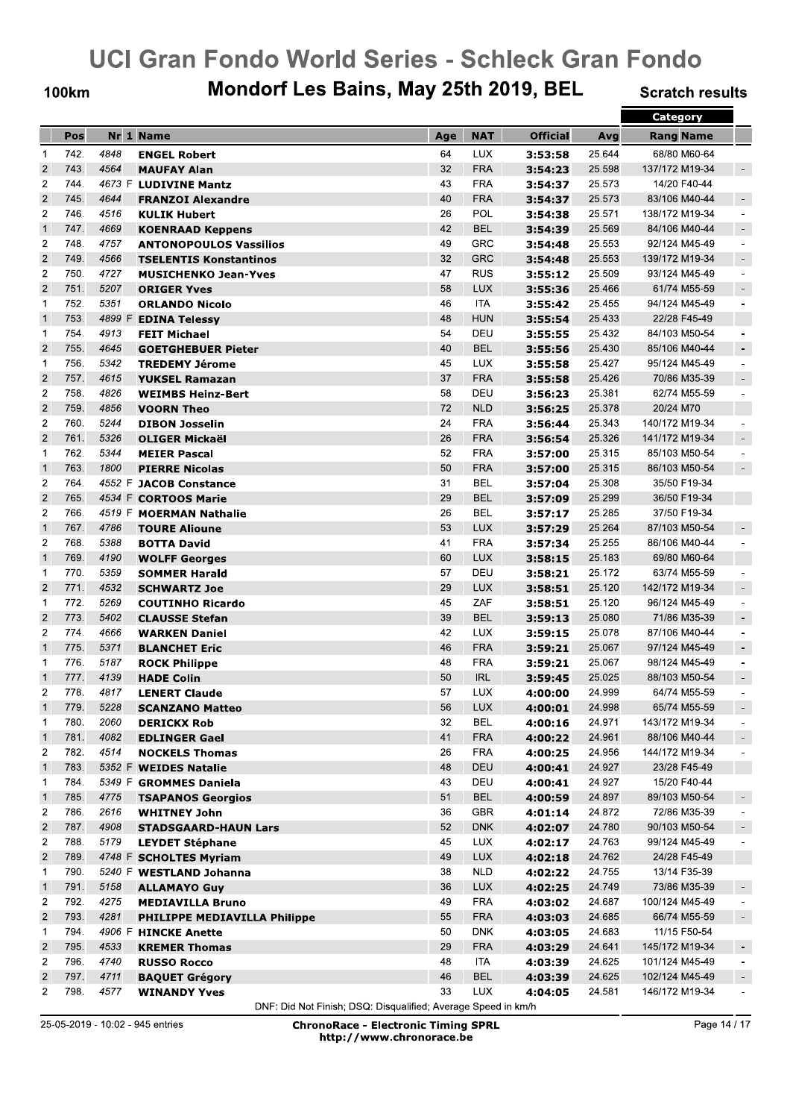**100km** 

## Mondorf Les Bains, May 25th 2019, BEL

**Scratch results** 

|                         |      |        |                                                             |          |            |                 |        | Category                         |                          |
|-------------------------|------|--------|-------------------------------------------------------------|----------|------------|-----------------|--------|----------------------------------|--------------------------|
|                         | Pos  |        | Nr 1 Name                                                   | Age      | <b>NAT</b> | <b>Official</b> | Avg    | <b>Rang Name</b>                 |                          |
| $\mathbf{1}$            | 742. | 4848   | <b>ENGEL Robert</b>                                         | 64       | <b>LUX</b> | 3:53:58         | 25.644 | 68/80 M60-64                     |                          |
| $\overline{2}$          | 743. | 4564   | <b>MAUFAY Alan</b>                                          | 32       | <b>FRA</b> | 3:54:23         | 25.598 | 137/172 M19-34                   | $\overline{\phantom{a}}$ |
| $\overline{2}$          | 744. |        | 4673 F LUDIVINE Mantz                                       | 43       | <b>FRA</b> | 3:54:37         | 25.573 | 14/20 F40-44                     |                          |
| $\overline{2}$          | 745. | 4644   | <b>FRANZOI Alexandre</b>                                    | 40       | <b>FRA</b> | 3:54:37         | 25.573 | 83/106 M40-44                    | $\overline{\phantom{a}}$ |
| $\overline{2}$          | 746. | 4516   | <b>KULIK Hubert</b>                                         | 26       | <b>POL</b> | 3:54:38         | 25.571 | 138/172 M19-34                   | $\overline{\phantom{a}}$ |
| $\mathbf{1}$            | 747. | 4669   | <b>KOENRAAD Keppens</b>                                     | 42       | <b>BEL</b> | 3:54:39         | 25.569 | 84/106 M40-44                    | $\overline{\phantom{a}}$ |
| $\overline{2}$          | 748. | 4757   | <b>ANTONOPOULOS Vassilios</b>                               | 49       | GRC        | 3:54:48         | 25.553 | 92/124 M45-49                    | $\overline{\phantom{a}}$ |
| $\overline{c}$          | 749. | 4566   | <b>TSELENTIS Konstantinos</b>                               | 32       | <b>GRC</b> | 3:54:48         | 25.553 | 139/172 M19-34                   | $\overline{\phantom{a}}$ |
| $\overline{2}$          | 750. | 4727   | <b>MUSICHENKO Jean-Yves</b>                                 | 47       | RUS        | 3:55:12         | 25.509 | 93/124 M45-49                    | $\overline{\phantom{a}}$ |
| $\overline{2}$          | 751. | 5207   | <b>ORIGER Yves</b>                                          | 58       | <b>LUX</b> | 3:55:36         | 25.466 | 61/74 M55-59                     | $\sim$                   |
| $\mathbf{1}$            | 752. | 5351   | <b>ORLANDO Nicolo</b>                                       | 46       | ITA        | 3:55:42         | 25.455 | 94/124 M45-49                    | $\overline{\phantom{a}}$ |
| $\mathbf{1}$            | 753. | 4899 F | <b>EDINA Telessy</b>                                        | 48       | <b>HUN</b> | 3:55:54         | 25.433 | 22/28 F45-49                     |                          |
| $\mathbf 1$             | 754. | 4913   | <b>FEIT Michael</b>                                         | 54       | DEU        | 3:55:55         | 25.432 | 84/103 M50-54                    |                          |
| $\overline{2}$          | 755. | 4645   | <b>GOETGHEBUER Pieter</b>                                   | 40       | <b>BEL</b> | 3:55:56         | 25.430 | 85/106 M40-44                    |                          |
| $\mathbf{1}$            | 756. | 5342   | <b>TREDEMY Jérome</b>                                       | 45       | <b>LUX</b> | 3:55:58         | 25.427 | 95/124 M45-49                    |                          |
| $\overline{2}$          | 757. | 4615   | <b>YUKSEL Ramazan</b>                                       | 37       | <b>FRA</b> | 3:55:58         | 25.426 | 70/86 M35-39                     |                          |
| $\overline{2}$          | 758. | 4826   | <b>WEIMBS Heinz-Bert</b>                                    | 58       | DEU        | 3:56:23         | 25.381 | 62/74 M55-59                     | $\blacksquare$           |
| $\overline{\mathbf{c}}$ | 759. | 4856   | <b>VOORN Theo</b>                                           | 72       | <b>NLD</b> | 3:56:25         | 25.378 | 20/24 M70                        |                          |
| $\overline{c}$          | 760. | 5244   | <b>DIBON Josselin</b>                                       | 24       | <b>FRA</b> | 3:56:44         | 25.343 | 140/172 M19-34                   |                          |
| $\overline{2}$          | 761. | 5326   | <b>OLIGER Mickaël</b>                                       | 26       | <b>FRA</b> | 3:56:54         | 25.326 | 141/172 M19-34                   | $\overline{\phantom{a}}$ |
| $\mathbf 1$             | 762. | 5344   | <b>MEIER Pascal</b>                                         | 52       | <b>FRA</b> | 3:57:00         | 25.315 | 85/103 M50-54                    | $\blacksquare$           |
| $\mathbf{1}$            | 763. | 1800   | <b>PIERRE Nicolas</b>                                       | 50       | <b>FRA</b> | 3:57:00         | 25.315 | 86/103 M50-54                    | $\blacksquare$           |
| $\overline{2}$          | 764. | 4552 F | <b>JACOB Constance</b>                                      | 31       | BEL        | 3:57:04         | 25.308 | 35/50 F19-34                     |                          |
| $\overline{2}$          | 765. |        | 4534 F CORTOOS Marie                                        | 29       | <b>BEL</b> | 3:57:09         | 25.299 | 36/50 F19-34                     |                          |
| $\overline{2}$          | 766. |        | 4519 F MOERMAN Nathalie                                     | 26       | BEL        | 3:57:17         | 25.285 | 37/50 F19-34                     |                          |
| $\mathbf{1}$            | 767. | 4786   | <b>TOURE Alioune</b>                                        | 53       | <b>LUX</b> | 3:57:29         | 25.264 | 87/103 M50-54                    |                          |
| $\overline{2}$          | 768. | 5388   | <b>BOTTA David</b>                                          | 41       | <b>FRA</b> | 3:57:34         | 25.255 | 86/106 M40-44                    |                          |
| $\mathbf{1}$            | 769. | 4190   | <b>WOLFF Georges</b>                                        | 60       | <b>LUX</b> | 3:58:15         | 25.183 | 69/80 M60-64                     |                          |
| $\mathbf{1}$            | 770. | 5359   | <b>SOMMER Harald</b>                                        | 57       | DEU        | 3:58:21         | 25.172 | 63/74 M55-59                     |                          |
| $\overline{c}$          | 771. | 4532   | <b>SCHWARTZ Joe</b>                                         | 29       | <b>LUX</b> | 3:58:51         | 25.120 | 142/172 M19-34                   | $\blacksquare$           |
| $\mathbf{1}$            | 772. | 5269   | <b>COUTINHO Ricardo</b>                                     | 45       | ZAF        | 3:58:51         | 25.120 | 96/124 M45-49                    |                          |
| $\overline{2}$          | 773. | 5402   | <b>CLAUSSE Stefan</b>                                       | 39       | <b>BEL</b> | 3:59:13         | 25.080 | 71/86 M35-39                     | $\overline{\phantom{a}}$ |
| $\overline{2}$          | 774. | 4666   | <b>WARKEN Daniel</b>                                        | 42       | <b>LUX</b> | 3:59:15         | 25.078 | 87/106 M40-44                    | $\overline{\phantom{a}}$ |
| $\mathbf{1}$            | 775. | 5371   | <b>BLANCHET Eric</b>                                        | 46       | <b>FRA</b> | 3:59:21         | 25.067 | 97/124 M45-49                    | $\overline{\phantom{a}}$ |
| $\mathbf{1}$            | 776. | 5187   | <b>ROCK Philippe</b>                                        | 48       | <b>FRA</b> | 3:59:21         | 25.067 | 98/124 M45-49                    | $\overline{a}$           |
| $\mathbf{1}$            | 777. | 4139   | <b>HADE Colin</b>                                           | 50       | <b>IRL</b> | 3:59:45         | 25.025 | 88/103 M50-54                    | $\overline{\phantom{a}}$ |
| $\overline{2}$          | 778. | 4817   | <b>LENERT Claude</b>                                        | 57       | <b>LUX</b> | 4:00:00         | 24.999 | 64/74 M55-59                     | $\overline{a}$           |
| $\mathbf{1}$            | 779. | 5228   | <b>SCANZANO Matteo</b>                                      | 56       | <b>LUX</b> | 4:00:01         | 24.998 | 65/74 M55-59                     |                          |
| $\mathbf{1}$            | 780. | 2060   | <b>DERICKX Rob</b>                                          | 32       | BEL        | 4:00:16         | 24.971 | 143/172 M19-34                   |                          |
| $\mathbf{1}$            | 781. | 4082   | <b>EDLINGER Gael</b>                                        | 41       | <b>FRA</b> | 4:00:22         | 24.961 | 88/106 M40-44                    | $\blacksquare$           |
| $\overline{\mathbf{c}}$ | 782. | 4514   | <b>NOCKELS Thomas</b>                                       | 26       | <b>FRA</b> | 4:00:25         | 24.956 | 144/172 M19-34                   |                          |
| $\mathbf{1}$            | 783. |        | 5352 F WEIDES Natalie                                       | 48       | DEU        | 4:00:41         | 24.927 | 23/28 F45-49                     |                          |
| $\mathbf{1}$            | 784. |        | 5349 F GROMMES Daniela                                      | 43       | DEU        | 4:00:41         | 24.927 | 15/20 F40-44                     |                          |
| $\mathbf{1}$            | 785. | 4775   | <b>TSAPANOS Georgios</b>                                    | 51       | <b>BEL</b> | 4:00:59         | 24.897 | 89/103 M50-54                    | $\overline{\phantom{a}}$ |
| 2                       | 786. | 2616   | <b>WHITNEY John</b>                                         | 36       | GBR        | 4:01:14         | 24.872 | 72/86 M35-39                     | $\overline{\phantom{a}}$ |
| $\mathbf 2$             | 787. | 4908   | <b>STADSGAARD-HAUN Lars</b>                                 | 52       | <b>DNK</b> | 4:02:07         | 24.780 | 90/103 M50-54                    | $\overline{\phantom{a}}$ |
| $\overline{c}$          | 788. | 5179   | <b>LEYDET Stéphane</b>                                      | 45       | <b>LUX</b> | 4:02:17         | 24.763 | 99/124 M45-49                    | $\overline{\phantom{a}}$ |
| $\overline{\mathbf{c}}$ | 789. |        | 4748 F SCHOLTES Myriam                                      | 49       | <b>LUX</b> |                 | 24.762 | 24/28 F45-49                     |                          |
| $\mathbf{1}$            | 790. |        | 5240 F WESTLAND Johanna                                     | 38       | <b>NLD</b> | 4:02:18         | 24.755 | 13/14 F35-39                     |                          |
| $\mathbf{1}$            | 791. | 5158   |                                                             | 36       | <b>LUX</b> | 4:02:22         | 24.749 | 73/86 M35-39                     | $\overline{\phantom{a}}$ |
| $\overline{c}$          | 792. | 4275   | <b>ALLAMAYO Guy</b>                                         | 49       | <b>FRA</b> | 4:02:25         | 24.687 | 100/124 M45-49                   |                          |
| $\sqrt{2}$              | 793. | 4281   | <b>MEDIAVILLA Bruno</b>                                     | 55       | <b>FRA</b> | 4:03:02         | 24.685 | 66/74 M55-59                     | $\overline{\phantom{a}}$ |
| $\mathbf{1}$            | 794. |        | <b>PHILIPPE MEDIAVILLA Philippe</b><br>4906 F HINCKE Anette | 50       | DNK        | 4:03:03         | 24.683 | 11/15 F50-54                     |                          |
| $\sqrt{2}$              | 795. | 4533   |                                                             | 29       | <b>FRA</b> | 4:03:05         |        |                                  |                          |
| $\overline{2}$          | 796. |        | <b>KREMER Thomas</b>                                        | 48       | ITA        | 4:03:29         | 24.641 | 145/172 M19-34                   | $\overline{\phantom{a}}$ |
|                         | 797. | 4740   | <b>RUSSO Rocco</b>                                          |          | <b>BEL</b> | 4:03:39         | 24.625 | 101/124 M45-49                   |                          |
| $\overline{\mathbf{c}}$ | 798. | 4711   | <b>BAQUET Grégory</b>                                       | 46<br>33 |            | 4:03:39         | 24.625 | 102/124 M45-49<br>146/172 M19-34 | $\overline{\phantom{a}}$ |
| $\overline{c}$          |      | 4577   | <b>WINANDY Yves</b>                                         |          | LUX        | 4:04:05         | 24.581 |                                  |                          |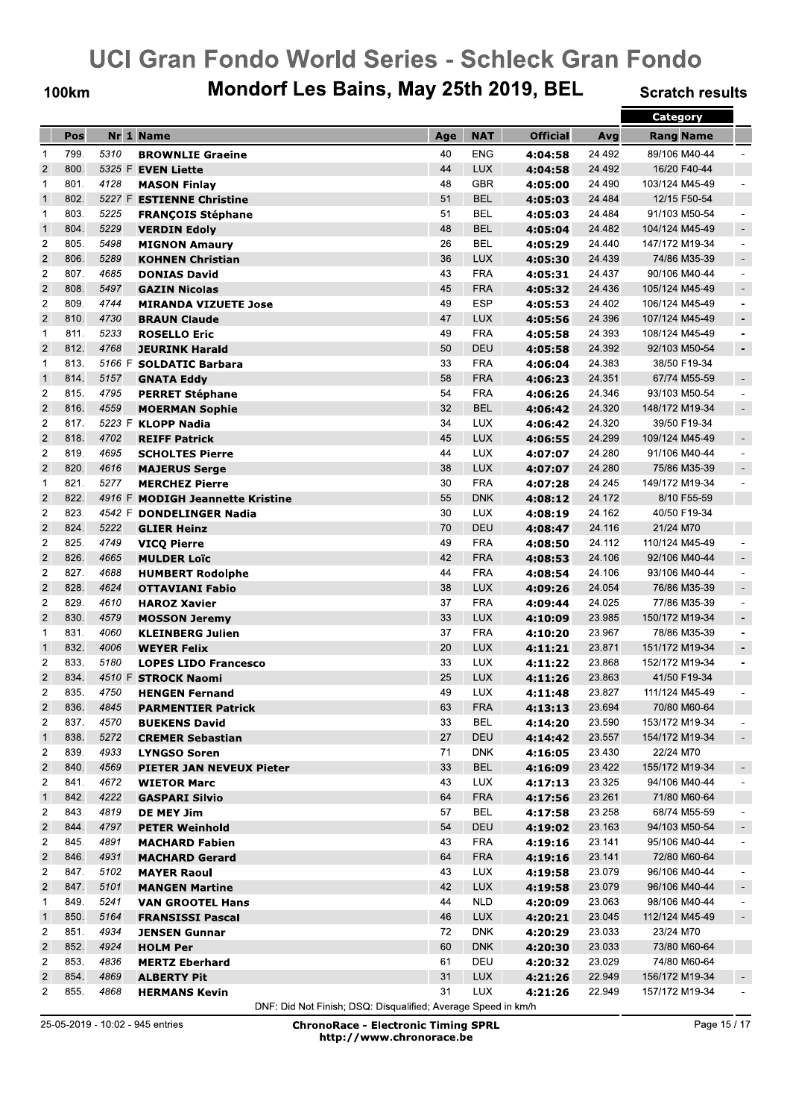**100km** 

## Mondorf Les Bains, May 25th 2019, BEL

**Scratch results** 

|                         |      |        |                                  |     |            |                 |        | Category         |                          |
|-------------------------|------|--------|----------------------------------|-----|------------|-----------------|--------|------------------|--------------------------|
|                         | Pos  |        | Nr 1 Name                        | Age | <b>NAT</b> | <b>Official</b> | Avg    | <b>Rang Name</b> |                          |
| $\mathbf{1}$            | 799. | 5310   | <b>BROWNLIE Graeine</b>          | 40  | <b>ENG</b> | 4:04:58         | 24.492 | 89/106 M40-44    |                          |
| $\overline{2}$          | 800. |        | 5325 F EVEN Liette               | 44  | <b>LUX</b> | 4:04:58         | 24.492 | 16/20 F40-44     |                          |
| $\mathbf 1$             | 801. | 4128   | <b>MASON Finlay</b>              | 48  | <b>GBR</b> | 4:05:00         | 24.490 | 103/124 M45-49   |                          |
| $\mathbf{1}$            | 802. |        | 5227 F ESTIENNE Christine        | 51  | <b>BEL</b> | 4:05:03         | 24.484 | 12/15 F50-54     |                          |
| 1                       | 803. | 5225   | <b>FRANÇOIS Stéphane</b>         | 51  | <b>BEL</b> | 4:05:03         | 24.484 | 91/103 M50-54    |                          |
| $\mathbf{1}$            | 804. | 5229   | <b>VERDIN Edoly</b>              | 48  | <b>BEL</b> | 4:05:04         | 24.482 | 104/124 M45-49   | $\overline{\phantom{a}}$ |
| $\overline{2}$          | 805. | 5498   | <b>MIGNON Amaury</b>             | 26  | <b>BEL</b> | 4:05:29         | 24.440 | 147/172 M19-34   | $\overline{\phantom{a}}$ |
| $\overline{2}$          | 806. | 5289   | <b>KOHNEN Christian</b>          | 36  | <b>LUX</b> | 4:05:30         | 24.439 | 74/86 M35-39     | $\blacksquare$           |
| $\overline{2}$          | 807. | 4685   | <b>DONIAS David</b>              | 43  | <b>FRA</b> | 4:05:31         | 24.437 | 90/106 M40-44    | $\blacksquare$           |
| $\overline{2}$          | 808. | 5497   | <b>GAZIN Nicolas</b>             | 45  | <b>FRA</b> | 4:05:32         | 24.436 | 105/124 M45-49   | $\overline{\phantom{a}}$ |
| $\overline{c}$          | 809. | 4744   | <b>MIRANDA VIZUETE Jose</b>      | 49  | <b>ESP</b> | 4:05:53         | 24.402 | 106/124 M45-49   | $\overline{\phantom{a}}$ |
| $\overline{2}$          | 810. | 4730   |                                  | 47  | <b>LUX</b> |                 | 24.396 | 107/124 M45-49   | $\overline{\phantom{a}}$ |
| $\mathbf{1}$            | 811. | 5233   | <b>BRAUN Claude</b>              | 49  | <b>FRA</b> | 4:05:56         | 24.393 | 108/124 M45-49   | $\blacksquare$           |
| $\overline{2}$          | 812. | 4768   | <b>ROSELLO Eric</b>              | 50  | DEU        | 4:05:58         | 24.392 | 92/103 M50-54    |                          |
|                         | 813. |        | <b>JEURINK Harald</b>            |     | <b>FRA</b> | 4:05:58         |        |                  | $\blacksquare$           |
| 1                       |      |        | 5166 F SOLDATIC Barbara          | 33  |            | 4:06:04         | 24.383 | 38/50 F19-34     |                          |
| $\mathbf{1}$            | 814. | 5157   | <b>GNATA Eddy</b>                | 58  | <b>FRA</b> | 4:06:23         | 24.351 | 67/74 M55-59     | $\overline{\phantom{a}}$ |
| $\overline{2}$          | 815. | 4795   | <b>PERRET Stéphane</b>           | 54  | <b>FRA</b> | 4:06:26         | 24.346 | 93/103 M50-54    |                          |
| $\overline{2}$          | 816. | 4559   | <b>MOERMAN Sophie</b>            | 32  | <b>BEL</b> | 4:06:42         | 24.320 | 148/172 M19-34   | $\blacksquare$           |
| $\overline{2}$          | 817. |        | 5223 F KLOPP Nadia               | 34  | <b>LUX</b> | 4:06:42         | 24.320 | 39/50 F19-34     |                          |
| $\overline{2}$          | 818. | 4702   | <b>REIFF Patrick</b>             | 45  | <b>LUX</b> | 4:06:55         | 24.299 | 109/124 M45-49   | $\overline{\phantom{a}}$ |
| $\overline{c}$          | 819. | 4695   | <b>SCHOLTES Pierre</b>           | 44  | <b>LUX</b> | 4:07:07         | 24.280 | 91/106 M40-44    | $\blacksquare$           |
| $\overline{2}$          | 820. | 4616   | <b>MAJERUS Serge</b>             | 38  | LUX        | 4:07:07         | 24.280 | 75/86 M35-39     | $\sim$                   |
| 1                       | 821. | 5277   | <b>MERCHEZ Pierre</b>            | 30  | <b>FRA</b> | 4:07:28         | 24.245 | 149/172 M19-34   | $\blacksquare$           |
| $\overline{\mathbf{c}}$ | 822. | 4916 F | <b>MODIGH Jeannette Kristine</b> | 55  | <b>DNK</b> | 4:08:12         | 24.172 | 8/10 F55-59      |                          |
| $\overline{2}$          | 823. | 4542 F | <b>DONDELINGER Nadia</b>         | 30  | <b>LUX</b> | 4:08:19         | 24.162 | 40/50 F19-34     |                          |
| $\overline{2}$          | 824. | 5222   | <b>GLIER Heinz</b>               | 70  | DEU        | 4:08:47         | 24.116 | 21/24 M70        |                          |
| $\overline{2}$          | 825. | 4749   | <b>VICQ Pierre</b>               | 49  | <b>FRA</b> | 4:08:50         | 24.112 | 110/124 M45-49   |                          |
| $\overline{2}$          | 826. | 4665   | <b>MULDER Loïc</b>               | 42  | <b>FRA</b> | 4:08:53         | 24.106 | 92/106 M40-44    | $\overline{\phantom{a}}$ |
| $\overline{2}$          | 827. | 4688   | <b>HUMBERT Rodolphe</b>          | 44  | <b>FRA</b> | 4:08:54         | 24.106 | 93/106 M40-44    | $\overline{a}$           |
| $\overline{2}$          | 828. | 4624   | <b>OTTAVIANI Fabio</b>           | 38  | <b>LUX</b> | 4:09:26         | 24.054 | 76/86 M35-39     | $\overline{\phantom{a}}$ |
| $\overline{2}$          | 829. | 4610   | <b>HAROZ Xavier</b>              | 37  | <b>FRA</b> | 4:09:44         | 24.025 | 77/86 M35-39     | $\blacksquare$           |
| $\overline{2}$          | 830. | 4579   | <b>MOSSON Jeremy</b>             | 33  | <b>LUX</b> | 4:10:09         | 23.985 | 150/172 M19-34   | $\overline{\phantom{a}}$ |
| $\mathbf 1$             | 831. | 4060   | <b>KLEINBERG Julien</b>          | 37  | <b>FRA</b> | 4:10:20         | 23.967 | 78/86 M35-39     | $\overline{\phantom{a}}$ |
| $\mathbf{1}$            | 832. | 4006   | <b>WEYER Felix</b>               | 20  | <b>LUX</b> | 4:11:21         | 23.871 | 151/172 M19-34   | $\overline{\phantom{a}}$ |
| $\overline{2}$          | 833. | 5180   | <b>LOPES LIDO Francesco</b>      | 33  | <b>LUX</b> | 4:11:22         | 23.868 | 152/172 M19-34   | $\overline{\phantom{a}}$ |
| $\overline{2}$          | 834. |        | 4510 F STROCK Naomi              | 25  | <b>LUX</b> | 4:11:26         | 23.863 | 41/50 F19-34     |                          |
| 2                       | 835. | 4750   | <b>HENGEN Fernand</b>            | 49  | <b>LUX</b> | 4:11:48         | 23.827 | 111/124 M45-49   |                          |
| $\overline{c}$          | 836. | 4845   | <b>PARMENTIER Patrick</b>        | 63  | <b>FRA</b> | 4:13:13         | 23.694 | 70/80 M60-64     |                          |
| 2                       | 837. | 4570   | <b>BUEKENS David</b>             | 33  | BEL        | 4:14:20         | 23.590 | 153/172 M19-34   |                          |
| $\mathbf{1}$            | 838. | 5272   | <b>CREMER Sebastian</b>          | 27  | DEU        | 4:14:42         | 23.557 | 154/172 M19-34   |                          |
| $\overline{c}$          | 839. | 4933   | <b>LYNGSO Soren</b>              | 71  | DNK        | 4:16:05         | 23.430 | 22/24 M70        |                          |
| $\overline{c}$          | 840. | 4569   | <b>PIETER JAN NEVEUX Pieter</b>  | 33  | <b>BEL</b> | 4:16:09         | 23.422 | 155/172 M19-34   | $\overline{\phantom{a}}$ |
| 2                       | 841. | 4672   | <b>WIETOR Marc</b>               | 43  | <b>LUX</b> | 4:17:13         | 23.325 | 94/106 M40-44    |                          |
| $\mathbf{1}$            | 842. | 4222   | <b>GASPARI Silvio</b>            | 64  | <b>FRA</b> | 4:17:56         | 23.261 | 71/80 M60-64     |                          |
| 2                       | 843. | 4819   | DE MEY Jim                       | 57  | BEL        | 4:17:58         | 23.258 | 68/74 M55-59     |                          |
| $\overline{2}$          | 844. | 4797   | <b>PETER Weinhold</b>            | 54  | DEU        | 4:19:02         | 23.163 | 94/103 M50-54    |                          |
| 2                       | 845. | 4891   | <b>MACHARD Fabien</b>            | 43  | <b>FRA</b> | 4:19:16         | 23.141 | 95/106 M40-44    | $\overline{\phantom{a}}$ |
| $\overline{c}$          | 846. | 4931   | <b>MACHARD Gerard</b>            | 64  | <b>FRA</b> | 4:19:16         | 23.141 | 72/80 M60-64     |                          |
| 2                       | 847. | 5102   | <b>MAYER Raoul</b>               | 43  | <b>LUX</b> | 4:19:58         | 23.079 | 96/106 M40-44    |                          |
| $\overline{c}$          | 847. | 5101   | <b>MANGEN Martine</b>            | 42  | <b>LUX</b> | 4:19:58         | 23.079 | 96/106 M40-44    | $\blacksquare$           |
| 1                       | 849. | 5241   | <b>VAN GROOTEL Hans</b>          | 44  | <b>NLD</b> | 4:20:09         | 23.063 | 98/106 M40-44    | $\overline{\phantom{a}}$ |
| $\mathbf{1}$            | 850. | 5164   | <b>FRANSISSI Pascal</b>          | 46  | <b>LUX</b> | 4:20:21         | 23.045 | 112/124 M45-49   | $\blacksquare$           |
| 2                       | 851. | 4934   | <b>JENSEN Gunnar</b>             | 72  | <b>DNK</b> | 4:20:29         | 23.033 | 23/24 M70        |                          |
| $\overline{c}$          | 852. | 4924   | <b>HOLM Per</b>                  | 60  | <b>DNK</b> | 4:20:30         | 23.033 | 73/80 M60-64     |                          |
| 2                       | 853. | 4836   | <b>MERTZ Eberhard</b>            | 61  | DEU        | 4:20:32         | 23.029 | 74/80 M60-64     |                          |
| $\overline{c}$          | 854. | 4869   | <b>ALBERTY Pit</b>               | 31  | <b>LUX</b> | 4:21:26         | 22.949 | 156/172 M19-34   |                          |
| $\overline{2}$          | 855. | 4868   | <b>HERMANS Kevin</b>             | 31  | LUX        | 4:21:26         | 22.949 | 157/172 M19-34   |                          |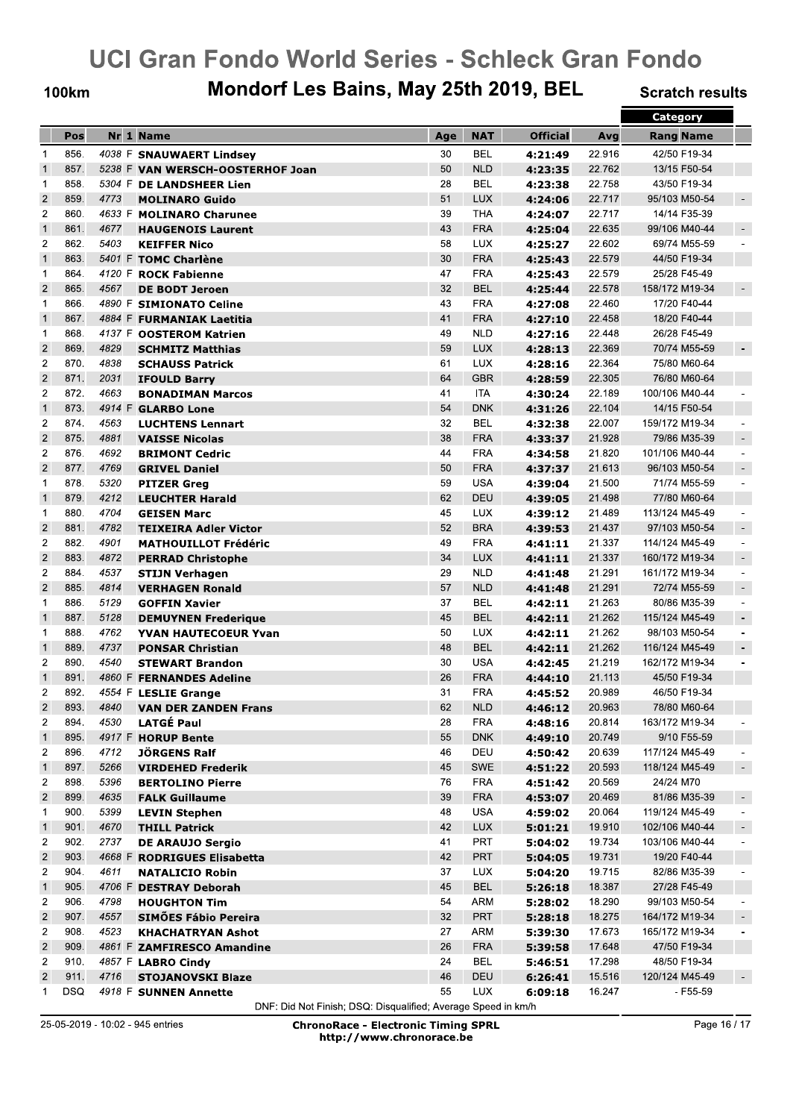**100km** 

## Mondorf Les Bains, May 25th 2019, BEL

**Scratch results** 

|                         |            |      |                                  |     |            |                 |        | Category         |                              |
|-------------------------|------------|------|----------------------------------|-----|------------|-----------------|--------|------------------|------------------------------|
|                         | Pos        |      | Nr 1 Name                        | Age | <b>NAT</b> | <b>Official</b> | Avg    | <b>Rang Name</b> |                              |
| $\mathbf{1}$            | 856.       |      | 4038 F SNAUWAERT Lindsey         | 30  | <b>BEL</b> | 4:21:49         | 22.916 | 42/50 F19-34     |                              |
| $\overline{1}$          | 857.       |      | 5238 F VAN WERSCH-OOSTERHOF Joan | 50  | <b>NLD</b> | 4:23:35         | 22.762 | 13/15 F50-54     |                              |
| $\mathbf{1}$            | 858.       |      | 5304 F DE LANDSHEER Lien         | 28  | <b>BEL</b> | 4:23:38         | 22.758 | 43/50 F19-34     |                              |
| $\overline{2}$          | 859.       | 4773 | <b>MOLINARO Guido</b>            | 51  | <b>LUX</b> | 4:24:06         | 22.717 | 95/103 M50-54    | $\blacksquare$               |
| $\overline{2}$          | 860.       |      | 4633 F MOLINARO Charunee         | 39  | <b>THA</b> | 4:24:07         | 22.717 | 14/14 F35-39     |                              |
| $\mathbf{1}$            | 861.       | 4677 | <b>HAUGENOIS Laurent</b>         | 43  | <b>FRA</b> | 4:25:04         | 22.635 | 99/106 M40-44    | $\overline{\phantom{a}}$     |
| $\overline{2}$          | 862.       | 5403 | <b>KEIFFER Nico</b>              | 58  | <b>LUX</b> | 4:25:27         | 22.602 | 69/74 M55-59     |                              |
| $\mathbf{1}$            | 863.       |      | 5401 F TOMC Charlène             | 30  | <b>FRA</b> | 4:25:43         | 22.579 | 44/50 F19-34     |                              |
| $\mathbf{1}$            | 864.       |      | 4120 F ROCK Fabienne             | 47  | <b>FRA</b> | 4:25:43         | 22.579 | 25/28 F45-49     |                              |
| $\overline{2}$          | 865.       | 4567 | <b>DE BODT Jeroen</b>            | 32  | <b>BEL</b> | 4:25:44         | 22.578 | 158/172 M19-34   | $\overline{\phantom{a}}$     |
| $\mathbf{1}$            | 866.       |      | 4890 F SIMIONATO Celine          | 43  | <b>FRA</b> | 4:27:08         | 22.460 | 17/20 F40-44     |                              |
| $\mathbf{1}$            | 867.       |      | 4884 F FURMANIAK Laetitia        | 41  | <b>FRA</b> |                 | 22.458 | 18/20 F40-44     |                              |
| $\mathbf{1}$            | 868.       |      | 4137 F OOSTEROM Katrien          | 49  | <b>NLD</b> | 4:27:10         | 22.448 | 26/28 F45-49     |                              |
| $\overline{2}$          | 869.       | 4829 |                                  | 59  | <b>LUX</b> | 4:27:16         | 22.369 | 70/74 M55-59     |                              |
| $\overline{2}$          |            |      | <b>SCHMITZ Matthias</b>          |     |            | 4:28:13         |        |                  |                              |
|                         | 870.       | 4838 | <b>SCHAUSS Patrick</b>           | 61  | <b>LUX</b> | 4:28:16         | 22.364 | 75/80 M60-64     |                              |
| $\overline{2}$          | 871.       | 2031 | <b>IFOULD Barry</b>              | 64  | <b>GBR</b> | 4:28:59         | 22.305 | 76/80 M60-64     |                              |
| $\overline{c}$          | 872.       | 4663 | <b>BONADIMAN Marcos</b>          | 41  | ITA        | 4:30:24         | 22.189 | 100/106 M40-44   |                              |
| $\mathbf{1}$            | 873.       |      | 4914 F GLARBO Lone               | 54  | <b>DNK</b> | 4:31:26         | 22.104 | 14/15 F50-54     |                              |
| $\overline{2}$          | 874.       | 4563 | <b>LUCHTENS Lennart</b>          | 32  | <b>BEL</b> | 4:32:38         | 22.007 | 159/172 M19-34   |                              |
| $\overline{2}$          | 875.       | 4881 | <b>VAISSE Nicolas</b>            | 38  | <b>FRA</b> | 4:33:37         | 21.928 | 79/86 M35-39     | $\overline{\phantom{a}}$     |
| $\overline{c}$          | 876.       | 4692 | <b>BRIMONT Cedric</b>            | 44  | <b>FRA</b> | 4:34:58         | 21.820 | 101/106 M40-44   | ÷                            |
| $\overline{2}$          | 877.       | 4769 | <b>GRIVEL Daniel</b>             | 50  | <b>FRA</b> | 4:37:37         | 21.613 | 96/103 M50-54    | $\overline{\phantom{a}}$     |
| 1                       | 878.       | 5320 | <b>PITZER Greg</b>               | 59  | <b>USA</b> | 4:39:04         | 21.500 | 71/74 M55-59     | $\blacksquare$               |
| $\mathbf{1}$            | 879.       | 4212 | <b>LEUCHTER Harald</b>           | 62  | DEU        | 4:39:05         | 21.498 | 77/80 M60-64     |                              |
| $\mathbf 1$             | 880.       | 4704 | <b>GEISEN Marc</b>               | 45  | <b>LUX</b> | 4:39:12         | 21.489 | 113/124 M45-49   | $\overline{\phantom{a}}$     |
| $\overline{2}$          | 881.       | 4782 | <b>TEIXEIRA Adler Victor</b>     | 52  | <b>BRA</b> | 4:39:53         | 21.437 | 97/103 M50-54    | $\overline{\phantom{a}}$     |
| $\overline{2}$          | 882.       | 4901 | <b>MATHOUILLOT Frédéric</b>      | 49  | <b>FRA</b> | 4:41:11         | 21.337 | 114/124 M45-49   | $\blacksquare$               |
| $\overline{2}$          | 883.       | 4872 | <b>PERRAD Christophe</b>         | 34  | <b>LUX</b> | 4:41:11         | 21.337 | 160/172 M19-34   | $\overline{\phantom{a}}$     |
| $\overline{2}$          | 884.       | 4537 | <b>STIJN Verhagen</b>            | 29  | <b>NLD</b> | 4:41:48         | 21.291 | 161/172 M19-34   | $\overline{\phantom{a}}$     |
| $\overline{2}$          | 885.       | 4814 | <b>VERHAGEN Ronald</b>           | 57  | <b>NLD</b> | 4:41:48         | 21.291 | 72/74 M55-59     | $\overline{\phantom{a}}$     |
| 1                       | 886.       | 5129 | <b>GOFFIN Xavier</b>             | 37  | <b>BEL</b> | 4:42:11         | 21.263 | 80/86 M35-39     | $\overline{\phantom{a}}$     |
| $\mathbf{1}$            | 887.       | 5128 | <b>DEMUYNEN Frederique</b>       | 45  | <b>BEL</b> | 4:42:11         | 21.262 | 115/124 M45-49   | ۰                            |
| 1                       | 888.       | 4762 | <b>YVAN HAUTECOEUR Yvan</b>      | 50  | <b>LUX</b> | 4:42:11         | 21.262 | 98/103 M50-54    | $\qquad \qquad \blacksquare$ |
| $\mathbf{1}$            | 889.       | 4737 | <b>PONSAR Christian</b>          | 48  | <b>BEL</b> | 4:42:11         | 21.262 | 116/124 M45-49   | $\overline{\phantom{a}}$     |
| $\overline{2}$          | 890.       | 4540 | <b>STEWART Brandon</b>           | 30  | <b>USA</b> | 4:42:45         | 21.219 | 162/172 M19-34   |                              |
| $\mathbf{1}$            | 891.       |      | 4860 F FERNANDES Adeline         | 26  | <b>FRA</b> | 4:44:10         | 21.113 | 45/50 F19-34     |                              |
| $\overline{2}$          | 892.       |      | 4554 F LESLIE Grange             | 31  | <b>FRA</b> | 4:45:52         | 20.989 | 46/50 F19-34     |                              |
| $\overline{2}$          | 893.       | 4840 | <b>VAN DER ZANDEN Frans</b>      | 62  | <b>NLD</b> | 4:46:12         | 20.963 | 78/80 M60-64     |                              |
| $\overline{c}$          | 894.       | 4530 | <b>LATGÉ Paul</b>                | 28  | FRA        | 4:48:16         | 20.814 | 163/172 M19-34   |                              |
| $\mathbf{1}$            | 895.       |      | 4917 F HORUP Bente               | 55  | <b>DNK</b> | 4:49:10         | 20.749 | 9/10 F55-59      |                              |
| $\overline{c}$          | 896.       | 4712 | <b>JÖRGENS Ralf</b>              | 46  | DEU        | 4:50:42         | 20.639 | 117/124 M45-49   |                              |
| $\mathbf{1}$            | 897.       | 5266 | <b>VIRDEHED Frederik</b>         | 45  | SWE        | 4:51:22         | 20.593 | 118/124 M45-49   |                              |
| $\overline{\mathbf{c}}$ | 898.       | 5396 | <b>BERTOLINO Pierre</b>          | 76  | <b>FRA</b> | 4:51:42         | 20.569 | 24/24 M70        |                              |
| $\overline{2}$          | 899.       | 4635 | <b>FALK Guillaume</b>            | 39  | <b>FRA</b> | 4:53:07         | 20.469 | 81/86 M35-39     | $\overline{\phantom{a}}$     |
| 1                       | 900.       | 5399 | <b>LEVIN Stephen</b>             | 48  | USA        | 4:59:02         | 20.064 | 119/124 M45-49   |                              |
| $\mathbf{1}$            | 901.       | 4670 | <b>THILL Patrick</b>             | 42  | <b>LUX</b> | 5:01:21         | 19.910 | 102/106 M40-44   | ٠                            |
| $\overline{2}$          | 902.       | 2737 | <b>DE ARAUJO Sergio</b>          | 41  | <b>PRT</b> | 5:04:02         | 19.734 | 103/106 M40-44   | $\overline{\phantom{a}}$     |
| $\overline{\mathbf{c}}$ | 903.       |      | 4668 F RODRIGUES Elisabetta      | 42  | <b>PRT</b> | 5:04:05         | 19.731 | 19/20 F40-44     |                              |
| $\overline{\mathbf{c}}$ | 904.       | 4611 | <b>NATALICIO Robin</b>           | 37  | <b>LUX</b> | 5:04:20         | 19.715 | 82/86 M35-39     |                              |
| $\mathbf{1}$            | 905.       |      | 4706 F DESTRAY Deborah           | 45  | <b>BEL</b> | 5:26:18         | 18.387 | 27/28 F45-49     |                              |
| $\overline{c}$          | 906.       | 4798 | <b>HOUGHTON Tim</b>              | 54  | ARM        | 5:28:02         | 18.290 | 99/103 M50-54    |                              |
| $\sqrt{2}$              | 907.       | 4557 | <b>SIMÕES Fábio Pereira</b>      | 32  | <b>PRT</b> | 5:28:18         | 18.275 | 164/172 M19-34   | $\blacksquare$               |
| $\overline{\mathbf{c}}$ | 908.       | 4523 | <b>KHACHATRYAN Ashot</b>         | 27  | ARM        | 5:39:30         | 17.673 | 165/172 M19-34   |                              |
| $\sqrt{2}$              | 909.       |      | 4861 F ZAMFIRESCO Amandine       | 26  | <b>FRA</b> | 5:39:58         | 17.648 | 47/50 F19-34     |                              |
| $\overline{c}$          | 910.       |      | 4857 F LABRO Cindy               | 24  | BEL        | 5:46:51         | 17.298 | 48/50 F19-34     |                              |
| $\sqrt{2}$              | 911.       | 4716 | <b>STOJANOVSKI Blaze</b>         | 46  | DEU        | 6:26:41         | 15.516 | 120/124 M45-49   |                              |
| $\overline{1}$          | <b>DSQ</b> |      | 4918 F SUNNEN Annette            | 55  | <b>LUX</b> | 6:09:18         | 16.247 | - F55-59         |                              |